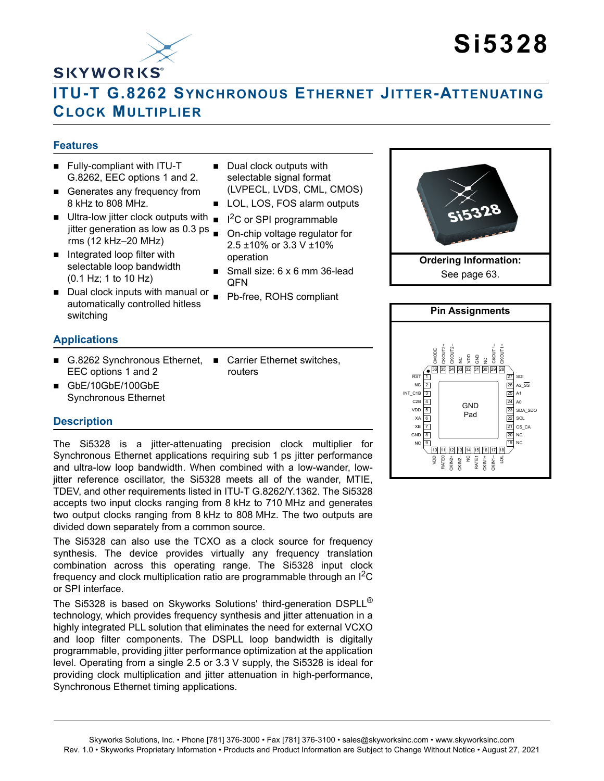

# **Si5328**

# **ITU-T G.8262 SYNCHRONOUS ETHERNET JITTER-ATTENUATING CLOCK MULTIPLIER**

# **Features**

- **Fully-compliant with ITU-T** G.8262, EEC options 1 and 2.
- Generates any frequency from 8 kHz to 808 MHz.
- $\blacksquare$  Ultra-low jitter clock outputs with  $\blacksquare$ jitter generation as low as 0.3 ps  $\square$ rms (12 kHz–20 MHz)
- $\blacksquare$  Integrated loop filter with selectable loop bandwidth (0.1 Hz; 1 to 10 Hz)
- Dual clock inputs with manual or Pb-free, ROHS compliant automatically controlled hitless switching

# **Applications**

- G.8262 Synchronous Ethernet, Carrier Ethernet switches, EEC options 1 and 2
- GbE/10GbE/100GbE Synchronous Ethernet
	-

# **Description**

The Si5328 is a jitter-attenuating precision clock multiplier for Synchronous Ethernet applications requiring sub 1 ps jitter performance and ultra-low loop bandwidth. When combined with a low-wander, lowjitter reference oscillator, the Si5328 meets all of the wander, MTIE, TDEV, and other requirements listed in ITU-T G.8262/Y.1362. The Si5328 accepts two input clocks ranging from 8 kHz to 710 MHz and generates two output clocks ranging from 8 kHz to 808 MHz. The two outputs are divided down separately from a common source.

The Si5328 can also use the TCXO as a clock source for frequency synthesis. The device provides virtually any frequency translation combination across this operating range. The Si5328 input clock frequency and clock multiplication ratio are programmable through an  $I^2C$ or SPI interface.

The Si5328 is based on Skyworks Solutions' third-generation DSPLL<sup>®</sup> technology, which provides frequency synthesis and jitter attenuation in a highly integrated PLL solution that eliminates the need for external VCXO and loop filter components. The DSPLL loop bandwidth is digitally programmable, providing jitter performance optimization at the application level. Operating from a single 2.5 or 3.3 V supply, the Si5328 is ideal for providing clock multiplication and jitter attenuation in high-performance, Synchronous Ethernet timing applications.

- Dual clock outputs with selectable signal format (LVPECL, LVDS, CML, CMOS)
- LOL, LOS, FOS alarm outputs
- $I^2C$  or SPI programmable
- On-chip voltage regulator for 2.5 ±10% or 3.3 V ±10% operation
- Small size: 6 x 6 mm 36-lead QFN
- 

routers



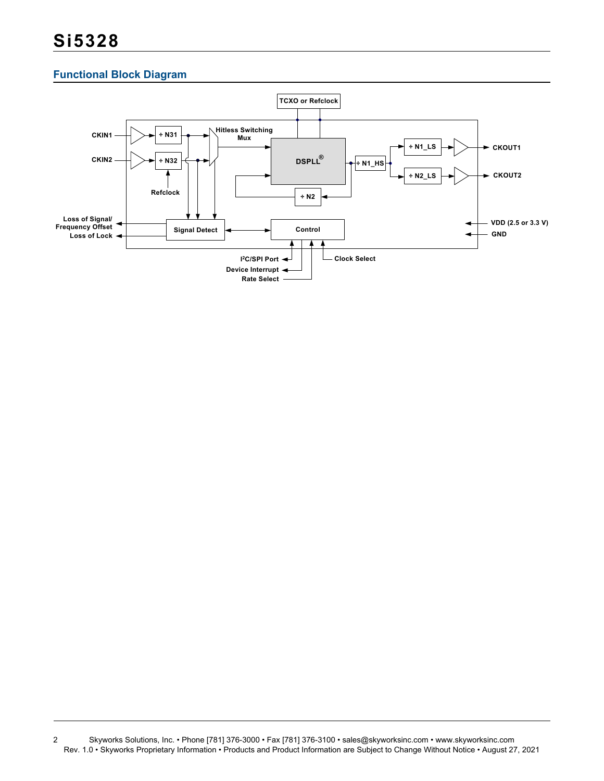# **Functional Block Diagram**



<sup>2</sup> Skyworks Solutions, Inc. • Phone [781] 376-3000 • Fax [781] 376-3100 • sales@skyworksinc.com • www.skyworksinc.com Rev. 1.0 • Skyworks Proprietary Information • Products and Product Information are Subject to Change Without Notice • August 27, 2021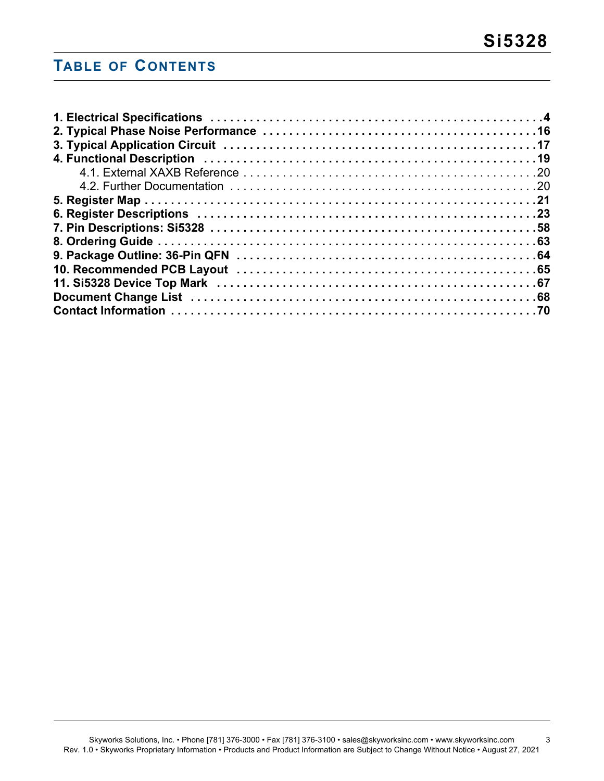# **TABLE OF CONTENTS**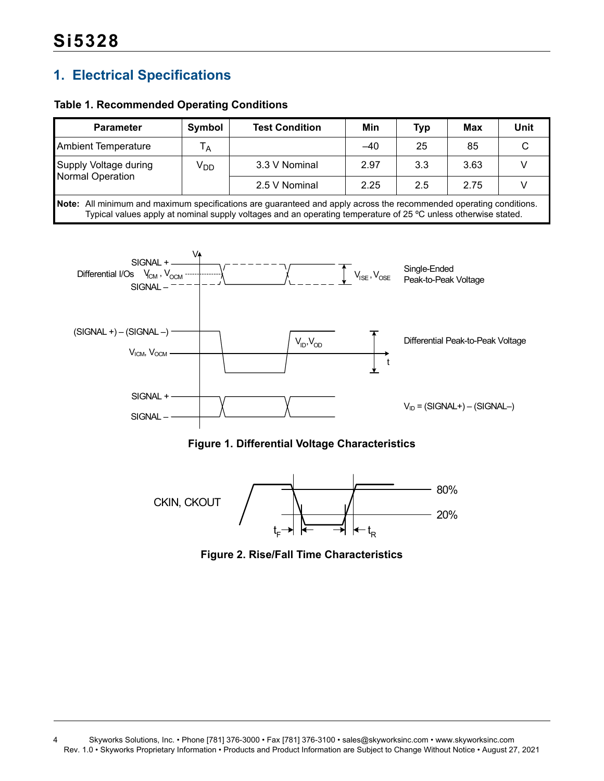# <span id="page-3-0"></span>**1. Electrical Specifications**

# **Table 1. Recommended Operating Conditions**

| <b>Parameter</b>                                                                                                                                                                                                                     | Symbol          | <b>Test Condition</b> |       | Typ | Max  | Unit |  |  |
|--------------------------------------------------------------------------------------------------------------------------------------------------------------------------------------------------------------------------------------|-----------------|-----------------------|-------|-----|------|------|--|--|
| <b>Ambient Temperature</b>                                                                                                                                                                                                           | Т <sub>А</sub>  |                       | $-40$ | 25  | 85   |      |  |  |
| Supply Voltage during                                                                                                                                                                                                                | V <sub>DD</sub> | 3.3 V Nominal         | 2.97  | 3.3 | 3.63 |      |  |  |
| Normal Operation                                                                                                                                                                                                                     |                 | 2.5 V Nominal         | 2.25  | 2.5 | 2.75 |      |  |  |
| Note: All minimum and maximum specifications are guaranteed and apply across the recommended operating conditions.<br>Typical values apply at nominal supply voltages and an operating temperature of 25 °C unless otherwise stated. |                 |                       |       |     |      |      |  |  |





<span id="page-3-2"></span><span id="page-3-1"></span>

**Figure 2. Rise/Fall Time Characteristics**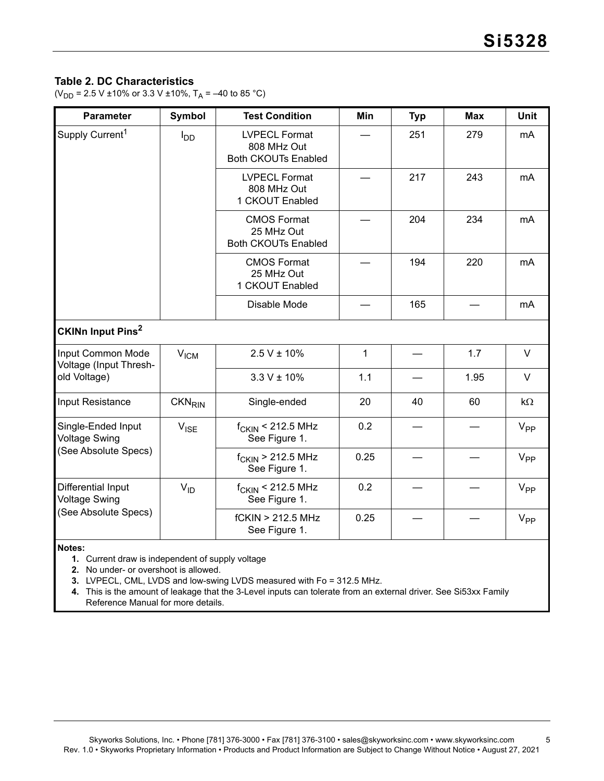# **Table 2. DC Characteristics**

( $V_{DD}$  = 2.5 V ±10% or 3.3 V ±10%, T<sub>A</sub> = –40 to 85 °C)

| <b>Parameter</b>                            | <b>Symbol</b><br><b>Test Condition</b> |                                                                   | Min  | <b>Typ</b> | <b>Max</b> | <b>Unit</b> |
|---------------------------------------------|----------------------------------------|-------------------------------------------------------------------|------|------------|------------|-------------|
| Supply Current <sup>1</sup>                 | <b>I</b> <sub>DD</sub>                 | <b>LVPECL Format</b><br>808 MHz Out<br><b>Both CKOUTs Enabled</b> |      | 251        | 279        | mA          |
|                                             |                                        | <b>LVPECL Format</b><br>808 MHz Out<br>1 CKOUT Enabled            |      | 217        | 243        | mA          |
|                                             |                                        | <b>CMOS Format</b><br>25 MHz Out<br><b>Both CKOUTs Enabled</b>    |      | 204        | 234        | mA          |
|                                             |                                        | <b>CMOS Format</b><br>25 MHz Out<br>1 CKOUT Enabled               |      | 194        | 220        | mA          |
|                                             |                                        | Disable Mode                                                      |      | 165        |            | mA          |
| CKINn Input Pins <sup>2</sup>               |                                        |                                                                   |      |            |            |             |
| Input Common Mode<br>Voltage (Input Thresh- | V <sub>ICM</sub>                       | $2.5 V \pm 10\%$                                                  | 1    |            | 1.7        | V           |
| old Voltage)                                |                                        | $3.3 V \pm 10\%$                                                  | 1.1  |            | 1.95       | V           |
| Input Resistance                            | <b>CKN<sub>RIN</sub></b>               | Single-ended                                                      | 20   | 40         | 60         | $k\Omega$   |
| Single-Ended Input<br><b>Voltage Swing</b>  | $V_{\text{ISE}}$                       | $f_{CKIN}$ < 212.5 MHz<br>See Figure 1.                           | 0.2  |            |            | $V_{PP}$    |
| (See Absolute Specs)                        |                                        | $f_{CKIN}$ > 212.5 MHz<br>See Figure 1.                           | 0.25 |            |            | $V_{PP}$    |
| Differential Input<br><b>Voltage Swing</b>  | $V_{ID}$                               | $f_{CKIN}$ < 212.5 MHz<br>See Figure 1.                           | 0.2  |            |            | $V_{PP}$    |
| (See Absolute Specs)                        |                                        | fCKIN > 212.5 MHz<br>See Figure 1.                                | 0.25 |            |            | $V_{PP}$    |

<span id="page-4-1"></span>**Notes:**

**1.** Current draw is independent of supply voltage

<span id="page-4-0"></span>**2.** No under- or overshoot is allowed.

<span id="page-4-3"></span><span id="page-4-2"></span>**3.** LVPECL, CML, LVDS and low-swing LVDS measured with Fo = 312.5 MHz.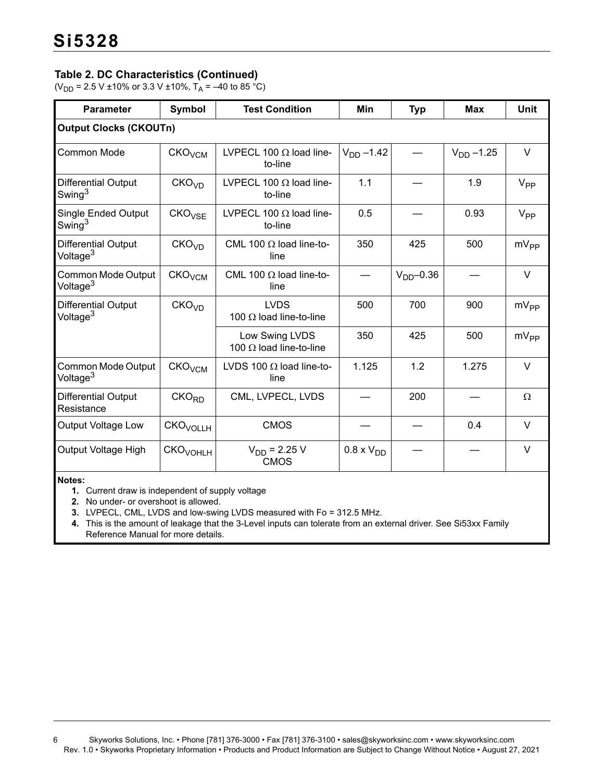# **Table 2. DC Characteristics (Continued)**

( $V_{DD}$  = 2.5 V ±10% or 3.3 V ±10%, T<sub>A</sub> = –40 to 85 °C)

| <b>Parameter</b>                                 | <b>Symbol</b>        | <b>Test Condition</b>                                | Min             | <b>Typ</b>   | <b>Max</b> | <b>Unit</b>     |
|--------------------------------------------------|----------------------|------------------------------------------------------|-----------------|--------------|------------|-----------------|
| <b>Output Clocks (CKOUTn)</b>                    |                      |                                                      |                 |              |            |                 |
| Common Mode                                      | CKO <sub>VCM</sub>   | LVPECL 100 $\Omega$ load line-<br>to-line            | $V_{DD} - 1.42$ |              |            | $\vee$          |
| Differential Output<br>Swing $^3$                | CKO <sub>VD</sub>    | LVPECL 100 $\Omega$ load line-<br>to-line            | 1.1             |              | 1.9        | $V_{PP}$        |
| <b>Single Ended Output</b><br>Swing <sup>3</sup> | CKO <sub>VSF</sub>   | LVPECL 100 $\Omega$ load line-<br>to-line            | 0.5             |              | 0.93       | V <sub>PP</sub> |
| Differential Output<br>Voltage <sup>3</sup>      | CKO <sub>VD</sub>    | CML 100 $\Omega$ load line-to-<br>line               | 350<br>425      |              | 500        | $mV_{PP}$       |
| Common Mode Output<br>Voltage <sup>3</sup>       | CKO <sub>VCM</sub>   | CML 100 $\Omega$ load line-to-<br>line               |                 | $VDD - 0.36$ |            | $\vee$          |
| Differential Output<br>Voltage <sup>3</sup>      | CKO <sub>VD</sub>    | <b>LVDS</b><br>100 $\Omega$ load line-to-line        | 500             | 700          | 900        | $mV_{PP}$       |
|                                                  |                      | Low Swing LVDS<br>100 $\Omega$ load line-to-line     | 350             | 425          | 500        | $mV_{PP}$       |
| Common Mode Output<br>Voltage <sup>3</sup>       | CKO <sub>VCM</sub>   | LVDS 100 $\Omega$ load line-to-<br>line              | 1.125           | 1.2          | 1.275      | $\vee$          |
| Differential Output<br>Resistance                | CKO <sub>RD</sub>    | CML, LVPECL, LVDS                                    |                 | 200          |            | $\Omega$        |
| Output Voltage Low                               | CKO <sub>VOLLH</sub> | <b>CMOS</b>                                          |                 |              | 0.4        | $\vee$          |
| Output Voltage High                              | CKO <sub>VOHLH</sub> | $V_{DD}$ = 2.25 V<br>$0.8 \times VDD$<br><b>CMOS</b> |                 |              | $\vee$     |                 |

**Notes:**

**1.** Current draw is independent of supply voltage

**2.** No under- or overshoot is allowed.

**3.** LVPECL, CML, LVDS and low-swing LVDS measured with Fo = 312.5 MHz.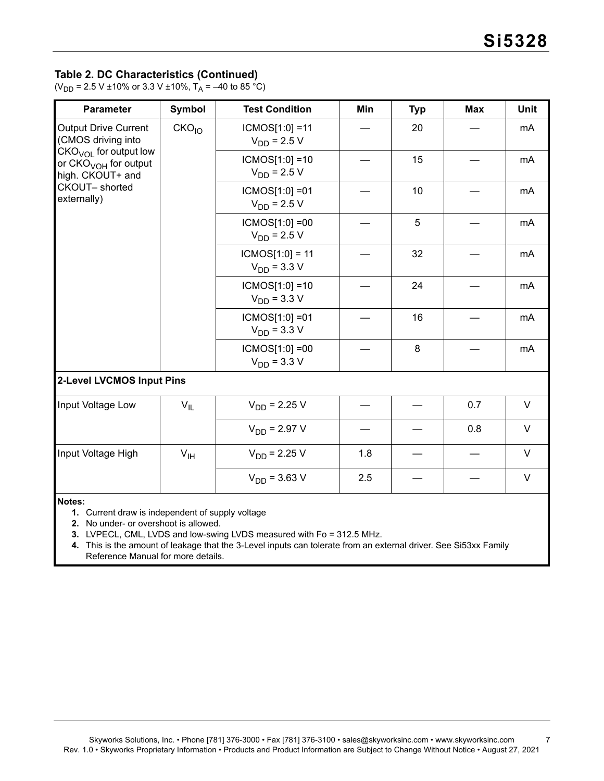# **Table 2. DC Characteristics (Continued)**

(V<sub>DD</sub> = 2.5 V ±10% or 3.3 V ±10%, T<sub>A</sub> = –40 to 85 °C)

| <b>Parameter</b>                                                                                                | <b>Symbol</b>     | <b>Test Condition</b>                 | Min | <b>Typ</b> | <b>Max</b> | Unit   |
|-----------------------------------------------------------------------------------------------------------------|-------------------|---------------------------------------|-----|------------|------------|--------|
| <b>Output Drive Current</b><br>(CMOS driving into                                                               | CKO <sub>10</sub> | $ICMOS[1:0] = 11$<br>$V_{DD}$ = 2.5 V |     | 20         |            | mA     |
| $CKOVOL$ for output low<br>or CKO <sub>VOH</sub> for output<br>high. CKOUT+ and<br>CKOUT-shorted<br>externally) |                   | $ICMOS[1:0] = 10$<br>$V_{DD}$ = 2.5 V |     | 15         |            | mA     |
|                                                                                                                 |                   | ICMOS[1:0] = 01<br>$V_{DD}$ = 2.5 V   |     | 10         |            | mA     |
|                                                                                                                 |                   | $ICMOS[1:0] = 00$<br>$V_{DD}$ = 2.5 V |     | 5          |            | mA     |
|                                                                                                                 |                   | $ICMOS[1:0] = 11$<br>$V_{DD} = 3.3 V$ |     | 32         |            | mA     |
|                                                                                                                 |                   | $ICMOS[1:0] = 10$<br>$V_{DD}$ = 3.3 V |     | 24         |            | mA     |
|                                                                                                                 |                   | $ICMOS[1:0] = 01$<br>$V_{DD}$ = 3.3 V |     | 16         |            | mA     |
|                                                                                                                 |                   | $ICMOS[1:0] = 00$<br>$V_{DD}$ = 3.3 V |     | 8          |            | mA     |
| 2-Level LVCMOS Input Pins                                                                                       |                   |                                       |     |            |            |        |
| Input Voltage Low                                                                                               | $V_{IL}$          | $V_{DD}$ = 2.25 V                     |     |            | 0.7        | $\vee$ |
|                                                                                                                 |                   | $V_{DD} = 2.97 V$                     |     |            | 0.8        | $\vee$ |
| Input Voltage High                                                                                              | V <sub>IH</sub>   | $V_{DD}$ = 2.25 V                     | 1.8 |            |            | V      |
|                                                                                                                 |                   | $V_{DD}$ = 3.63 V                     | 2.5 |            |            | $\vee$ |
| Notes:<br>1. Current draw is independent of supply voltage                                                      |                   |                                       |     |            |            |        |

**2.** No under- or overshoot is allowed.

**3.** LVPECL, CML, LVDS and low-swing LVDS measured with Fo = 312.5 MHz.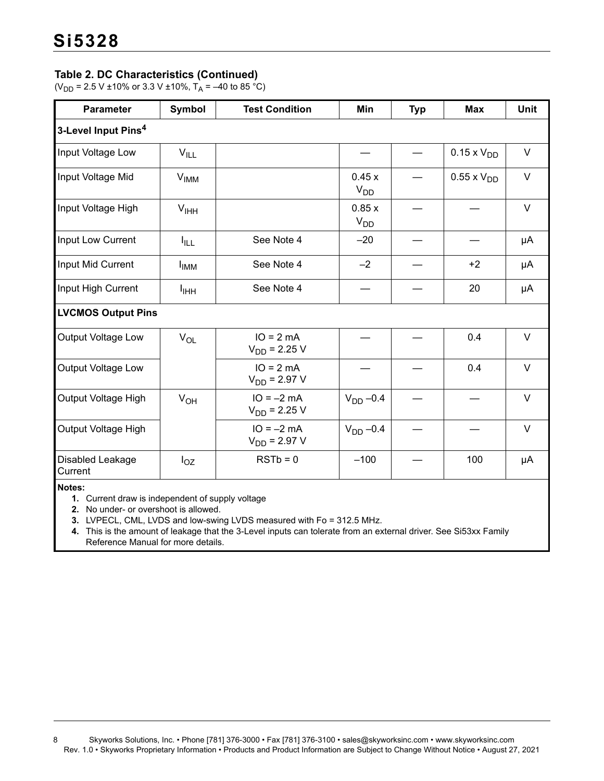# **Table 2. DC Characteristics (Continued)**

( $V_{DD}$  = 2.5 V ±10% or 3.3 V ±10%, T<sub>A</sub> = –40 to 85 °C)

| <b>Parameter</b>                   | <b>Symbol</b>          | <b>Test Condition</b>             | Min                      | <b>Typ</b> | <b>Max</b>           | <b>Unit</b> |
|------------------------------------|------------------------|-----------------------------------|--------------------------|------------|----------------------|-------------|
| 3-Level Input Pins <sup>4</sup>    |                        |                                   |                          |            |                      |             |
| Input Voltage Low                  | $V_{ILL}$              |                                   |                          |            | $0.15 \times V_{DD}$ | $\vee$      |
| Input Voltage Mid                  | $V_{IMM}$              |                                   | 0.45x<br>V <sub>DD</sub> |            | $0.55 \times V_{DD}$ | $\vee$      |
| Input Voltage High                 | V <sub>HH</sub>        |                                   | 0.85x<br>$V_{DD}$        |            |                      | V           |
| Input Low Current                  | <b>I</b> ILL           | See Note 4                        | $-20$                    |            |                      | μA          |
| Input Mid Current                  | <b>I<sub>IMM</sub></b> | See Note 4                        | $-2$                     |            | $+2$                 | μA          |
| Input High Current                 | I <sub>ІНН</sub>       | See Note 4                        |                          |            | 20                   | μA          |
| <b>LVCMOS Output Pins</b>          |                        |                                   |                          |            |                      |             |
| <b>Output Voltage Low</b>          | $V_{OL}$               | $IO = 2 mA$<br>$V_{DD}$ = 2.25 V  |                          |            | 0.4                  | $\vee$      |
| Output Voltage Low                 |                        | $IO = 2 mA$<br>$V_{DD}$ = 2.97 V  |                          |            | 0.4                  | $\vee$      |
| Output Voltage High                | V <sub>OH</sub>        | $IO = -2 mA$<br>$V_{DD}$ = 2.25 V | $VDD -0.4$               |            |                      | $\vee$      |
| Output Voltage High                |                        | $IO = -2 mA$<br>$V_{DD}$ = 2.97 V | $V_{DD} -0.4$            |            |                      | $\vee$      |
| <b>Disabled Leakage</b><br>Current | $I_{OZ}$               | $RSTb = 0$                        | $-100$                   |            | 100                  | μA          |

**Notes:**

**1.** Current draw is independent of supply voltage

**2.** No under- or overshoot is allowed.

**3.** LVPECL, CML, LVDS and low-swing LVDS measured with Fo = 312.5 MHz.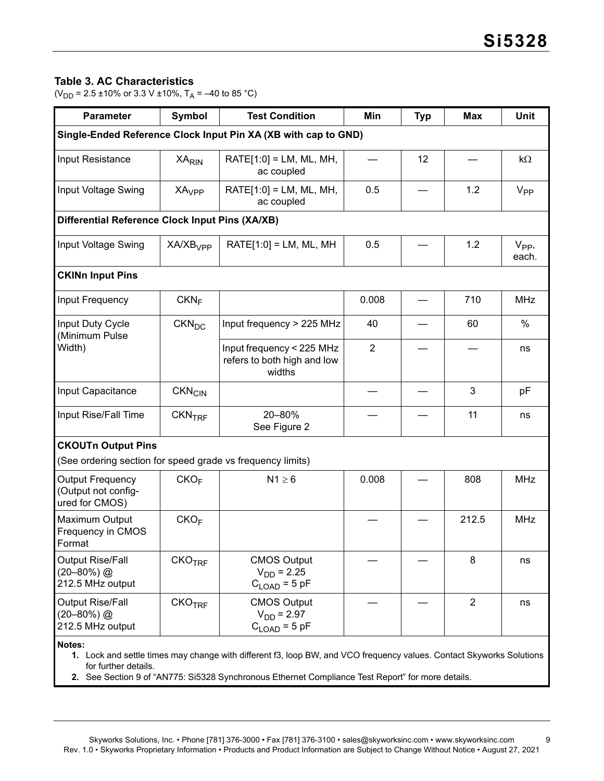# **Table 3. AC Characteristics**

( $V_{DD}$  = 2.5 ±10% or 3.3 V ±10%, T<sub>A</sub> = –40 to 85 °C)

| <b>Parameter</b>                                           | Symbol                   | <b>Test Condition</b>                                                                                             | Min            | <b>Typ</b> | Max            | <b>Unit</b>       |
|------------------------------------------------------------|--------------------------|-------------------------------------------------------------------------------------------------------------------|----------------|------------|----------------|-------------------|
|                                                            |                          | Single-Ended Reference Clock Input Pin XA (XB with cap to GND)                                                    |                |            |                |                   |
| Input Resistance                                           | <b>XA<sub>RIN</sub></b>  | $RATE[1:0] = LM$ , ML, MH,<br>ac coupled                                                                          | 12             |            |                | $k\Omega$         |
| Input Voltage Swing                                        | <b>XA<sub>VPP</sub></b>  | $RATE[1:0] = LM, ML, MH,$<br>ac coupled                                                                           | 0.5            |            | 1.2            | V <sub>PP</sub>   |
| Differential Reference Clock Input Pins (XA/XB)            |                          |                                                                                                                   |                |            |                |                   |
| Input Voltage Swing                                        | XA/XB <sub>VPP</sub>     | $RATE[1:0] = LM, ML, MH$                                                                                          | 0.5            |            | 1.2            | $V_{PP}$<br>each. |
| <b>CKINn Input Pins</b>                                    |                          |                                                                                                                   |                |            |                |                   |
| Input Frequency                                            | CKN <sub>F</sub>         |                                                                                                                   | 0.008          |            | 710            | <b>MHz</b>        |
| Input Duty Cycle<br>(Minimum Pulse<br>Width)               | $CKN_{DC}$               | Input frequency > 225 MHz                                                                                         | 40             |            | 60             | $\%$              |
|                                                            |                          | Input frequency < 225 MHz<br>refers to both high and low<br>widths                                                | $\overline{2}$ |            |                | ns                |
| Input Capacitance                                          | <b>CKN<sub>CIN</sub></b> |                                                                                                                   |                |            | 3              | pF                |
| Input Rise/Fall Time                                       | CKN <sub>TRF</sub>       | 20-80%<br>See Figure 2                                                                                            |                |            | 11             | ns                |
| <b>CKOUTn Output Pins</b>                                  |                          |                                                                                                                   |                |            |                |                   |
| (See ordering section for speed grade vs frequency limits) |                          |                                                                                                                   |                |            |                |                   |
| Output Frequency<br>(Output not config-<br>ured for CMOS)  | CKO <sub>F</sub>         | $N1 \geq 6$                                                                                                       | 0.008          |            | 808            | <b>MHz</b>        |
| Maximum Output<br>Frequency in CMOS<br>Format              | CKO <sub>F</sub>         |                                                                                                                   |                |            | 212.5          | <b>MHz</b>        |
| Output Rise/Fall<br>$(20 - 80\%)$ @<br>212.5 MHz output    | CKO <sub>TRF</sub>       | <b>CMOS Output</b><br>$V_{DD} = 2.25$<br>$C_{\text{LOAD}}$ = 5 pF                                                 |                |            | 8              | ns                |
| Output Rise/Fall<br>$(20 - 80\%)$ @<br>212.5 MHz output    | CKO <sub>TRF</sub>       | <b>CMOS Output</b><br>$V_{DD} = 2.97$<br>$C_{\text{LOAD}} = 5$ pF                                                 |                |            | $\overline{2}$ | ns                |
| Notes:                                                     |                          | 1 Lock and settle times may change with different f3 Loop RW and VCO frequency values. Contact Skyworks Solutions |                |            |                |                   |

<span id="page-8-1"></span>and settle times may change with different f3, loop BW, and VCO frequency values. Contact Skyworks for further details.

<span id="page-8-0"></span>**2.** See Section 9 of "AN775: Si5328 Synchronous Ethernet Compliance Test Report" for more details.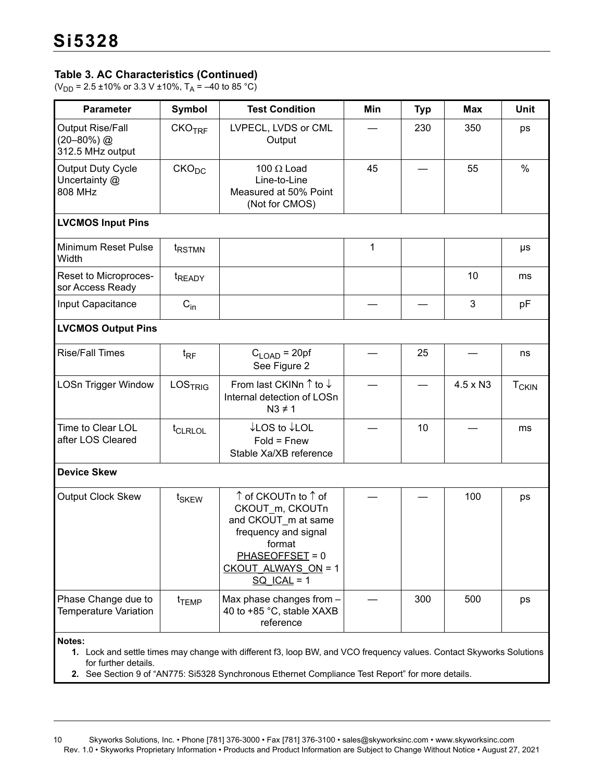# **Table 3. AC Characteristics (Continued)**

(V<sub>DD</sub> = 2.5 ±10% or 3.3 V ±10%, T<sub>A</sub> = –40 to 85 °C)

| <b>Parameter</b>                                               | <b>Symbol</b><br><b>Test Condition</b><br>Min<br><b>Typ</b> |                                                                                                                                                                                                                           | <b>Max</b> | Unit            |     |                         |  |
|----------------------------------------------------------------|-------------------------------------------------------------|---------------------------------------------------------------------------------------------------------------------------------------------------------------------------------------------------------------------------|------------|-----------------|-----|-------------------------|--|
| <b>Output Rise/Fall</b><br>$(20 - 80\%)$ @<br>312.5 MHz output | CKO <sub>TRF</sub>                                          | LVPECL, LVDS or CML<br>Output                                                                                                                                                                                             | 230<br>350 |                 |     | ps                      |  |
| <b>Output Duty Cycle</b><br>Uncertainty @<br>808 MHz           | CKO <sub>DC</sub>                                           | 100 $\Omega$ Load<br>Line-to-Line<br>Measured at 50% Point<br>(Not for CMOS)                                                                                                                                              | 45         |                 | 55  | $\%$                    |  |
| <b>LVCMOS Input Pins</b>                                       |                                                             |                                                                                                                                                                                                                           |            |                 |     |                         |  |
| Minimum Reset Pulse<br>Width                                   | <sup>t</sup> RSTMN                                          |                                                                                                                                                                                                                           | 1          |                 |     | μs                      |  |
| Reset to Microproces-<br>sor Access Ready                      | <sup>t</sup> READY                                          |                                                                                                                                                                                                                           |            |                 | 10  | ms                      |  |
| Input Capacitance                                              | $\mathrm{C}_{\mathrm{in}}$                                  |                                                                                                                                                                                                                           | 3          |                 |     |                         |  |
| <b>LVCMOS Output Pins</b>                                      |                                                             |                                                                                                                                                                                                                           |            |                 |     |                         |  |
| <b>Rise/Fall Times</b>                                         | $t_{\sf RF}$                                                | $C_{LOAD}$ = 20pf<br>See Figure 2                                                                                                                                                                                         | 25         |                 |     | ns                      |  |
| <b>LOSn Trigger Window</b>                                     | LOSTRIG                                                     | From last CKINn $\uparrow$ to $\downarrow$<br>Internal detection of LOSn<br>$N3 \neq 1$                                                                                                                                   |            | $4.5 \times N3$ |     | <b>T<sub>CKIN</sub></b> |  |
| Time to Clear LOL<br>after LOS Cleared                         | t <sub>CLRLOL</sub>                                         | ↓LOS to ↓LOL<br>$Fold =$ Fnew<br>Stable Xa/XB reference                                                                                                                                                                   |            | 10              |     | ms                      |  |
| <b>Device Skew</b>                                             |                                                             |                                                                                                                                                                                                                           |            |                 |     |                         |  |
| Output Clock Skew                                              | t <sub>SKEW</sub>                                           | ↑ of CKOUTn to ↑ of<br>CKOUT_m, CKOUTn<br>and CKOUT_m at same<br>frequency and signal<br>tormat<br>$PHASEOFFSET = 0$<br>CKOUT ALWAYS ON = 1<br>$SQ$ ICAL = 1                                                              |            |                 | 100 | ps                      |  |
| Phase Change due to<br><b>Temperature Variation</b>            | t <sub>TEMP</sub>                                           | Max phase changes from -<br>40 to +85 °C, stable XAXB<br>reference                                                                                                                                                        |            | 300             | 500 | ps                      |  |
| Notes:<br>for further details.                                 |                                                             | 1. Lock and settle times may change with different f3, loop BW, and VCO frequency values. Contact Skyworks Solutions<br>2. See Section 9 of "AN775: Si5328 Synchronous Ethernet Compliance Test Report" for more details. |            |                 |     |                         |  |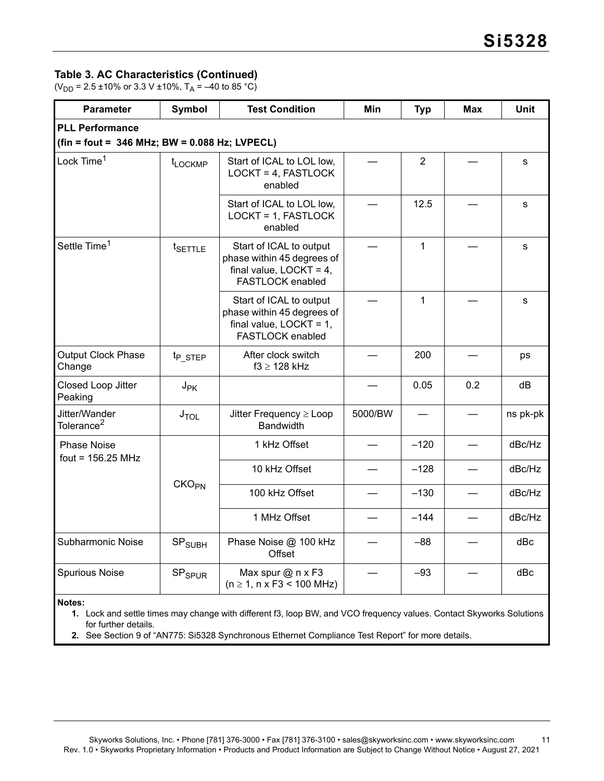# **Table 3. AC Characteristics (Continued)**

(V<sub>DD</sub> = 2.5 ±10% or 3.3 V ±10%, T<sub>A</sub> = –40 to 85 °C)

| <b>Parameter</b>                                | <b>Symbol</b>            | <b>Test Condition</b>                                                                                   | Min     | <b>Typ</b>     | Max                                       | Unit     |
|-------------------------------------------------|--------------------------|---------------------------------------------------------------------------------------------------------|---------|----------------|-------------------------------------------|----------|
| <b>PLL Performance</b>                          |                          |                                                                                                         |         |                |                                           |          |
| $fin = foot = 346 MHz$ ; BW = 0.088 Hz; LVPECL) |                          |                                                                                                         |         |                |                                           |          |
| Lock Time <sup>1</sup>                          | t <sub>LOCKMP</sub>      | Start of ICAL to LOL low,<br>LOCKT = 4, FASTLOCK<br>enabled                                             |         | $\overline{2}$ |                                           | s        |
|                                                 |                          | Start of ICAL to LOL low,<br>LOCKT = 1, FASTLOCK<br>enabled                                             |         | 12.5           |                                           | s        |
| Settle Time <sup>1</sup>                        | t <sub>SETTLE</sub>      | Start of ICAL to output<br>phase within 45 degrees of<br>final value, $LOCKT = 4$ ,<br>FASTLOCK enabled |         | $\mathbf{1}$   |                                           | s        |
|                                                 |                          | Start of ICAL to output<br>phase within 45 degrees of<br>final value, $LOCKT = 1$ ,<br>FASTLOCK enabled |         | $\mathbf{1}$   |                                           | s        |
| Output Clock Phase<br>Change                    | t <sub>p</sub> STEP      | After clock switch<br>$f3 \geq 128$ kHz                                                                 |         | 200            |                                           | ps       |
| Closed Loop Jitter<br>Peaking                   | $J_{\mathsf{PK}}$        |                                                                                                         |         | 0.05           | 0.2                                       | dB       |
| Jitter/Wander<br>Tolerance <sup>2</sup>         | $J_{\text{TOL}}$         | Jitter Frequency $\geq$ Loop<br><b>Bandwidth</b>                                                        | 5000/BW |                |                                           | ns pk-pk |
| <b>Phase Noise</b><br>fout = $156.25$ MHz       |                          | 1 kHz Offset                                                                                            |         | $-120$         |                                           | dBc/Hz   |
|                                                 |                          | 10 kHz Offset                                                                                           |         | $-128$         |                                           | dBc/Hz   |
|                                                 | CKO <sub>PN</sub>        | 100 kHz Offset                                                                                          |         | $-130$         |                                           | dBc/Hz   |
|                                                 |                          | 1 MHz Offset                                                                                            |         | $-144$         | $\qquad \qquad \overline{\qquad \qquad }$ | dBc/Hz   |
| Subharmonic Noise                               | SP <sub>SUBH</sub>       | Phase Noise @ 100 kHz<br>Offset                                                                         |         | $-88$          |                                           | dBc      |
| Spurious Noise                                  | <b>SP<sub>SPUR</sub></b> | Max spur @ n x F3<br>$(n \ge 1, n \times F3 < 100$ MHz)                                                 |         | $-93$          |                                           | dBc      |
| Notes:                                          |                          |                                                                                                         |         |                |                                           |          |

**1.** Lock and settle times may change with different f3, loop BW, and VCO frequency values. Contact Skyworks Solutions for further details.

**2.** See Section 9 of "AN775: Si5328 Synchronous Ethernet Compliance Test Report" for more details.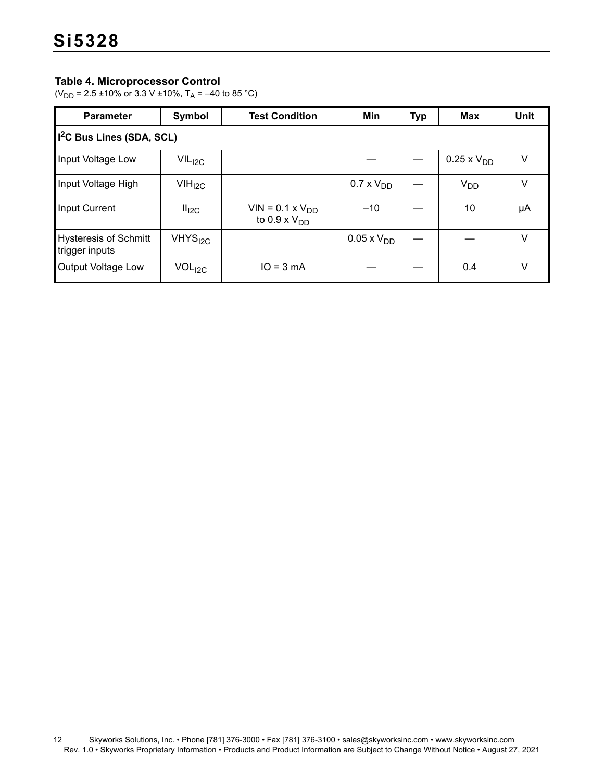# **Table 4. Microprocessor Control**

(V<sub>DD</sub> = 2.5 ±10% or 3.3 V ±10%, T<sub>A</sub> = –40 to 85 °C)

| <b>Parameter</b>                               | Symbol             | <b>Test Condition</b>                       | Min                   | <b>Typ</b> | <b>Max</b>           | Unit |  |  |  |
|------------------------------------------------|--------------------|---------------------------------------------|-----------------------|------------|----------------------|------|--|--|--|
| 1 <sup>2</sup> C Bus Lines (SDA, SCL)          |                    |                                             |                       |            |                      |      |  |  |  |
| Input Voltage Low                              | $VIL_{I2C}$        |                                             |                       |            | $0.25 \times V_{DD}$ | v    |  |  |  |
| Input Voltage High                             | VIH <sub>I2C</sub> |                                             | $0.7 \times V_{DD}$   |            | $V_{DD}$             | V    |  |  |  |
| <b>Input Current</b>                           | II <sub>I2C</sub>  | $VIN = 0.1 \times VDD$<br>to 0.9 x $V_{DD}$ | $-10$                 |            | 10                   | μA   |  |  |  |
| <b>Hysteresis of Schmitt</b><br>trigger inputs | $V$ HYS $_{12C}$   |                                             | $10.05 \times V_{DD}$ |            |                      | V    |  |  |  |
| Output Voltage Low                             | VOL <sub>I2C</sub> | $IO = 3 mA$                                 |                       |            | 0.4                  | V    |  |  |  |

<sup>12</sup> Skyworks Solutions, Inc. • Phone [781] 376-3000 • Fax [781] 376-3100 • sales@skyworksinc.com • www.skyworksinc.com Rev. 1.0 • Skyworks Proprietary Information • Products and Product Information are Subject to Change Without Notice • August 27, 2021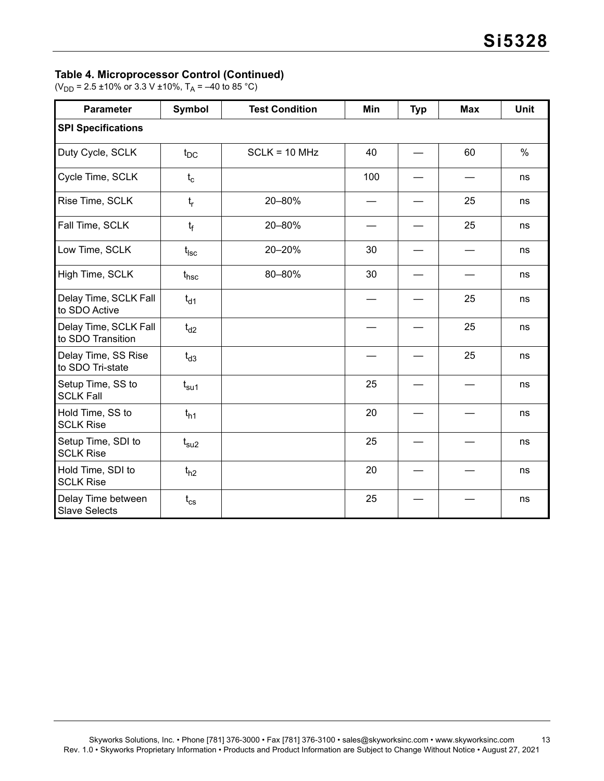### **Table 4. Microprocessor Control (Continued)**

(V<sub>DD</sub> = 2.5 ±10% or 3.3 V ±10%, T<sub>A</sub> = –40 to 85 °C)

| <b>Parameter</b>                           | Symbol        | <b>Test Condition</b> | Min | <b>Typ</b> | <b>Max</b> | Unit |
|--------------------------------------------|---------------|-----------------------|-----|------------|------------|------|
| <b>SPI Specifications</b>                  |               |                       |     |            |            |      |
| Duty Cycle, SCLK                           | $t_{DC}$      | $SCLK = 10 MHz$       | 40  |            | 60         | $\%$ |
| Cycle Time, SCLK                           | $t_c$         |                       | 100 |            |            | ns   |
| Rise Time, SCLK                            | $t_{r}$       | 20-80%                |     |            | 25         | ns   |
| Fall Time, SCLK                            | $t_f$         | 20-80%                |     |            | 25         | ns   |
| Low Time, SCLK                             | $t_{\rm lsc}$ | 20-20%                | 30  |            |            | ns   |
| High Time, SCLK                            | $t_{\sf hsc}$ | 80-80%                | 30  |            |            | ns   |
| Delay Time, SCLK Fall<br>to SDO Active     | $t_{d1}$      |                       |     |            | 25         | ns   |
| Delay Time, SCLK Fall<br>to SDO Transition | $t_{d2}$      |                       |     |            | 25         | ns   |
| Delay Time, SS Rise<br>to SDO Tri-state    | $t_{d3}$      |                       |     |            | 25         | ns   |
| Setup Time, SS to<br><b>SCLK Fall</b>      | $t_{\rm su1}$ |                       | 25  |            |            | ns   |
| Hold Time, SS to<br><b>SCLK Rise</b>       | $t_{h1}$      |                       | 20  |            |            | ns   |
| Setup Time, SDI to<br><b>SCLK Rise</b>     | $t_{\rm su2}$ |                       | 25  |            |            | ns   |
| Hold Time, SDI to<br><b>SCLK Rise</b>      | $t_{h2}$      |                       | 20  |            |            | ns   |
| Delay Time between<br><b>Slave Selects</b> | $t_{\rm cs}$  |                       | 25  |            |            | ns   |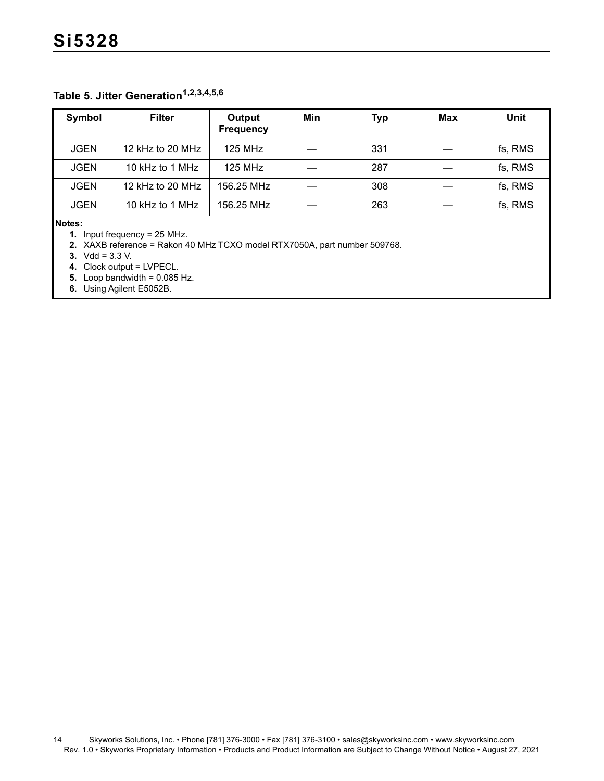# **Table 5. Jitter Generation[1](#page-13-0)[,2](#page-13-1),[3,](#page-13-2)[4](#page-13-3)[,5](#page-13-4),[6](#page-13-5)**

| Symbol      | <b>Filter</b>    | Output<br><b>Frequency</b> | Min | <b>Typ</b> | Max | Unit    |
|-------------|------------------|----------------------------|-----|------------|-----|---------|
| <b>JGEN</b> | 12 kHz to 20 MHz | <b>125 MHz</b>             |     | 331        |     | fs, RMS |
| <b>JGEN</b> | 10 kHz to 1 MHz  | <b>125 MHz</b>             |     | 287        |     | fs, RMS |
| <b>JGEN</b> | 12 kHz to 20 MHz | 156.25 MHz                 |     | 308        |     | fs, RMS |
| <b>JGEN</b> | 10 kHz to 1 MHz  | 156.25 MHz                 |     | 263        |     | fs, RMS |

<span id="page-13-0"></span>**Notes:**

**1.** Input frequency = 25 MHz.

<span id="page-13-1"></span>**2.** XAXB reference = Rakon 40 MHz TCXO model RTX7050A, part number 509768.

<span id="page-13-2"></span>**3.** Vdd = 3.3 V.

<span id="page-13-3"></span>**4.** Clock output = LVPECL.

<span id="page-13-4"></span>**5.** Loop bandwidth =  $0.085$  Hz.

<span id="page-13-5"></span>**6.** Using Agilent E5052B.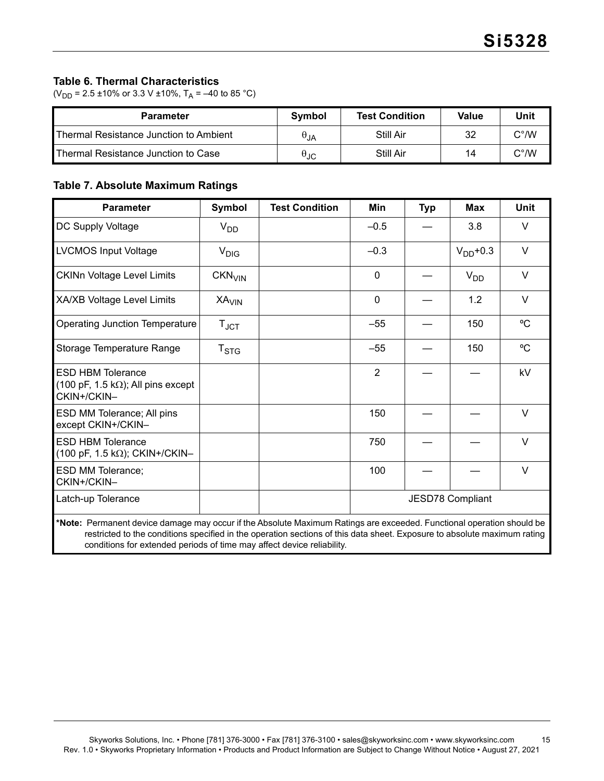# **Table 6. Thermal Characteristics**

( $V_{DD}$  = 2.5 ±10% or 3.3 V ±10%, T<sub>A</sub> = –40 to 85 °C)

| <b>Parameter</b>                              | Symbol               | <b>Test Condition</b> | Value | Unit          |
|-----------------------------------------------|----------------------|-----------------------|-------|---------------|
| <b>Thermal Resistance Junction to Ambient</b> | $\theta_{JA}$        | Still Air             | 32    | $C^{\circ}/W$ |
| <b>Thermal Resistance Junction to Case</b>    | $\theta_{\text{JC}}$ | Still Air             | 14    | C°/W          |

# **Table 7. Absolute Maximum Ratings**

| <b>Parameter</b>                                                                                                                                                                                                                                                                                                            | <b>Symbol</b>      | <b>Test Condition</b> | <b>Min</b>     | <b>Typ</b> | <b>Max</b>              | <b>Unit</b> |
|-----------------------------------------------------------------------------------------------------------------------------------------------------------------------------------------------------------------------------------------------------------------------------------------------------------------------------|--------------------|-----------------------|----------------|------------|-------------------------|-------------|
| DC Supply Voltage                                                                                                                                                                                                                                                                                                           | $V_{DD}$           |                       | $-0.5$         |            | 3.8                     | $\vee$      |
| <b>LVCMOS Input Voltage</b>                                                                                                                                                                                                                                                                                                 | $V_{\text{DIG}}$   |                       | $-0.3$         |            | $V_{DD}$ +0.3           | $\vee$      |
| <b>CKINn Voltage Level Limits</b>                                                                                                                                                                                                                                                                                           | CKN <sub>VIN</sub> |                       | $\mathbf{0}$   |            | $V_{DD}$                | $\vee$      |
| <b>XA/XB Voltage Level Limits</b>                                                                                                                                                                                                                                                                                           | XA <sub>VIN</sub>  |                       | $\mathbf 0$    |            | 1.2                     | $\vee$      |
| <b>Operating Junction Temperature</b>                                                                                                                                                                                                                                                                                       | $T_{\text{JCT}}$   |                       | $-55$          |            | 150                     | $^{\circ}$  |
| Storage Temperature Range                                                                                                                                                                                                                                                                                                   | $T_{STG}$          |                       | $-55$          |            | 150                     | °C          |
| <b>ESD HBM Tolerance</b><br>$(100 \text{ pF}, 1.5 \text{ k}\Omega)$ ; All pins except<br>CKIN+/CKIN-                                                                                                                                                                                                                        |                    |                       | $\overline{2}$ |            |                         | kV          |
| ESD MM Tolerance; All pins<br>except CKIN+/CKIN-                                                                                                                                                                                                                                                                            |                    |                       | 150            |            |                         | $\vee$      |
| <b>ESD HBM Tolerance</b><br>$(100 \text{ pF}, 1.5 \text{ k}\Omega)$ ; CKIN+/CKIN-                                                                                                                                                                                                                                           |                    |                       | 750            |            |                         | $\vee$      |
| <b>ESD MM Tolerance;</b><br>CKIN+/CKIN-                                                                                                                                                                                                                                                                                     |                    |                       | 100            |            |                         | $\vee$      |
| Latch-up Tolerance                                                                                                                                                                                                                                                                                                          |                    |                       |                |            | <b>JESD78 Compliant</b> |             |
| *Note: Permanent device damage may occur if the Absolute Maximum Ratings are exceeded. Functional operation should be<br>restricted to the conditions specified in the operation sections of this data sheet. Exposure to absolute maximum rating<br>conditions for extended periods of time may affect device reliability. |                    |                       |                |            |                         |             |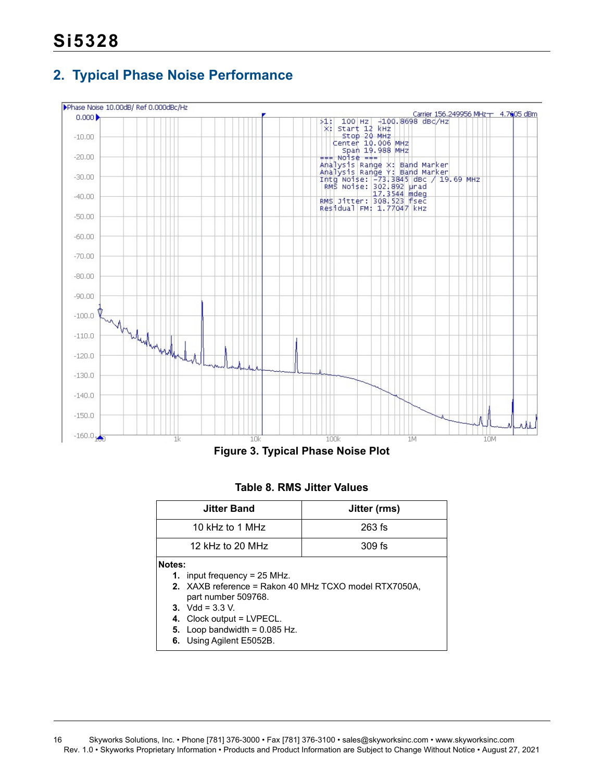# <span id="page-15-0"></span>**2. Typical Phase Noise Performance**



**Figure 3. Typical Phase Noise Plot**

### **Table 8. RMS Jitter Values**

|        | <b>Jitter Band</b>                                                                                                                                | Jitter (rms)                                          |
|--------|---------------------------------------------------------------------------------------------------------------------------------------------------|-------------------------------------------------------|
|        | 10 kHz to 1 MHz                                                                                                                                   | $263$ fs                                              |
|        | 12 kHz to 20 MHz                                                                                                                                  | 309 fs                                                |
| Notes: | <b>1.</b> input frequency = $25$ MHz.<br>part number 509768.<br>3. Vdd = $3.3$ V.<br>4. Clock output = LVPECL.<br>5. Loop bandwidth = $0.085$ Hz. | 2. XAXB reference = Rakon 40 MHz TCXO model RTX7050A, |
|        | 6. Using Agilent E5052B.                                                                                                                          |                                                       |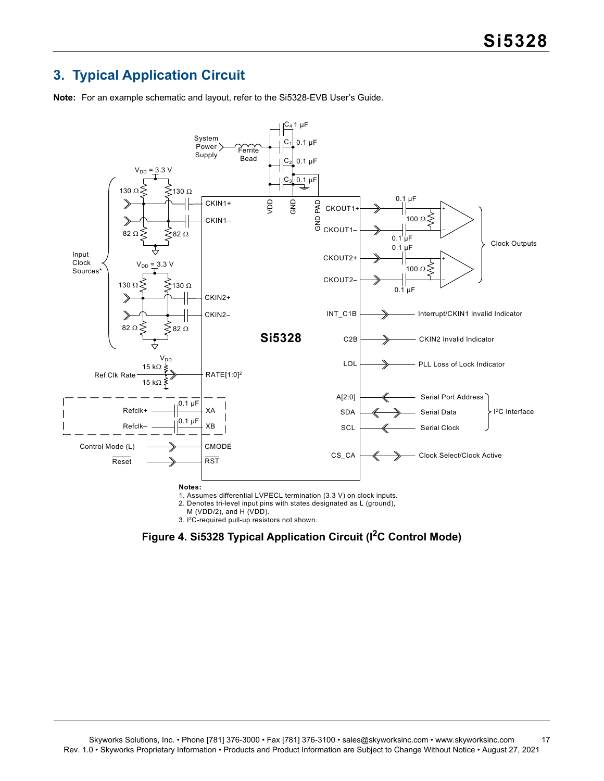# <span id="page-16-0"></span>**3. Typical Application Circuit**

**Note:** For an example schematic and layout, refer to the Si5328-EVB User's Guide.



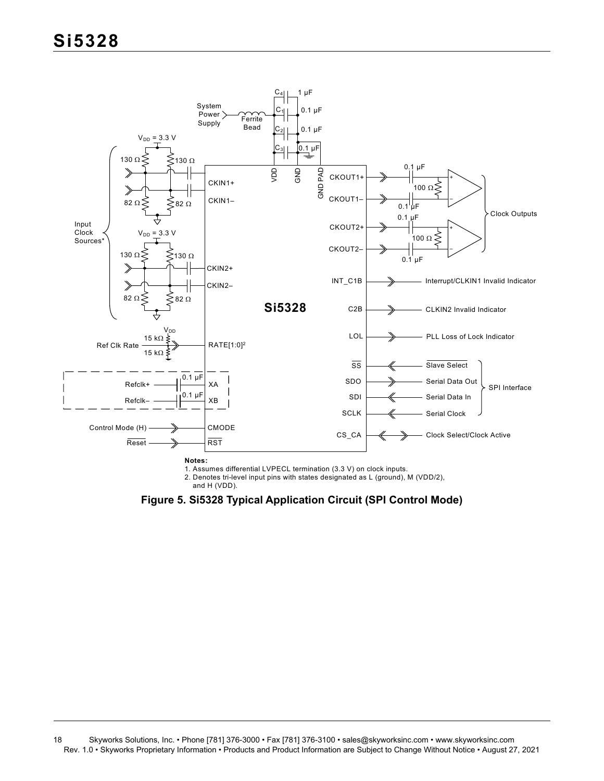

1. Assumes differential LVPECL termination (3.3 V) on clock inputs.

2. Denotes tri-level input pins with states designated as L (ground), M (VDD/2),

and H (VDD).

**Figure 5. Si5328 Typical Application Circuit (SPI Control Mode)**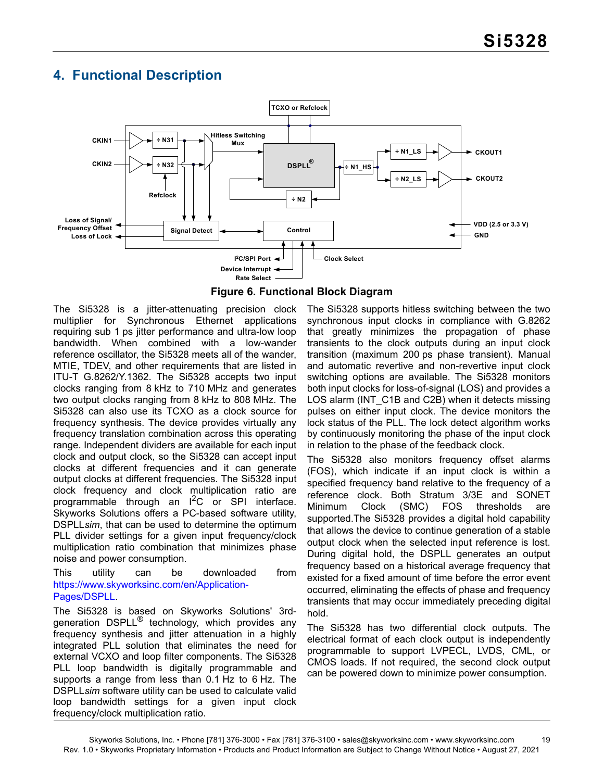# <span id="page-18-0"></span>**4. Functional Description**



**Figure 6. Functional Block Diagram**

The Si5328 is a jitter-attenuating precision clock multiplier for Synchronous Ethernet applications requiring sub 1 ps jitter performance and ultra-low loop bandwidth. When combined with a low-wander reference oscillator, the Si5328 meets all of the wander, MTIE, TDEV, and other requirements that are listed in ITU-T G.8262/Y.1362. The Si5328 accepts two input clocks ranging from 8 kHz to 710 MHz and generates two output clocks ranging from 8 kHz to 808 MHz. The Si5328 can also use its TCXO as a clock source for frequency synthesis. The device provides virtually any frequency translation combination across this operating range. Independent dividers are available for each input clock and output clock, so the Si5328 can accept input clocks at different frequencies and it can generate output clocks at different frequencies. The Si5328 input clock frequency and clock multiplication ratio are programmable through an I2C or SPI interface. Skyworks Solutions offers a PC-based software utility, DSPLL*sim*, that can be used to determine the optimum PLL divider settings for a given input frequency/clock multiplication ratio combination that minimizes phase noise and power consumption.

#### This utility can be downloaded from [https://www.skyworksinc.com/en/Application-](https://www.skyworksinc.com/en/Application-Pages/DSPLL)[Pages/DSPLL.](https://www.skyworksinc.com/en/Application-Pages/DSPLL)

The Si5328 is based on Skyworks Solutions' 3rdgeneration DSPLL<sup>®</sup> technology, which provides any frequency synthesis and jitter attenuation in a highly integrated PLL solution that eliminates the need for external VCXO and loop filter components. The Si5328 PLL loop bandwidth is digitally programmable and supports a range from less than 0.1 Hz to 6 Hz. The DSPLL*sim* software utility can be used to calculate valid loop bandwidth settings for a given input clock frequency/clock multiplication ratio.

The Si5328 supports hitless switching between the two synchronous input clocks in compliance with G.8262 that greatly minimizes the propagation of phase transients to the clock outputs during an input clock transition (maximum 200 ps phase transient). Manual and automatic revertive and non-revertive input clock switching options are available. The Si5328 monitors both input clocks for loss-of-signal (LOS) and provides a LOS alarm (INT\_C1B and C2B) when it detects missing pulses on either input clock. The device monitors the lock status of the PLL. The lock detect algorithm works by continuously monitoring the phase of the input clock in relation to the phase of the feedback clock.

The Si5328 also monitors frequency offset alarms (FOS), which indicate if an input clock is within a specified frequency band relative to the frequency of a reference clock. Both Stratum 3/3E and SONET Minimum Clock (SMC) FOS thresholds are supported.The Si5328 provides a digital hold capability that allows the device to continue generation of a stable output clock when the selected input reference is lost. During digital hold, the DSPLL generates an output frequency based on a historical average frequency that existed for a fixed amount of time before the error event occurred, eliminating the effects of phase and frequency transients that may occur immediately preceding digital hold.

The Si5328 has two differential clock outputs. The electrical format of each clock output is independently programmable to support LVPECL, LVDS, CML, or CMOS loads. If not required, the second clock output can be powered down to minimize power consumption.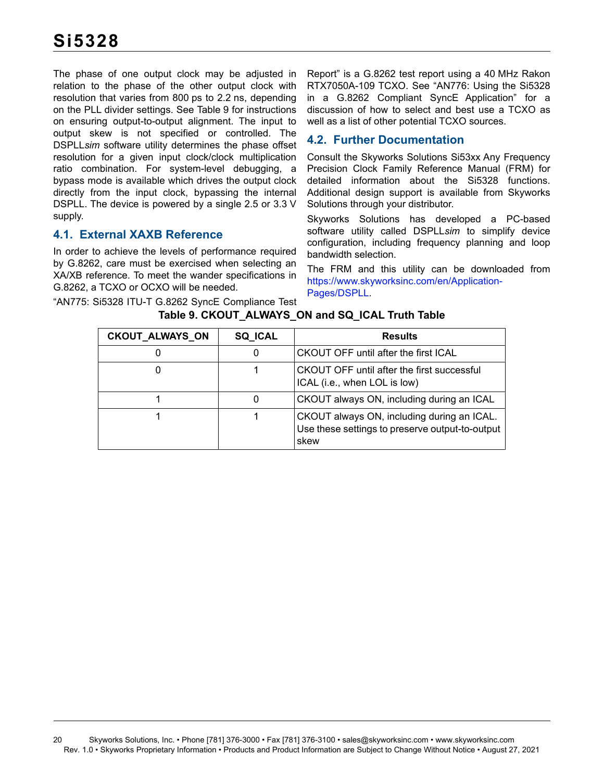The phase of one output clock may be adjusted in relation to the phase of the other output clock with resolution that varies from 800 ps to 2.2 ns, depending on the PLL divider settings. See [Table 9](#page-19-2) for instructions on ensuring output-to-output alignment. The input to output skew is not specified or controlled. The DSPLL*sim* software utility determines the phase offset resolution for a given input clock/clock multiplication ratio combination. For system-level debugging, a bypass mode is available which drives the output clock directly from the input clock, bypassing the internal DSPLL. The device is powered by a single 2.5 or 3.3 V supply.

# <span id="page-19-0"></span>**4.1. External XAXB Reference**

In order to achieve the levels of performance required by G.8262, care must be exercised when selecting an XA/XB reference. To meet the wander specifications in G.8262, a TCXO or OCXO will be needed.

<span id="page-19-2"></span>"AN775: Si5328 ITU-T G.8262 SyncE Compliance Test

Report" is a G.8262 test report using a 40 MHz Rakon RTX7050A-109 TCXO. See "AN776: Using the Si5328 in a G.8262 Compliant SyncE Application" for a discussion of how to select and best use a TCXO as well as a list of other potential TCXO sources.

# <span id="page-19-1"></span>**4.2. Further Documentation**

Consult the Skyworks Solutions Si53xx Any Frequency Precision Clock Family Reference Manual (FRM) for detailed information about the Si5328 functions. Additional design support is available from Skyworks Solutions through your distributor.

Skyworks Solutions has developed a PC-based software utility called DSPLL*sim* to simplify device configuration, including frequency planning and loop bandwidth selection.

The FRM and this utility can be downloaded from [https://www.skyworksinc.com/en/Application-](https://www.skyworksinc.com/en/Application-Pages/DSPLL)[Pages/DSPLL](https://www.skyworksinc.com/en/Application-Pages/DSPLL).

| <b>CKOUT_ALWAYS_ON</b> | <b>SQ_ICAL</b> | <b>Results</b>                                                                                        |
|------------------------|----------------|-------------------------------------------------------------------------------------------------------|
|                        |                | CKOUT OFF until after the first ICAL                                                                  |
| 0                      |                | <b>CKOUT OFF until after the first successful</b><br>ICAL (i.e., when LOL is low)                     |
|                        |                | CKOUT always ON, including during an ICAL                                                             |
|                        |                | CKOUT always ON, including during an ICAL.<br>Use these settings to preserve output-to-output<br>skew |

**Table 9. CKOUT\_ALWAYS\_ON and SQ\_ICAL Truth Table**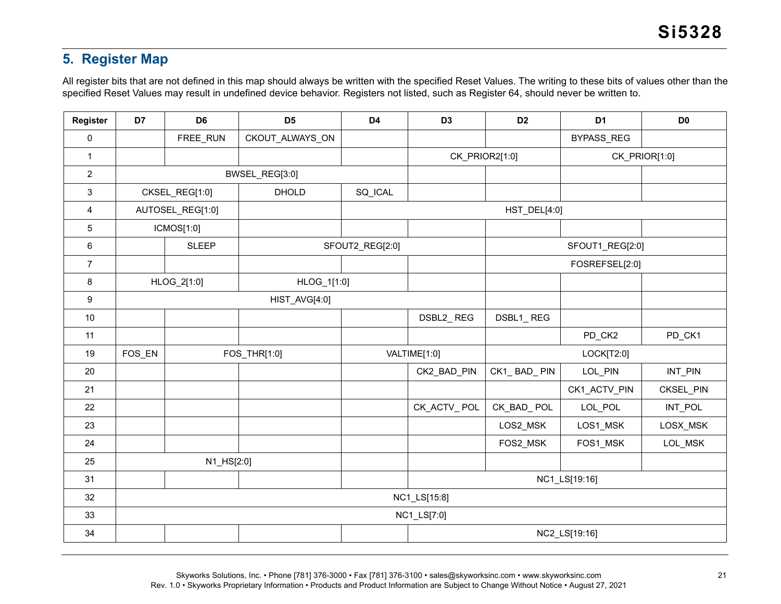# **5. Register Map**

All register bits that are not defined in this map should always be written with the specified Reset Values. The writing to these bits of values other than the specified Reset Values may result in undefined device behavior. Registers not listed, such as Register 64, should never be written to.

<span id="page-20-0"></span>

| Register       | D7             | D <sub>6</sub>   | D <sub>5</sub>  | D <sub>4</sub>  | D <sub>3</sub> | D <sub>2</sub> | D <sub>1</sub>  | D <sub>0</sub> |
|----------------|----------------|------------------|-----------------|-----------------|----------------|----------------|-----------------|----------------|
| $\pmb{0}$      |                | FREE_RUN         | CKOUT_ALWAYS_ON |                 |                |                | BYPASS_REG      |                |
| $\mathbf{1}$   |                |                  |                 |                 | CK_PRIOR2[1:0] |                | CK_PRIOR[1:0]   |                |
| $\overline{2}$ | BWSEL_REG[3:0] |                  |                 |                 |                |                |                 |                |
| $\mathfrak{S}$ |                | CKSEL_REG[1:0]   | DHOLD           | SQ_ICAL         |                |                |                 |                |
| 4              |                | AUTOSEL_REG[1:0] |                 |                 |                | HST_DEL[4:0]   |                 |                |
| 5              |                | ICMOS[1:0]       |                 |                 |                |                |                 |                |
| 6              |                | <b>SLEEP</b>     |                 | SFOUT2_REG[2:0] |                |                | SFOUT1_REG[2:0] |                |
| $\overline{7}$ |                |                  |                 |                 |                |                | FOSREFSEL[2:0]  |                |
| 8              |                | HLOG_2[1:0]      | HLOG_1[1:0]     |                 |                |                |                 |                |
| 9              | HIST_AVG[4:0]  |                  |                 |                 |                |                |                 |                |
| 10             |                |                  |                 |                 | DSBL2_REG      | DSBL1_REG      |                 |                |
| 11             |                |                  |                 |                 |                |                | PD_CK2          | PD_CK1         |
| 19             | FOS_EN         |                  | FOS_THR[1:0]    |                 | VALTIME[1:0]   |                | LOCK[T2:0]      |                |
| 20             |                |                  |                 |                 | CK2_BAD_PIN    | CK1_BAD_PIN    | LOL_PIN         | INT_PIN        |
| 21             |                |                  |                 |                 |                |                | CK1_ACTV_PIN    | CKSEL_PIN      |
| 22             |                |                  |                 |                 | CK_ACTV_POL    | CK_BAD_POL     | LOL_POL         | INT_POL        |
| 23             |                |                  |                 |                 |                | LOS2_MSK       | LOS1_MSK        | LOSX_MSK       |
| 24             |                |                  |                 |                 |                | FOS2_MSK       | FOS1_MSK        | LOL_MSK        |
| 25             |                | N1_HS[2:0]       |                 |                 |                |                |                 |                |
| 31             |                |                  |                 |                 |                | NC1_LS[19:16]  |                 |                |
| 32             | NC1_LS[15:8]   |                  |                 |                 |                |                |                 |                |
| 33             |                |                  |                 |                 | NC1_LS[7:0]    |                |                 |                |
| 34             |                |                  |                 |                 |                |                | NC2_LS[19:16]   |                |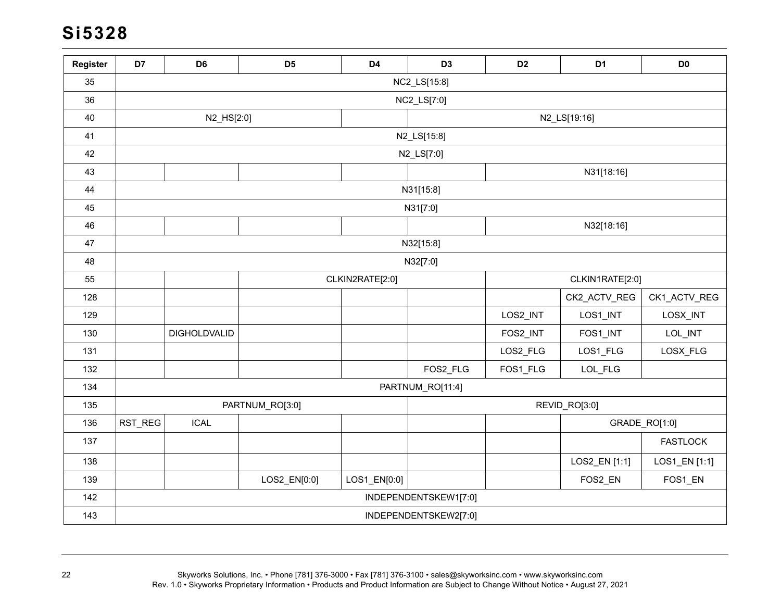# **Si5328**

| Register | D7      | D <sub>6</sub> | D <sub>5</sub>  | D <sub>4</sub>  | D <sub>3</sub>        | D <sub>2</sub>  | D <sub>1</sub> | D <sub>0</sub>  |  |
|----------|---------|----------------|-----------------|-----------------|-----------------------|-----------------|----------------|-----------------|--|
| 35       |         | NC2_LS[15:8]   |                 |                 |                       |                 |                |                 |  |
| 36       |         | NC2_LS[7:0]    |                 |                 |                       |                 |                |                 |  |
| 40       |         | N2_HS[2:0]     |                 |                 |                       |                 | N2_LS[19:16]   |                 |  |
| 41       |         |                |                 |                 | N2_LS[15:8]           |                 |                |                 |  |
| 42       |         |                |                 |                 | N2_LS[7:0]            |                 |                |                 |  |
| 43       |         |                |                 |                 |                       |                 | N31[18:16]     |                 |  |
| 44       |         |                |                 |                 | N31[15:8]             |                 |                |                 |  |
| 45       |         |                |                 |                 | N31[7:0]              |                 |                |                 |  |
| 46       |         |                |                 |                 |                       |                 | N32[18:16]     |                 |  |
| 47       |         |                |                 |                 | N32[15:8]             |                 |                |                 |  |
| 48       |         |                |                 |                 | N32[7:0]              |                 |                |                 |  |
| 55       |         |                |                 | CLKIN2RATE[2:0] |                       | CLKIN1RATE[2:0] |                |                 |  |
| 128      |         |                |                 |                 |                       |                 | CK2_ACTV_REG   | CK1_ACTV_REG    |  |
| 129      |         |                |                 |                 |                       | LOS2_INT        | LOS1_INT       | LOSX_INT        |  |
| 130      |         | DIGHOLDVALID   |                 |                 |                       | FOS2_INT        | FOS1_INT       | LOL_INT         |  |
| 131      |         |                |                 |                 |                       | LOS2_FLG        | LOS1_FLG       | LOSX_FLG        |  |
| 132      |         |                |                 |                 | FOS2_FLG              | FOS1_FLG        | LOL_FLG        |                 |  |
| 134      |         |                |                 |                 | PARTNUM_RO[11:4]      |                 |                |                 |  |
| 135      |         |                | PARTNUM_RO[3:0] |                 |                       |                 | REVID_RO[3:0]  |                 |  |
| 136      | RST_REG | <b>ICAL</b>    |                 |                 |                       |                 |                | GRADE_RO[1:0]   |  |
| 137      |         |                |                 |                 |                       |                 |                | <b>FASTLOCK</b> |  |
| 138      |         |                |                 |                 |                       |                 | LOS2_EN [1:1]  | LOS1_EN [1:1]   |  |
| 139      |         |                | LOS2_EN[0:0]    | LOS1_EN[0:0]    |                       |                 | FOS2_EN        | FOS1_EN         |  |
| 142      |         |                |                 |                 | INDEPENDENTSKEW1[7:0] |                 |                |                 |  |
| 143      |         |                |                 |                 | INDEPENDENTSKEW2[7:0] |                 |                |                 |  |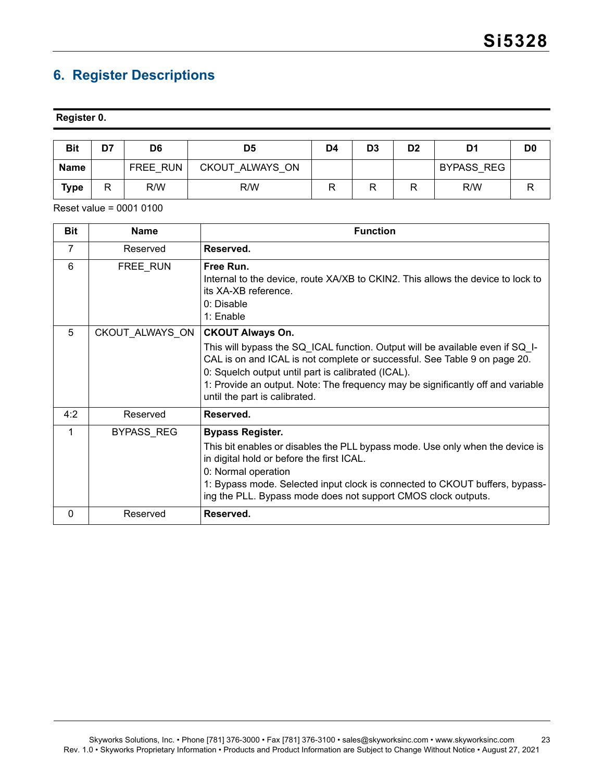# <span id="page-22-0"></span>**6. Register Descriptions**

#### **Register 0.**

| <b>Bit</b>  | D7 | D6       | D5              | D4 | D <sub>3</sub> | D <sub>2</sub> | D1                | D <sub>0</sub> |
|-------------|----|----------|-----------------|----|----------------|----------------|-------------------|----------------|
| <b>Name</b> |    | FREE RUN | CKOUT ALWAYS ON |    |                |                | <b>BYPASS REG</b> |                |
| Type        |    | R/W      | R/W             |    |                | R              | R/W               |                |

| <b>Bit</b> | <b>Name</b>     | <b>Function</b>                                                                                                                                                                                                                                                                                                                                                 |
|------------|-----------------|-----------------------------------------------------------------------------------------------------------------------------------------------------------------------------------------------------------------------------------------------------------------------------------------------------------------------------------------------------------------|
| 7          | Reserved        | Reserved.                                                                                                                                                                                                                                                                                                                                                       |
| 6          | FREE_RUN        | Free Run.<br>Internal to the device, route XA/XB to CKIN2. This allows the device to lock to<br>its XA-XB reference.<br>0: Disable<br>$1:$ Enable                                                                                                                                                                                                               |
| 5          | CKOUT_ALWAYS_ON | <b>CKOUT Always On.</b><br>This will bypass the SQ_ICAL function. Output will be available even if SQ_I-<br>CAL is on and ICAL is not complete or successful. See Table 9 on page 20.<br>0: Squelch output until part is calibrated (ICAL).<br>1: Provide an output. Note: The frequency may be significantly off and variable<br>until the part is calibrated. |
| 4:2        | Reserved        | Reserved.                                                                                                                                                                                                                                                                                                                                                       |
| 1          | BYPASS_REG      | <b>Bypass Register.</b><br>This bit enables or disables the PLL bypass mode. Use only when the device is<br>in digital hold or before the first ICAL.<br>0: Normal operation<br>1: Bypass mode. Selected input clock is connected to CKOUT buffers, bypass-<br>ing the PLL. Bypass mode does not support CMOS clock outputs.                                    |
| 0          | Reserved        | Reserved.                                                                                                                                                                                                                                                                                                                                                       |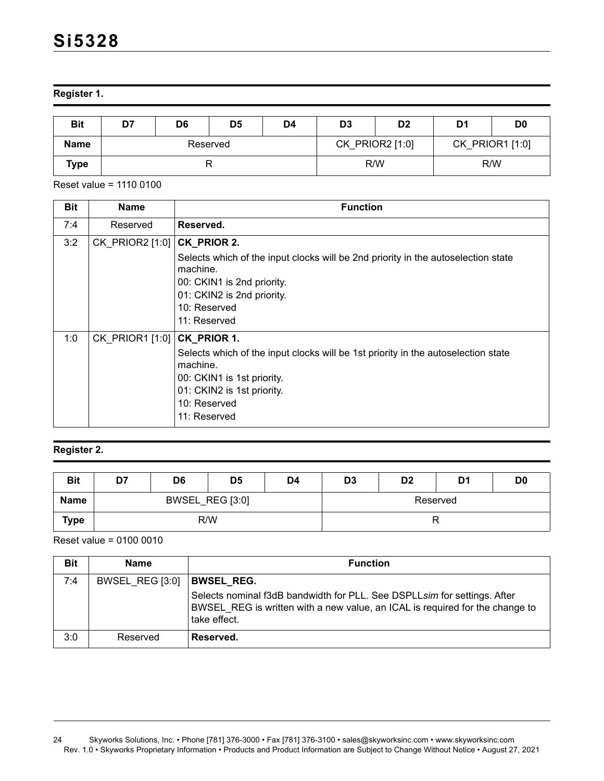**Register 1.** 

| <b>Bit</b>  | D7 | D <sub>6</sub> | D <sub>5</sub> | D4 | D <sub>3</sub>                     | D <sub>2</sub> | D <sub>1</sub> | D <sub>0</sub> |
|-------------|----|----------------|----------------|----|------------------------------------|----------------|----------------|----------------|
| <b>Name</b> |    |                | Reserved       |    | CK_PRIOR2 [1:0]<br>CK_PRIOR1 [1:0] |                |                |                |
| Type        |    |                |                |    | R/W                                |                |                | R/W            |

Reset value = 1110 0100

| <b>Bit</b> | <b>Name</b>     | <b>Function</b>                                                                                                                                                                                            |
|------------|-----------------|------------------------------------------------------------------------------------------------------------------------------------------------------------------------------------------------------------|
| 7:4        | Reserved        | Reserved.                                                                                                                                                                                                  |
| 3:2        | CK_PRIOR2 [1:0] | CK_PRIOR 2.<br>Selects which of the input clocks will be 2nd priority in the autoselection state<br>machine.<br>00: CKIN1 is 2nd priority.                                                                 |
|            |                 | 01: CKIN2 is 2nd priority.<br>10: Reserved<br>11: Reserved                                                                                                                                                 |
| 1:0        | CK PRIOR1 [1:0] | CK_PRIOR 1.<br>Selects which of the input clocks will be 1st priority in the autoselection state<br>machine.<br>00: CKIN1 is 1st priority.<br>01: CKIN2 is 1st priority.<br>$10:$ Reserved<br>11: Reserved |

# **Register 2.**

| <b>Bit</b>  | D7 | D6              | D <sub>5</sub> | D4 | D <sub>3</sub> | D <sub>2</sub> | D1 | D <sub>0</sub> |  |
|-------------|----|-----------------|----------------|----|----------------|----------------|----|----------------|--|
| <b>Name</b> |    | BWSEL_REG [3:0] |                |    | Reserved       |                |    |                |  |
| <b>Type</b> |    | R/W             |                |    |                |                |    |                |  |

| <b>Bit</b> | <b>Name</b>     | <b>Function</b>                                                                                                                                                          |
|------------|-----------------|--------------------------------------------------------------------------------------------------------------------------------------------------------------------------|
| 7:4        | BWSEL REG [3:0] | <b>BWSEL REG.</b>                                                                                                                                                        |
|            |                 | Selects nominal f3dB bandwidth for PLL. See DSPLLsim for settings. After<br>BWSEL REG is written with a new value, an ICAL is required for the change to<br>take effect. |
| 3:0        | Reserved        | Reserved.                                                                                                                                                                |

<sup>24</sup> Skyworks Solutions, Inc. • Phone [781] 376-3000 • Fax [781] 376-3100 • sales@skyworksinc.com • www.skyworksinc.com Rev. 1.0 • Skyworks Proprietary Information • Products and Product Information are Subject to Change Without Notice • August 27, 2021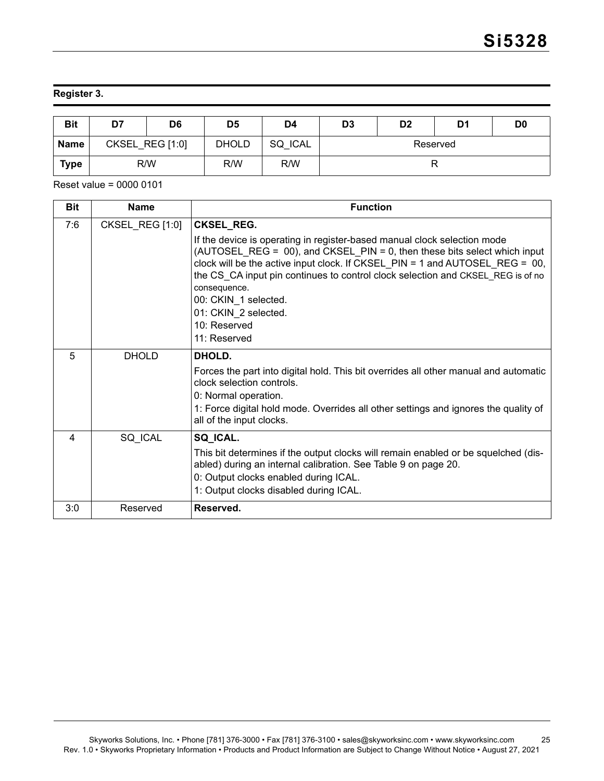# **Register 3.**

| <b>Bit</b>  | D7              | D <sub>6</sub> | D5           | D4             | D <sub>3</sub> | D <sub>2</sub> | D1 | D <sub>0</sub> |
|-------------|-----------------|----------------|--------------|----------------|----------------|----------------|----|----------------|
| <b>Name</b> | CKSEL REG [1:0] |                | <b>DHOLD</b> | <b>SQ ICAL</b> | Reserved       |                |    |                |
| <b>Type</b> | R/W             |                | R/W          | R/W            |                |                |    |                |

| <b>Bit</b> | <b>Name</b>     | <b>Function</b>                                                                                                                                                                                                                                                                                                                                                                                                               |
|------------|-----------------|-------------------------------------------------------------------------------------------------------------------------------------------------------------------------------------------------------------------------------------------------------------------------------------------------------------------------------------------------------------------------------------------------------------------------------|
| 7:6        | CKSEL REG [1:0] | <b>CKSEL_REG.</b>                                                                                                                                                                                                                                                                                                                                                                                                             |
|            |                 | If the device is operating in register-based manual clock selection mode<br>(AUTOSEL REG = $00$ ), and CKSEL PIN = 0, then these bits select which input<br>clock will be the active input clock. If CKSEL $PIN = 1$ and AUTOSEL REG = 00,<br>the CS CA input pin continues to control clock selection and CKSEL REG is of no<br>consequence.<br>00: CKIN_1 selected.<br>01: CKIN 2 selected.<br>10: Reserved<br>11: Reserved |
| 5          | <b>DHOLD</b>    | DHOLD.                                                                                                                                                                                                                                                                                                                                                                                                                        |
|            |                 | Forces the part into digital hold. This bit overrides all other manual and automatic<br>clock selection controls.<br>0: Normal operation.<br>1: Force digital hold mode. Overrides all other settings and ignores the quality of<br>all of the input clocks.                                                                                                                                                                  |
|            |                 |                                                                                                                                                                                                                                                                                                                                                                                                                               |
| 4          | SQ_ICAL         | SQ_ICAL.<br>This bit determines if the output clocks will remain enabled or be squelched (dis-<br>abled) during an internal calibration. See Table 9 on page 20.<br>0: Output clocks enabled during ICAL.<br>1: Output clocks disabled during ICAL.                                                                                                                                                                           |
| 3:0        | Reserved        | Reserved.                                                                                                                                                                                                                                                                                                                                                                                                                     |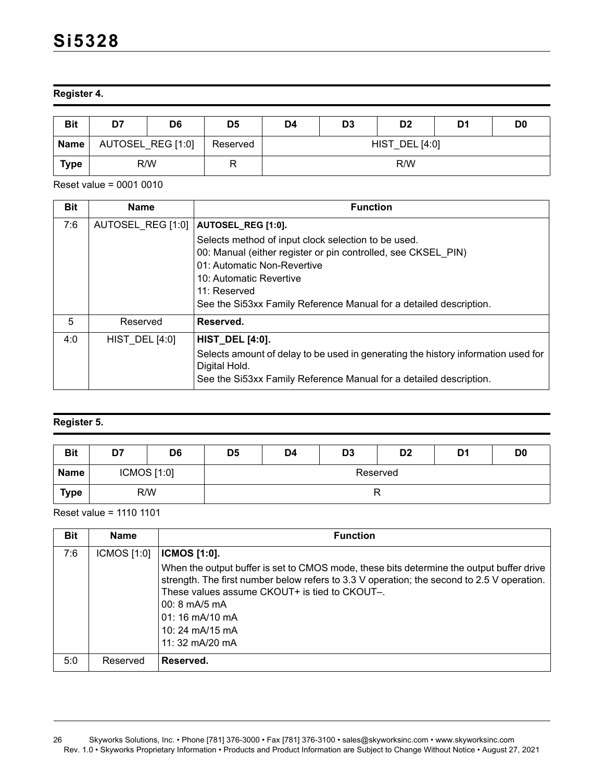# **Register 4.**

| <b>Bit</b>  | D7                | D <sub>6</sub> | D <sub>5</sub> | D4                    | D <sub>3</sub> | D <sub>2</sub> | D1 | D <sub>0</sub> |
|-------------|-------------------|----------------|----------------|-----------------------|----------------|----------------|----|----------------|
| <b>Name</b> | AUTOSEL_REG [1:0] |                | Reserved       | <b>HIST_DEL [4:0]</b> |                |                |    |                |
| <b>Type</b> | R/W               |                |                | R/W                   |                |                |    |                |

Reset value = 0001 0010

| <b>Name</b>           | <b>Function</b>                                                                                                                                                          |
|-----------------------|--------------------------------------------------------------------------------------------------------------------------------------------------------------------------|
| AUTOSEL REG [1:0]     | AUTOSEL_REG [1:0].                                                                                                                                                       |
|                       | Selects method of input clock selection to be used.                                                                                                                      |
|                       | 00: Manual (either register or pin controlled, see CKSEL PIN)                                                                                                            |
|                       | 01: Automatic Non-Revertive                                                                                                                                              |
|                       | 10: Automatic Revertive                                                                                                                                                  |
|                       | 11: Reserved                                                                                                                                                             |
|                       | See the Si53xx Family Reference Manual for a detailed description.                                                                                                       |
| Reserved              | Reserved.                                                                                                                                                                |
| <b>HIST DEL [4:0]</b> | <b>HIST_DEL [4:0].</b>                                                                                                                                                   |
|                       | Selects amount of delay to be used in generating the history information used for<br>Digital Hold.<br>See the Si53xx Family Reference Manual for a detailed description. |
|                       |                                                                                                                                                                          |

### **Register 5.**

| <b>Bit</b>  | D7          | D <sub>6</sub> | D <sub>5</sub> | D4       | D <sub>3</sub> | D <sub>2</sub> | D1 | D <sub>0</sub> |  |
|-------------|-------------|----------------|----------------|----------|----------------|----------------|----|----------------|--|
| <b>Name</b> | ICMOS [1:0] |                |                | Reserved |                |                |    |                |  |
| Type        | R/W         |                |                |          |                |                |    |                |  |

Reset value = 1110 1101

| <b>Bit</b> | <b>Name</b> | <b>Function</b>                                                                                                                                                                                                                                                                                                                                        |
|------------|-------------|--------------------------------------------------------------------------------------------------------------------------------------------------------------------------------------------------------------------------------------------------------------------------------------------------------------------------------------------------------|
| 7:6        | ICMOS [1:0] | <b>ICMOS [1:0].</b>                                                                                                                                                                                                                                                                                                                                    |
|            |             | When the output buffer is set to CMOS mode, these bits determine the output buffer drive<br>strength. The first number below refers to 3.3 V operation; the second to 2.5 V operation.<br>These values assume CKOUT+ is tied to CKOUT-.<br>$00:8 \text{ mA}/5 \text{ mA}$<br>$01:16 \text{ mA}/10 \text{ mA}$<br>10: 24 $mA/15mA$<br>11: 32 $mA/20 mA$ |
| 5:0        | Reserved    | Reserved.                                                                                                                                                                                                                                                                                                                                              |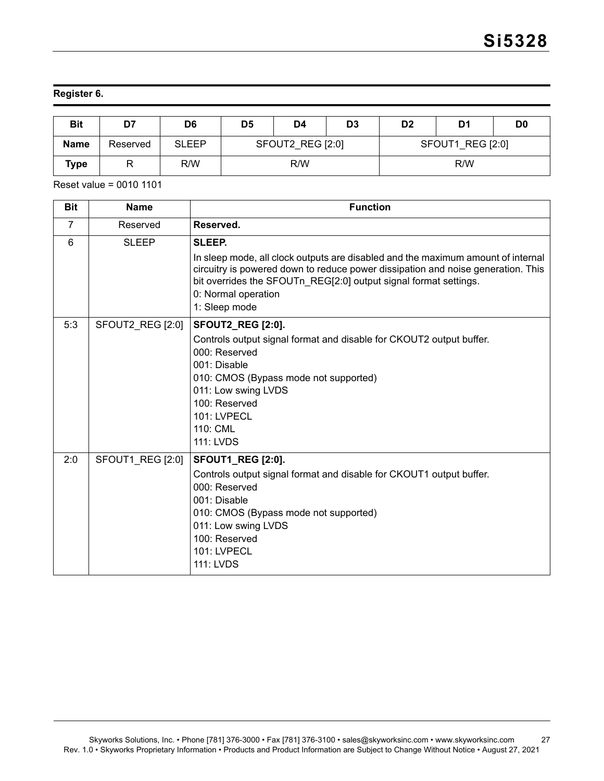# **Register 6.**

| <b>Bit</b>  | D7       | D6           | D <sub>5</sub>   | D4 | D <sub>3</sub>   | D <sub>2</sub> | D1  | D <sub>0</sub> |
|-------------|----------|--------------|------------------|----|------------------|----------------|-----|----------------|
| <b>Name</b> | Reserved | <b>SLEEP</b> | SFOUT2 REG [2:0] |    | SFOUT1 REG [2:0] |                |     |                |
| <b>Type</b> |          | R/W          | R/W              |    |                  |                | R/W |                |

| <b>Bit</b>     | <b>Name</b>      | <b>Function</b>                                                                                                                                                                                                                                                                            |
|----------------|------------------|--------------------------------------------------------------------------------------------------------------------------------------------------------------------------------------------------------------------------------------------------------------------------------------------|
| $\overline{7}$ | Reserved         | Reserved.                                                                                                                                                                                                                                                                                  |
| 6              | <b>SLEEP</b>     | SLEEP.<br>In sleep mode, all clock outputs are disabled and the maximum amount of internal<br>circuitry is powered down to reduce power dissipation and noise generation. This<br>bit overrides the SFOUTn_REG[2:0] output signal format settings.<br>0: Normal operation<br>1: Sleep mode |
| 5:3            | SFOUT2_REG [2:0] | <b>SFOUT2_REG [2:0].</b><br>Controls output signal format and disable for CKOUT2 output buffer.<br>000: Reserved<br>001: Disable<br>010: CMOS (Bypass mode not supported)<br>011: Low swing LVDS<br>100: Reserved<br><b>101: LVPECL</b><br>110: CML<br><b>111: LVDS</b>                    |
| 2:0            | SFOUT1 REG [2:0] | <b>SFOUT1_REG [2:0].</b><br>Controls output signal format and disable for CKOUT1 output buffer.<br>000: Reserved<br>001: Disable<br>010: CMOS (Bypass mode not supported)<br>011: Low swing LVDS<br>100: Reserved<br>101: LVPECL<br>111: LVDS                                              |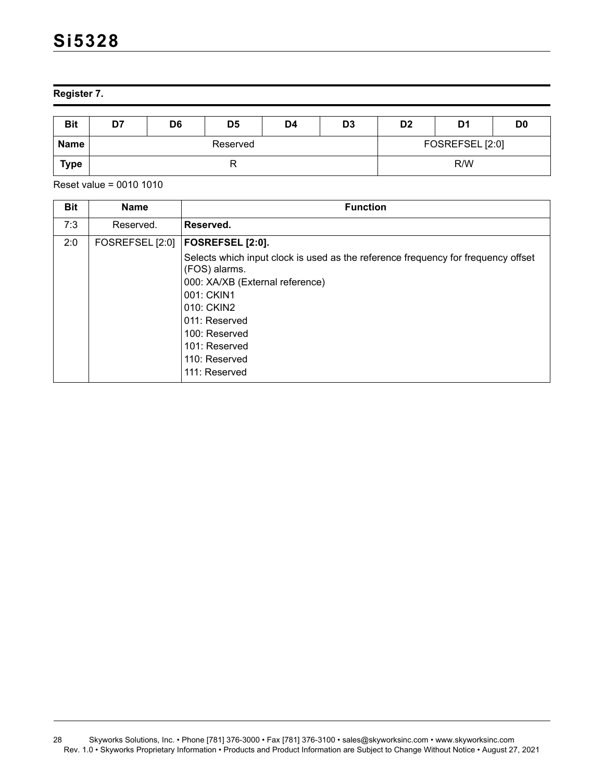**Register 7.** 

| <b>Bit</b>  | D7 | D <sub>6</sub> | D <sub>5</sub> | D4 | D <sub>3</sub>  | D <sub>2</sub> | D <sub>1</sub> | D <sub>0</sub> |
|-------------|----|----------------|----------------|----|-----------------|----------------|----------------|----------------|
| <b>Name</b> |    |                | Reserved       |    | FOSREFSEL [2:0] |                |                |                |
| <b>Type</b> |    |                | יי             |    | R/W             |                |                |                |

| <b>Bit</b> | <b>Name</b>     | <b>Function</b>                                                                                                                                                                                                                                                            |
|------------|-----------------|----------------------------------------------------------------------------------------------------------------------------------------------------------------------------------------------------------------------------------------------------------------------------|
| 7:3        | Reserved.       | Reserved.                                                                                                                                                                                                                                                                  |
| 2:0        | FOSREFSEL [2:0] | FOSREFSEL [2:0].<br>Selects which input clock is used as the reference frequency for frequency offset<br>(FOS) alarms.<br>000: XA/XB (External reference)<br>001: CKIN1<br>010: CKIN2<br>011: Reserved<br>100: Reserved<br>101: Reserved<br>110: Reserved<br>111: Reserved |

<sup>28</sup> Skyworks Solutions, Inc. • Phone [781] 376-3000 • Fax [781] 376-3100 • sales@skyworksinc.com • www.skyworksinc.com Rev. 1.0 • Skyworks Proprietary Information • Products and Product Information are Subject to Change Without Notice • August 27, 2021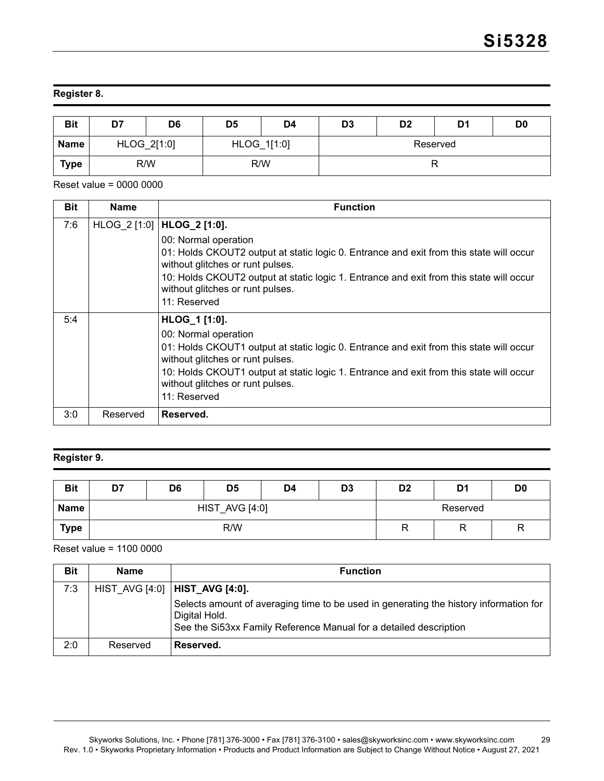# **Register 8.**

| <b>Bit</b>  | D7          | D <sub>6</sub> | D <sub>5</sub> | D4 | D <sub>3</sub> | D <sub>2</sub> | D1 | D <sub>0</sub> |
|-------------|-------------|----------------|----------------|----|----------------|----------------|----|----------------|
| <b>Name</b> | HLOG_2[1:0] |                | HLOG_1[1:0]    |    | Reserved       |                |    |                |
| <b>Type</b> | R/W         |                | R/W            |    |                |                |    |                |

Reset value = 0000 0000

| <b>Bit</b> | <b>Name</b> | <b>Function</b>                                                                                                                                                                                                                                                                                                                    |
|------------|-------------|------------------------------------------------------------------------------------------------------------------------------------------------------------------------------------------------------------------------------------------------------------------------------------------------------------------------------------|
| 7:6        |             | HLOG_2 [1:0]   HLOG_2 [1:0].<br>00: Normal operation<br>01: Holds CKOUT2 output at static logic 0. Entrance and exit from this state will occur<br>without glitches or runt pulses.<br>10: Holds CKOUT2 output at static logic 1. Entrance and exit from this state will occur<br>without glitches or runt pulses.<br>11: Reserved |
| 5:4        |             | HLOG_1 [1:0].<br>00: Normal operation<br>01: Holds CKOUT1 output at static logic 0. Entrance and exit from this state will occur<br>without glitches or runt pulses.<br>10: Holds CKOUT1 output at static logic 1. Entrance and exit from this state will occur<br>without glitches or runt pulses.<br>11: Reserved                |
| 3:0        | Reserved    | Reserved.                                                                                                                                                                                                                                                                                                                          |

### **Register 9.**

| <b>Bit</b>  | D7 | D <sub>6</sub> | D <sub>5</sub>        | D4 | D <sub>3</sub> | D <sub>2</sub> | D <sub>1</sub> | D <sub>0</sub> |
|-------------|----|----------------|-----------------------|----|----------------|----------------|----------------|----------------|
| Name        |    |                | <b>HIST_AVG [4:0]</b> |    |                | Reserved       |                |                |
| <b>Type</b> |    |                | R/W                   |    | R              |                |                |                |

Reset value = 1100 0000

| <b>Bit</b> | Name     | <b>Function</b>                                                                                                                                                             |
|------------|----------|-----------------------------------------------------------------------------------------------------------------------------------------------------------------------------|
| 7:3        |          | HIST AVG [4:0]   HIST_AVG [4:0].                                                                                                                                            |
|            |          | Selects amount of averaging time to be used in generating the history information for<br>Digital Hold.<br>See the Si53xx Family Reference Manual for a detailed description |
| 2:0        | Reserved | Reserved.                                                                                                                                                                   |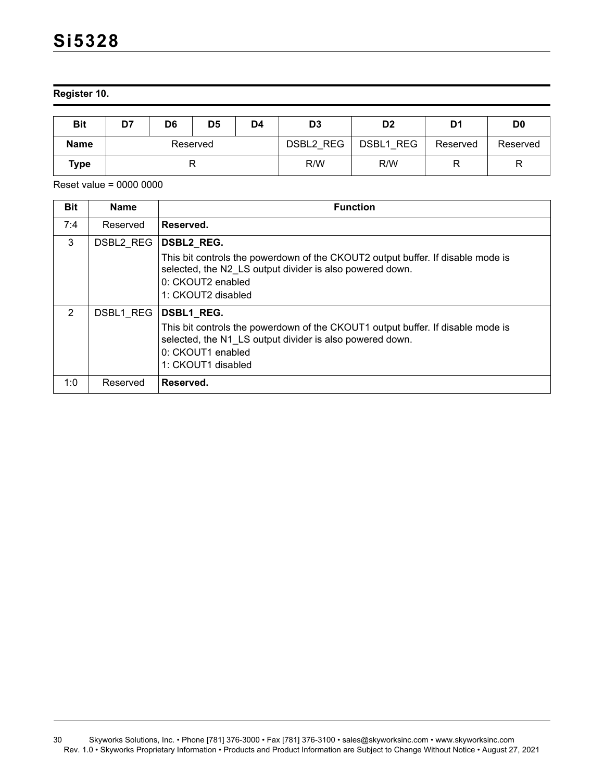**Register 10.** 

| <b>Bit</b>  | D7       | D <sub>5</sub><br>D6<br>D4 |  | D <sub>3</sub> | D <sub>2</sub> | D1        | D <sub>0</sub> |          |
|-------------|----------|----------------------------|--|----------------|----------------|-----------|----------------|----------|
| <b>Name</b> | Reserved |                            |  |                | DSBL2 REG      | DSBL1 REG | Reserved       | Reserved |
| Type        |          |                            |  | R/W            | R/W            |           |                |          |

| <b>Bit</b> | <b>Name</b> | <b>Function</b>                                                                                                                                                                                             |
|------------|-------------|-------------------------------------------------------------------------------------------------------------------------------------------------------------------------------------------------------------|
| 7:4        | Reserved    | Reserved.                                                                                                                                                                                                   |
| 3          | DSBL2 REG   | <b>DSBL2 REG.</b><br>This bit controls the powerdown of the CKOUT2 output buffer. If disable mode is<br>selected, the N2 LS output divider is also powered down.<br>0: CKOUT2 enabled<br>1: CKOUT2 disabled |
| 2          | DSBL1 REG   | DSBL1_REG.<br>This bit controls the powerdown of the CKOUT1 output buffer. If disable mode is<br>selected, the N1 LS output divider is also powered down.<br>0: CKOUT1 enabled<br>1: CKOUT1 disabled        |
| 1:0        | Reserved    | Reserved.                                                                                                                                                                                                   |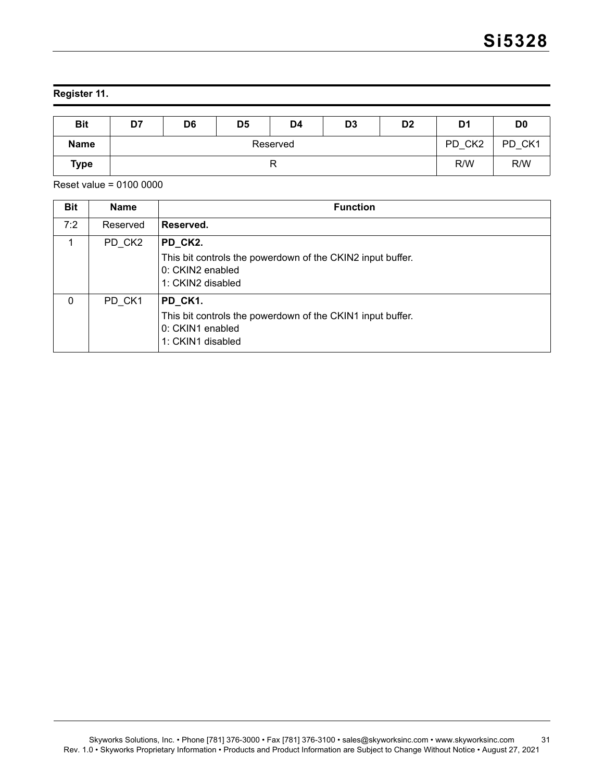# **Register 11.**

| <b>Bit</b>  | D7 | D <sub>6</sub> | D <sub>5</sub> | D4     | D <sub>3</sub> | D <sub>2</sub> | D <sub>1</sub> | D <sub>0</sub> |
|-------------|----|----------------|----------------|--------|----------------|----------------|----------------|----------------|
| <b>Name</b> |    |                | PD CK2         | PD CK1 |                |                |                |                |
| <b>Type</b> |    |                |                |        |                |                |                |                |

| <b>Bit</b> | <b>Name</b> | <b>Function</b>                                                                                                |
|------------|-------------|----------------------------------------------------------------------------------------------------------------|
| 7:2        | Reserved    | Reserved.                                                                                                      |
| 1          | PD CK2      | PD_CK2.<br>This bit controls the powerdown of the CKIN2 input buffer.<br>0: CKIN2 enabled<br>1: CKIN2 disabled |
| $\Omega$   | PD CK1      | PD CK1.<br>This bit controls the powerdown of the CKIN1 input buffer.<br>0: CKIN1 enabled<br>1: CKIN1 disabled |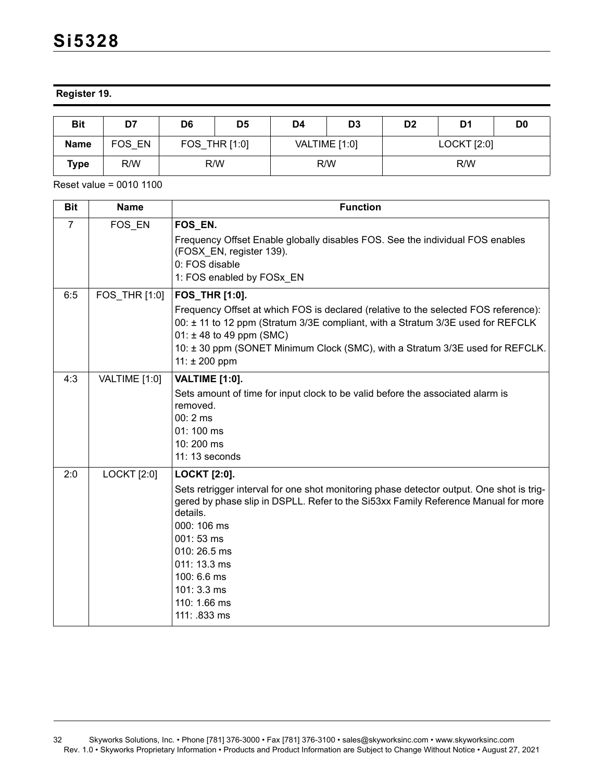### **Register 19.**

| <b>Bit</b>  | D7     | D6            | D <sub>5</sub> | D4            | D <sub>3</sub> | D <sub>2</sub> | D1 | D <sub>0</sub> |
|-------------|--------|---------------|----------------|---------------|----------------|----------------|----|----------------|
| <b>Name</b> | FOS EN | FOS THR [1:0] |                | VALTIME [1:0] |                | LOCKT [2:0]    |    |                |
| Type        | R/W    | R/W           |                | R/W           |                | R/W            |    |                |

| <b>Bit</b>     | <b>Name</b>        | <b>Function</b>                                                                                                                                                                                                                                                                                                                             |
|----------------|--------------------|---------------------------------------------------------------------------------------------------------------------------------------------------------------------------------------------------------------------------------------------------------------------------------------------------------------------------------------------|
| $\overline{7}$ | FOS_EN             | FOS_EN.<br>Frequency Offset Enable globally disables FOS. See the individual FOS enables<br>(FOSX EN, register 139).<br>0: FOS disable<br>1: FOS enabled by FOSx EN                                                                                                                                                                         |
| 6:5            | FOS THR [1:0]      | FOS THR [1:0].<br>Frequency Offset at which FOS is declared (relative to the selected FOS reference):<br>00: ± 11 to 12 ppm (Stratum 3/3E compliant, with a Stratum 3/3E used for REFCLK<br>$01: \pm 48$ to 49 ppm (SMC)<br>10: ± 30 ppm (SONET Minimum Clock (SMC), with a Stratum 3/3E used for REFCLK.<br>$11: \pm 200$ ppm              |
| 4:3            | VALTIME [1:0]      | <b>VALTIME [1:0].</b><br>Sets amount of time for input clock to be valid before the associated alarm is<br>removed.<br>$00:2 \, \text{ms}$<br>01:100 ms<br>10:200 ms<br>11: 13 seconds                                                                                                                                                      |
| 2:0            | <b>LOCKT</b> [2:0] | <b>LOCKT [2:0].</b><br>Sets retrigger interval for one shot monitoring phase detector output. One shot is trig-<br>gered by phase slip in DSPLL. Refer to the Si53xx Family Reference Manual for more<br>details.<br>000: 106 ms<br>001:53 ms<br>$010:26.5$ ms<br>011: 13.3 ms<br>100: 6.6 ms<br>101:3.3 ms<br>110: 1.66 ms<br>111: .833 ms |

<sup>32</sup> Skyworks Solutions, Inc. • Phone [781] 376-3000 • Fax [781] 376-3100 • sales@skyworksinc.com • www.skyworksinc.com Rev. 1.0 • Skyworks Proprietary Information • Products and Product Information are Subject to Change Without Notice • August 27, 2021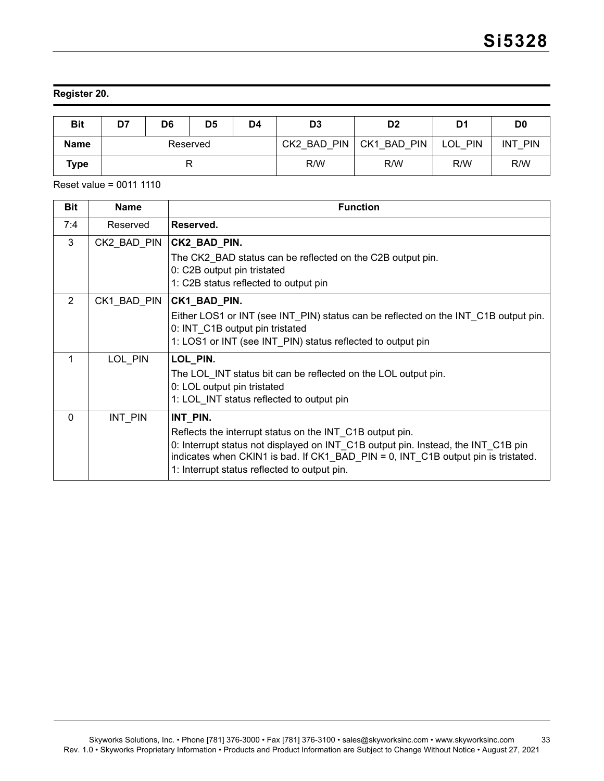### **Register 20.**

| <b>Bit</b>  | D7       | D <sub>5</sub><br>D6<br>D4 |  | D <sub>3</sub> | D <sub>2</sub> | D1          | D <sub>0</sub> |                          |
|-------------|----------|----------------------------|--|----------------|----------------|-------------|----------------|--------------------------|
| <b>Name</b> | Reserved |                            |  |                | CK2 BAD PIN    | CK1 BAD PIN | LOL<br>. PIN   | <b>INT</b><br><b>PIN</b> |
| Type        |          |                            |  | R/W            | R/W            | R/W         | R/W            |                          |

Reset value = 0011 1110

| <b>Bit</b>     | <b>Name</b> | <b>Function</b>                                                                                                                                                                                                                                                                                |
|----------------|-------------|------------------------------------------------------------------------------------------------------------------------------------------------------------------------------------------------------------------------------------------------------------------------------------------------|
| 7:4            | Reserved    | Reserved.                                                                                                                                                                                                                                                                                      |
| 3              | CK2_BAD_PIN | CK2_BAD_PIN.<br>The CK2 BAD status can be reflected on the C2B output pin.<br>0: C2B output pin tristated<br>1: C2B status reflected to output pin                                                                                                                                             |
| $\overline{2}$ | CK1 BAD PIN | CK1_BAD_PIN.<br>Either LOS1 or INT (see INT_PIN) status can be reflected on the INT_C1B output pin.<br>0: INT C1B output pin tristated<br>1: LOS1 or INT (see INT PIN) status reflected to output pin                                                                                          |
| 1              | LOL_PIN     | LOL_PIN.<br>The LOL INT status bit can be reflected on the LOL output pin.<br>0: LOL output pin tristated<br>1: LOL INT status reflected to output pin                                                                                                                                         |
| $\Omega$       | INT PIN     | INT PIN.<br>Reflects the interrupt status on the INT C1B output pin.<br>0: Interrupt status not displayed on INT_C1B output pin. Instead, the INT_C1B pin<br>indicates when CKIN1 is bad. If CK1_BAD_PIN = 0, INT_C1B output pin is tristated.<br>1: Interrupt status reflected to output pin. |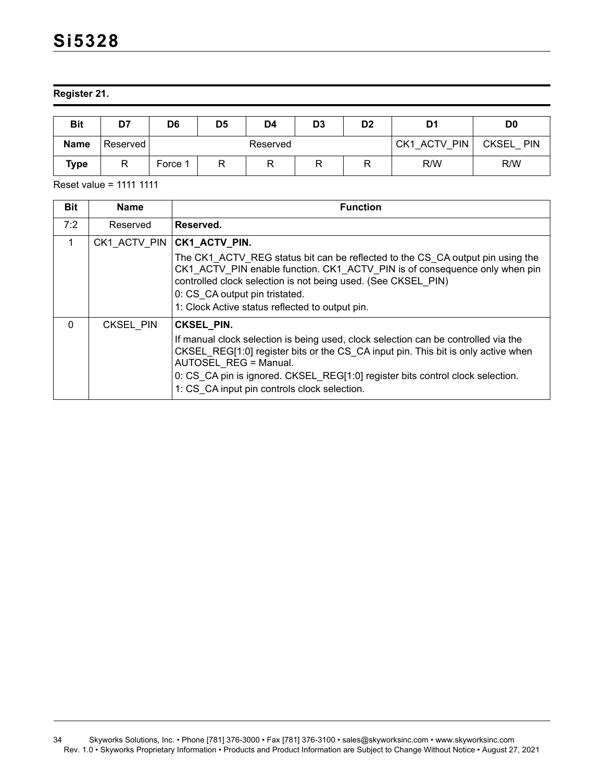**Register 21.** 

| <b>Bit</b>  | D7       | D6      | D5 | D4       | D <sub>3</sub> | D2                         | D1  | D <sub>0</sub> |
|-------------|----------|---------|----|----------|----------------|----------------------------|-----|----------------|
| <b>Name</b> | Reserved |         |    | Reserved | CK1 ACTV PIN   | <b>CKSEL</b><br><b>PIN</b> |     |                |
| Type        | D        | Force 1 | R  |          |                |                            | R/W | R/W            |

Reset value = 1111 1111

| <b>Bit</b> | <b>Name</b> | <b>Function</b>                                                                                                                                                                                                                                                                                                                                  |
|------------|-------------|--------------------------------------------------------------------------------------------------------------------------------------------------------------------------------------------------------------------------------------------------------------------------------------------------------------------------------------------------|
| 7:2        | Reserved    | Reserved.                                                                                                                                                                                                                                                                                                                                        |
| 1          |             | CK1 ACTV PIN CK1_ACTV_PIN.<br>The CK1 ACTV REG status bit can be reflected to the CS CA output pin using the<br>CK1 ACTV PIN enable function. CK1 ACTV PIN is of consequence only when pin<br>controlled clock selection is not being used. (See CKSEL PIN)<br>0: CS CA output pin tristated.<br>1: Clock Active status reflected to output pin. |
| $\Omega$   | CKSEL_PIN   | CKSEL PIN.<br>If manual clock selection is being used, clock selection can be controlled via the<br>CKSEL REG[1:0] register bits or the CS CA input pin. This bit is only active when<br>AUTOSEL REG = Manual.<br>0: CS CA pin is ignored. CKSEL REG[1:0] register bits control clock selection.<br>1: CS_CA input pin controls clock selection. |

<sup>34</sup> Skyworks Solutions, Inc. • Phone [781] 376-3000 • Fax [781] 376-3100 • sales@skyworksinc.com • www.skyworksinc.com Rev. 1.0 • Skyworks Proprietary Information • Products and Product Information are Subject to Change Without Notice • August 27, 2021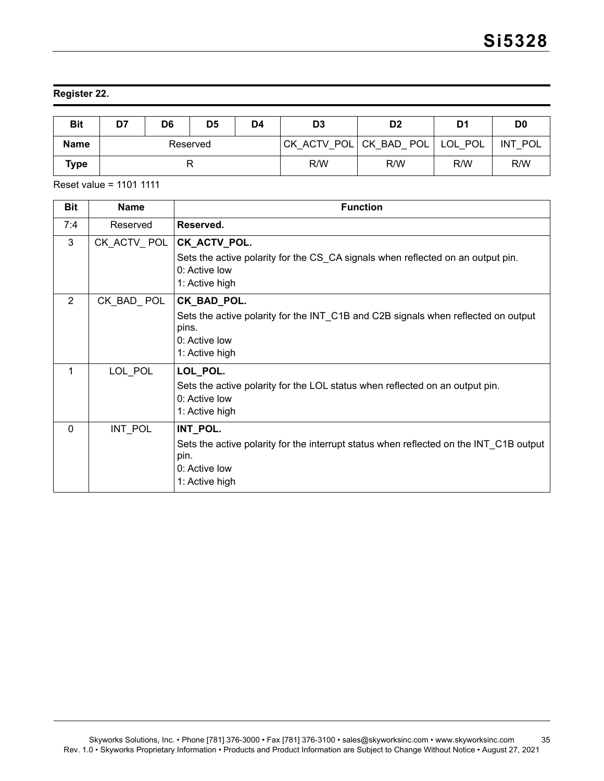### **Register 22.**

| <b>Bit</b>  | D7<br>D6<br>D <sub>5</sub><br>D4 |  | D <sub>3</sub> | D <sub>2</sub> | D1  | D <sub>0</sub>         |         |                     |
|-------------|----------------------------------|--|----------------|----------------|-----|------------------------|---------|---------------------|
| <b>Name</b> | Reserved                         |  |                |                |     | CK ACTV POL CK BAD POL | LOL POL | <b>INT</b><br>∵ POL |
| Type        |                                  |  |                | R/W            | R/W | R/W                    | R/W     |                     |

Reset value = 1101 1111

| <b>Bit</b>     | <b>Name</b> | <b>Function</b>                                                                        |
|----------------|-------------|----------------------------------------------------------------------------------------|
| 7:4            | Reserved    | Reserved.                                                                              |
| 3              | CK_ACTV_POL | CK_ACTV_POL.                                                                           |
|                |             | Sets the active polarity for the CS_CA signals when reflected on an output pin.        |
|                |             | 0: Active low                                                                          |
|                |             | 1: Active high                                                                         |
| $\overline{2}$ | CK BAD POL  | CK_BAD_POL.                                                                            |
|                |             | Sets the active polarity for the INT_C1B and C2B signals when reflected on output      |
|                |             | pins.<br>0: Active low                                                                 |
|                |             | 1: Active high                                                                         |
| 1              | LOL_POL     | LOL_POL.                                                                               |
|                |             | Sets the active polarity for the LOL status when reflected on an output pin.           |
|                |             | 0: Active low                                                                          |
|                |             | 1: Active high                                                                         |
| $\Omega$       | INT POL     | INT_POL.                                                                               |
|                |             | Sets the active polarity for the interrupt status when reflected on the INT_C1B output |
|                |             | pin.                                                                                   |
|                |             | 0: Active low                                                                          |
|                |             | 1: Active high                                                                         |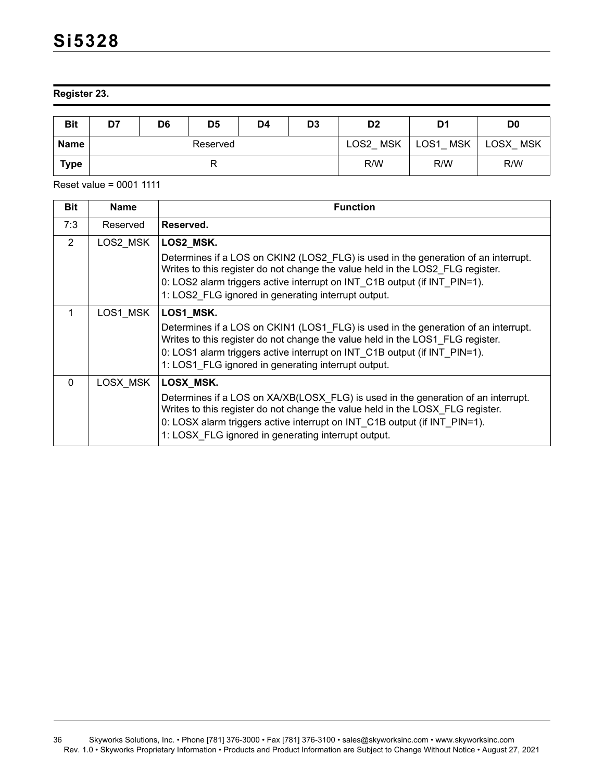**Register 23.** 

| <b>Bit</b> | D7       | D <sub>6</sub><br>D <sub>5</sub><br>D3<br>D4 |  | D <sub>2</sub> | D1  | D0                 |                                |                    |
|------------|----------|----------------------------------------------|--|----------------|-----|--------------------|--------------------------------|--------------------|
| Name       | Reserved |                                              |  |                |     | <b>MSK</b><br>LOS2 | LOS <sub>1</sub><br><b>MSK</b> | LOSX<br><b>MSK</b> |
| Type       |          |                                              |  |                | R/W | R/W                | R/W                            |                    |

| <b>Bit</b> | <b>Name</b> | <b>Function</b>                                                                                                                                                                                                                                                                                          |
|------------|-------------|----------------------------------------------------------------------------------------------------------------------------------------------------------------------------------------------------------------------------------------------------------------------------------------------------------|
| 7:3        | Reserved    | Reserved.                                                                                                                                                                                                                                                                                                |
| 2          | LOS2 MSK    | LOS2_MSK.                                                                                                                                                                                                                                                                                                |
|            |             | Determines if a LOS on CKIN2 (LOS2_FLG) is used in the generation of an interrupt.<br>Writes to this register do not change the value held in the LOS2_FLG register.<br>0: LOS2 alarm triggers active interrupt on INT C1B output (if INT PIN=1).<br>1: LOS2 FLG ignored in generating interrupt output. |
| 1          | LOS1 MSK    | LOS1_MSK.                                                                                                                                                                                                                                                                                                |
|            |             | Determines if a LOS on CKIN1 (LOS1 FLG) is used in the generation of an interrupt.<br>Writes to this register do not change the value held in the LOS1 FLG register.<br>0: LOS1 alarm triggers active interrupt on INT_C1B output (if INT_PIN=1).<br>1: LOS1 FLG ignored in generating interrupt output. |
| $\Omega$   | LOSX MSK    | LOSX_MSK.                                                                                                                                                                                                                                                                                                |
|            |             | Determines if a LOS on XA/XB(LOSX_FLG) is used in the generation of an interrupt.<br>Writes to this register do not change the value held in the LOSX FLG register.<br>0: LOSX alarm triggers active interrupt on INT C1B output (if INT PIN=1).<br>1: LOSX FLG ignored in generating interrupt output.  |

<sup>36</sup> Skyworks Solutions, Inc. • Phone [781] 376-3000 • Fax [781] 376-3100 • sales@skyworksinc.com • www.skyworksinc.com Rev. 1.0 • Skyworks Proprietary Information • Products and Product Information are Subject to Change Without Notice • August 27, 2021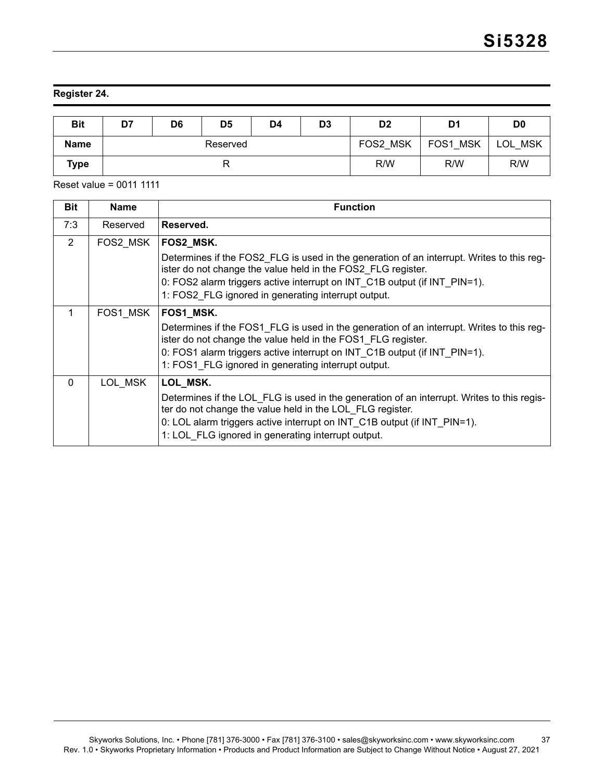#### **Register 24.**

| <b>Bit</b>  | D7       | D <sub>6</sub> | D <sub>5</sub> | D4 | D <sub>3</sub> | D <sub>2</sub> | D <sub>1</sub> | D <sub>0</sub> |
|-------------|----------|----------------|----------------|----|----------------|----------------|----------------|----------------|
| <b>Name</b> | Reserved |                |                |    |                | FOS2 MSK       | FOS1 MSK       | LOL.<br>MSK    |
| Type        |          |                |                |    |                | R/W            | R/W            | R/W            |

Reset value = 0011 1111

| <b>Bit</b> | <b>Name</b> | <b>Function</b>                                                                                                                                                                                                                                                                           |
|------------|-------------|-------------------------------------------------------------------------------------------------------------------------------------------------------------------------------------------------------------------------------------------------------------------------------------------|
| 7:3        | Reserved    | Reserved.                                                                                                                                                                                                                                                                                 |
| 2          | FOS2 MSK    | <b>FOS2 MSK.</b><br>Determines if the FOS2 FLG is used in the generation of an interrupt. Writes to this reg-                                                                                                                                                                             |
|            |             | ister do not change the value held in the FOS2 FLG register.                                                                                                                                                                                                                              |
|            |             | 0: FOS2 alarm triggers active interrupt on INT C1B output (if INT PIN=1).                                                                                                                                                                                                                 |
|            |             | 1: FOS2 FLG ignored in generating interrupt output.                                                                                                                                                                                                                                       |
| 1          | FOS1 MSK    | <b>FOS1_MSK.</b>                                                                                                                                                                                                                                                                          |
|            |             | Determines if the FOS1 FLG is used in the generation of an interrupt. Writes to this reg-<br>ister do not change the value held in the FOS1_FLG register.                                                                                                                                 |
|            |             | 0: FOS1 alarm triggers active interrupt on INT C1B output (if INT PIN=1).                                                                                                                                                                                                                 |
|            |             | 1: FOS1 FLG ignored in generating interrupt output.                                                                                                                                                                                                                                       |
| $\Omega$   | LOL MSK     | LOL_MSK.                                                                                                                                                                                                                                                                                  |
|            |             | Determines if the LOL_FLG is used in the generation of an interrupt. Writes to this regis-<br>ter do not change the value held in the LOL FLG register.<br>0: LOL alarm triggers active interrupt on INT_C1B output (if INT_PIN=1).<br>1: LOL FLG ignored in generating interrupt output. |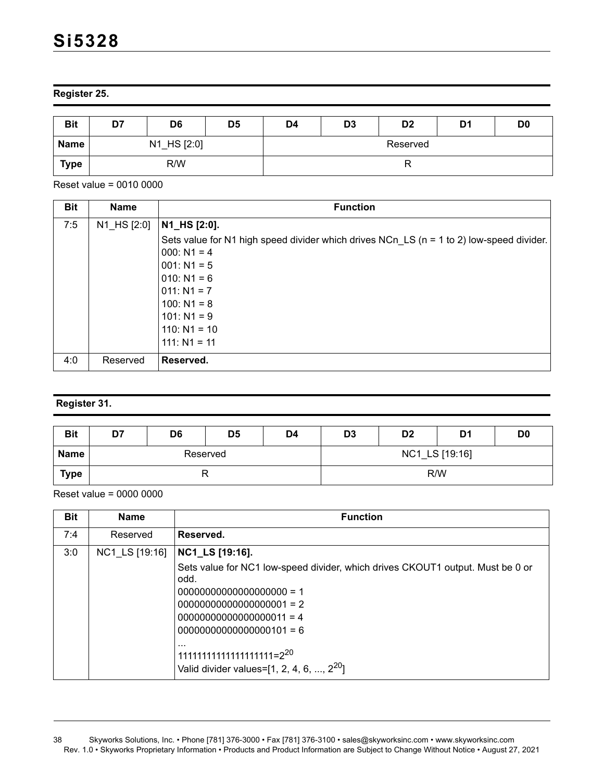# **Register 25.**

| <b>Bit</b>  | D7  | D <sub>6</sub> | D <sub>5</sub> | D4       | D <sub>3</sub> | D <sub>2</sub> | D <sub>1</sub> | D <sub>0</sub> |  |
|-------------|-----|----------------|----------------|----------|----------------|----------------|----------------|----------------|--|
| <b>Name</b> |     | N1_HS [2:0]    |                | Reserved |                |                |                |                |  |
| <b>Type</b> | R/W |                |                |          |                |                |                |                |  |

Reset value = 0010 0000

| <b>Bit</b> | <b>Name</b> | <b>Function</b>                                                                          |
|------------|-------------|------------------------------------------------------------------------------------------|
| 7:5        | N1_HS [2:0] | N1_HS [2:0].                                                                             |
|            |             | Sets value for N1 high speed divider which drives NCn_LS (n = 1 to 2) low-speed divider. |
|            |             | $000: N1 = 4$                                                                            |
|            |             | $001: N1 = 5$                                                                            |
|            |             | $010: N1 = 6$                                                                            |
|            |             | $ 011: N1 = 7$                                                                           |
|            |             | $100: N1 = 8$                                                                            |
|            |             | $101: N1 = 9$                                                                            |
|            |             | $110: N1 = 10$                                                                           |
|            |             | $111: N1 = 11$                                                                           |
| 4:0        | Reserved    | Reserved.                                                                                |

# **Register 31.**

| <b>Bit</b> | D7 | D <sub>6</sub> | D <sub>5</sub> | D <sub>4</sub> | D <sub>3</sub> | D <sub>2</sub> | D <sub>1</sub> | D <sub>0</sub> |  |
|------------|----|----------------|----------------|----------------|----------------|----------------|----------------|----------------|--|
| Name       |    |                | Reserved       |                | NC1_LS [19:16] |                |                |                |  |
| Type       |    |                |                |                |                |                | R/W            |                |  |

| <b>Bit</b> | <b>Name</b>    | <b>Function</b>                                                                                                                                                                                                                                                                                       |
|------------|----------------|-------------------------------------------------------------------------------------------------------------------------------------------------------------------------------------------------------------------------------------------------------------------------------------------------------|
| 7:4        | Reserved       | Reserved.                                                                                                                                                                                                                                                                                             |
| 3:0        | NC1 LS [19:16] | NC1_LS [19:16].<br>Sets value for NC1 low-speed divider, which drives CKOUT1 output. Must be 0 or<br>odd.<br>$00000000000000000001 = 2$<br>$00000000000000000011 = 4$<br>$00000000000000000101 = 6$<br>$\cdots$<br>$111111111111111111111 = 2^{20}$<br>Valid divider values=[1, 2, 4, 6, , $2^{20}$ ] |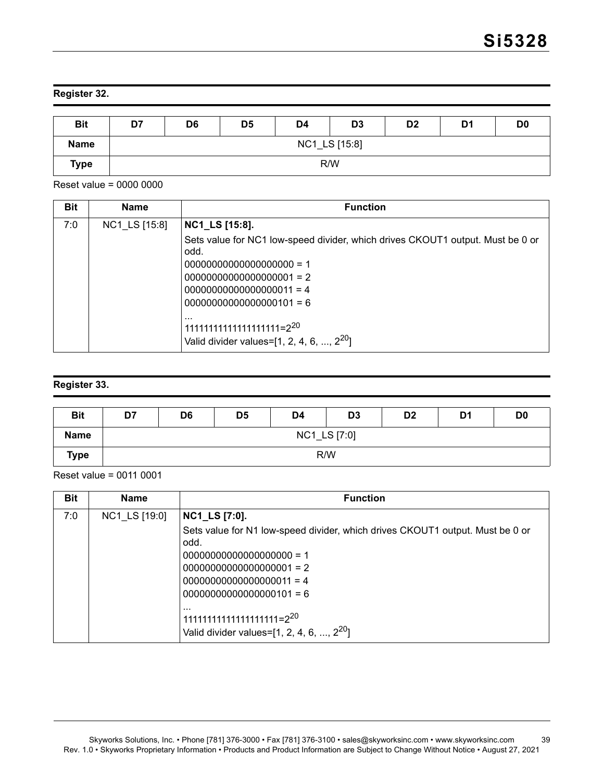# **Register 32.**

| <b>Bit</b>  | D7 | D <sub>6</sub> | D <sub>5</sub> | D4 | D <sub>3</sub> | D <sub>2</sub> | D1 | D <sub>0</sub> |  |
|-------------|----|----------------|----------------|----|----------------|----------------|----|----------------|--|
| <b>Name</b> |    | NC1_LS [15:8]  |                |    |                |                |    |                |  |
| <b>Type</b> |    |                |                |    | R/W            |                |    |                |  |

Reset value = 0000 0000

| <b>Bit</b> | <b>Name</b>   | <b>Function</b>                                                                                    |
|------------|---------------|----------------------------------------------------------------------------------------------------|
| 7:0        | NC1 LS [15:8] | <b>NC1_LS</b> [15:8].                                                                              |
|            |               | Sets value for NC1 low-speed divider, which drives CKOUT1 output. Must be 0 or<br>odd.             |
|            |               |                                                                                                    |
|            |               | $00000000000000000001 = 2$                                                                         |
|            |               | $00000000000000000011 = 4$                                                                         |
|            |               | $00000000000000000101 = 6$                                                                         |
|            |               | $\cdots$<br>11111111111111111111=2 <sup>20</sup><br>Valid divider values= $[1, 2, 4, 6, , 2^{20}]$ |

# **Register 33.**

| <b>Bit</b>  | D7 | D <sub>6</sub> | D <sub>5</sub> | D <sub>4</sub> | D <sub>3</sub> | D <sub>2</sub> | D <sub>1</sub> | D <sub>0</sub> |  |
|-------------|----|----------------|----------------|----------------|----------------|----------------|----------------|----------------|--|
| <b>Name</b> |    | NC1_LS [7:0]   |                |                |                |                |                |                |  |
| <b>Type</b> |    | R/W            |                |                |                |                |                |                |  |

Reset value = 0011 0001

| <b>Bit</b> | <b>Name</b>   | <b>Function</b>                                                                                    |
|------------|---------------|----------------------------------------------------------------------------------------------------|
| 7:0        | NC1_LS [19:0] | <b>NC1_LS [7:0].</b>                                                                               |
|            |               | Sets value for N1 low-speed divider, which drives CKOUT1 output. Must be 0 or<br>odd.              |
|            |               |                                                                                                    |
|            |               | $00000000000000000001 = 2$                                                                         |
|            |               | $00000000000000000011 = 4$                                                                         |
|            |               | $00000000000000000101 = 6$                                                                         |
|            |               | $\cdots$<br>11111111111111111111=2 <sup>20</sup><br>Valid divider values= $[1, 2, 4, 6, , 2^{20}]$ |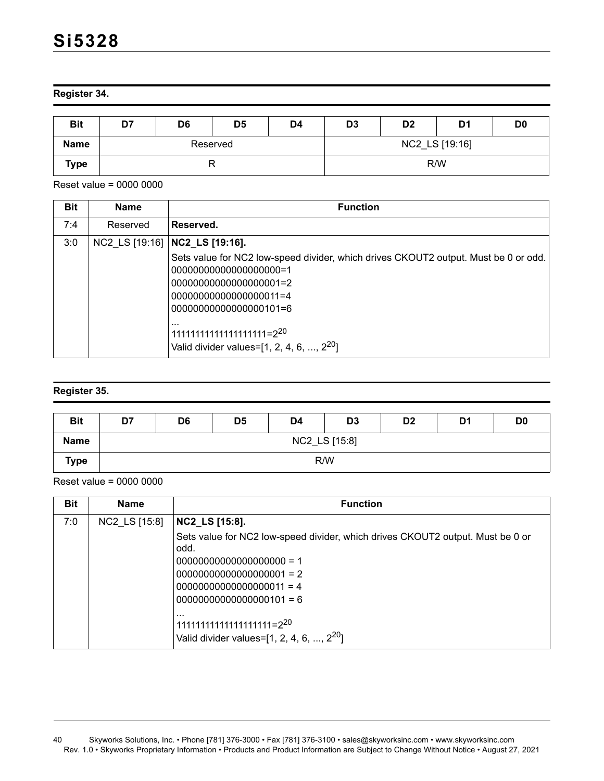#### **Register 34.**

| <b>Bit</b>  | D7 | D6 | D <sub>5</sub> | D4 | D <sub>3</sub> | D <sub>2</sub> | D1  | D <sub>0</sub> |
|-------------|----|----|----------------|----|----------------|----------------|-----|----------------|
| <b>Name</b> |    |    | Reserved       |    | NC2_LS [19:16] |                |     |                |
| Type        |    |    |                |    |                |                | R/W |                |

Reset value = 0000 0000

| <b>Bit</b> | <b>Name</b> | <b>Function</b>                                                                                                                                                                                                                                                                                 |
|------------|-------------|-------------------------------------------------------------------------------------------------------------------------------------------------------------------------------------------------------------------------------------------------------------------------------------------------|
| 7:4        | Reserved    | Reserved.                                                                                                                                                                                                                                                                                       |
| 3:0        |             | NC2 LS [19:16]   NC2_LS [19:16].                                                                                                                                                                                                                                                                |
|            |             | Sets value for NC2 low-speed divider, which drives CKOUT2 output. Must be 0 or odd.<br>0000000000000000000000000<br>0000000000000000001=2<br>00000000000000000011=4<br>00000000000000000101=6<br>$\cdots$<br>$111111111111111111111 = 2^{20}$<br>Valid divider values= $[1, 2, 4, 6, , 2^{20}]$ |

# **Register 35.**

| <b>Bit</b>  | D7 | D <sub>6</sub> | D <sub>5</sub> | D4 | D <sub>3</sub> | D <sub>2</sub> | D <sub>1</sub> | D <sub>0</sub> |  |
|-------------|----|----------------|----------------|----|----------------|----------------|----------------|----------------|--|
| <b>Name</b> |    | NC2_LS [15:8]  |                |    |                |                |                |                |  |
| Type        |    | R/W            |                |    |                |                |                |                |  |

| <b>Bit</b> | <b>Name</b>   | <b>Function</b>                                                                                                                                                                                                                  |
|------------|---------------|----------------------------------------------------------------------------------------------------------------------------------------------------------------------------------------------------------------------------------|
| 7:0        | NC2_LS [15:8] | NC2_LS [15:8].                                                                                                                                                                                                                   |
|            |               | Sets value for NC2 low-speed divider, which drives CKOUT2 output. Must be 0 or<br>odd.<br>$00000000000000000001 = 2$<br>$00000000000000000011 = 4$<br>$00000000000000000101 = 6$<br>$\cdots$<br>$111111111111111111111 = 2^{20}$ |
|            |               | Valid divider values= $[1, 2, 4, 6, , 2^{20}]$                                                                                                                                                                                   |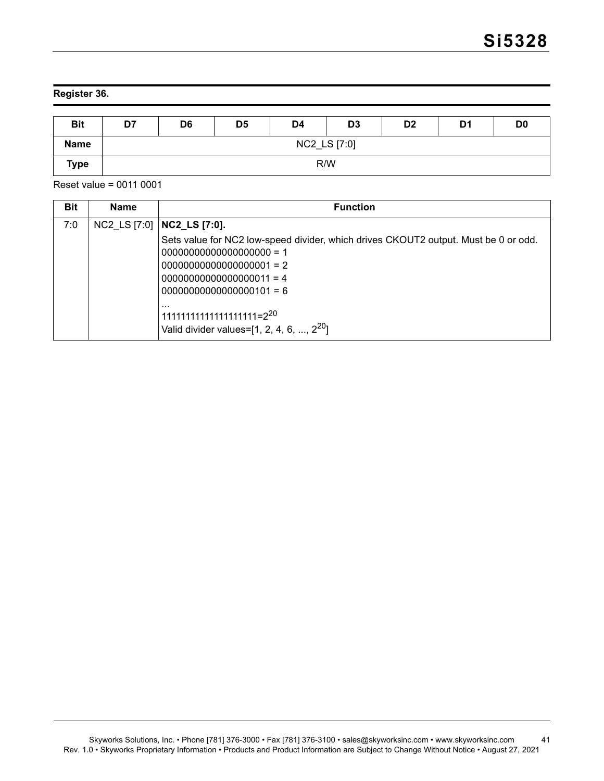### **Register 36.**

| <b>Bit</b>  | D7 | D <sub>6</sub> | D <sub>5</sub> | D4 | D <sub>3</sub> | D <sub>2</sub> | D <sub>1</sub> | D <sub>0</sub> |  |
|-------------|----|----------------|----------------|----|----------------|----------------|----------------|----------------|--|
| <b>Name</b> |    | NC2_LS [7:0]   |                |    |                |                |                |                |  |
| <b>Type</b> |    | R/W            |                |    |                |                |                |                |  |

Reset value = 0011 0001

| <b>Bit</b> | <b>Name</b> | <b>Function</b>                                                                                                                                                                           |
|------------|-------------|-------------------------------------------------------------------------------------------------------------------------------------------------------------------------------------------|
| 7:0        |             | NC2 LS [7:0]   NC2 LS [7:0].                                                                                                                                                              |
|            |             | Sets value for NC2 low-speed divider, which drives CKOUT2 output. Must be 0 or odd.<br>$00000000000000000001 = 2$<br>$00000000000000000011 = 4$<br>$00000000000000000101 = 6$<br>$\cdots$ |
|            |             | $1111111111111111111111=2^{20}$<br>Valid divider values= $[1, 2, 4, 6, , 2^{20}]$                                                                                                         |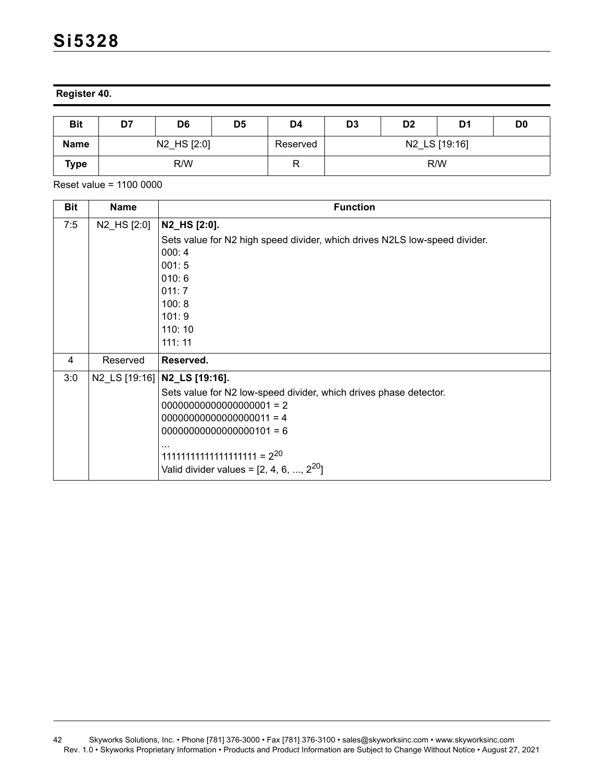**Register 40.**

| <b>Bit</b>  | D7          | D6 | D5 | D4       | D <sub>3</sub> | D <sub>2</sub> | D1 | D <sub>0</sub> |  |
|-------------|-------------|----|----|----------|----------------|----------------|----|----------------|--|
| <b>Name</b> | N2_HS [2:0] |    |    | Reserved |                | N2_LS [19:16]  |    |                |  |
| <b>Type</b> | R/W         |    |    | R        | R/W            |                |    |                |  |

Reset value = 1100 0000

| <b>Bit</b> | <b>Name</b> | <b>Function</b>                                                                                                                                                                                                                                                                  |
|------------|-------------|----------------------------------------------------------------------------------------------------------------------------------------------------------------------------------------------------------------------------------------------------------------------------------|
| 7:5        | N2_HS [2:0] | N2_HS [2:0].<br>Sets value for N2 high speed divider, which drives N2LS low-speed divider.<br>000:4<br>001:5<br>010:6<br>011:7<br>100:8<br>101:9<br>110:10<br>111:11                                                                                                             |
| 4          | Reserved    | Reserved.                                                                                                                                                                                                                                                                        |
| 3:0        |             | N2_LS [19:16]   N2_LS [19:16].<br>Sets value for N2 low-speed divider, which drives phase detector.<br>$00000000000000000001 = 2$<br>$00000000000000000011 = 4$<br>$00000000000000000101 = 6$<br>$11111111111111111111 = 2^{20}$<br>Valid divider values = $[2, 4, 6, , 2^{20}]$ |

<sup>42</sup> Skyworks Solutions, Inc. • Phone [781] 376-3000 • Fax [781] 376-3100 • sales@skyworksinc.com • www.skyworksinc.com Rev. 1.0 • Skyworks Proprietary Information • Products and Product Information are Subject to Change Without Notice • August 27, 2021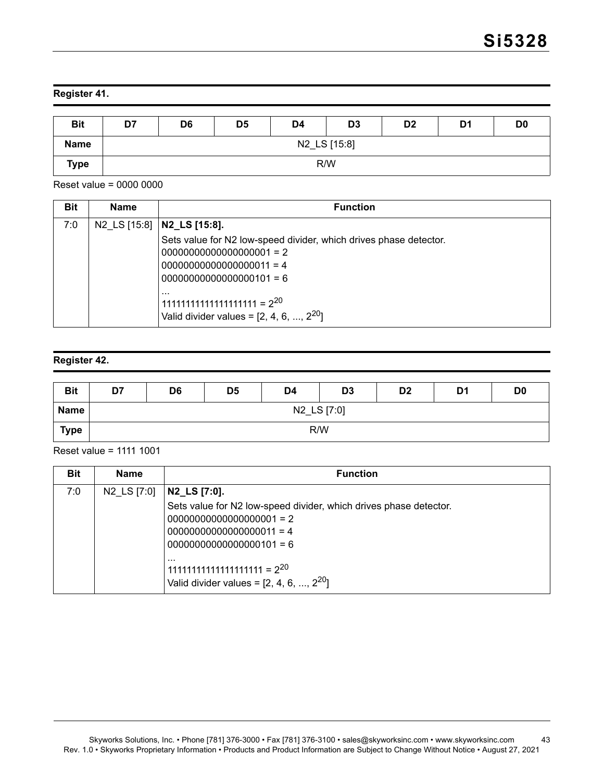# **Register 41.**

| <b>Bit</b>  | D7 | D <sub>6</sub> | D <sub>5</sub> | D <sub>4</sub> | D <sub>3</sub> | D <sub>2</sub> | D1 | D <sub>0</sub> |  |
|-------------|----|----------------|----------------|----------------|----------------|----------------|----|----------------|--|
| <b>Name</b> |    | N2_LS [15:8]   |                |                |                |                |    |                |  |
| <b>Type</b> |    | R/W            |                |                |                |                |    |                |  |

Reset value = 0000 0000

| <b>Bit</b> | <b>Name</b> | <b>Function</b>                                                                              |
|------------|-------------|----------------------------------------------------------------------------------------------|
| 7:0        |             | N2 LS [15:8]   N2 LS [15:8].                                                                 |
|            |             | Sets value for N2 low-speed divider, which drives phase detector.                            |
|            |             | $00000000000000000001 = 2$                                                                   |
|            |             | $00000000000000000011 = 4$                                                                   |
|            |             | $00000000000000000101 = 6$                                                                   |
|            |             | $\cdots$<br>$111111111111111111111 = 2^{20}$<br>Valid divider values = $[2, 4, 6, , 2^{20}]$ |

### **Register 42.**

| <b>Bit</b>  | D7 | D <sub>6</sub> | D <sub>5</sub> | D4 | D <sub>3</sub> | D <sub>2</sub> | D <sub>1</sub> | D <sub>0</sub> |  |
|-------------|----|----------------|----------------|----|----------------|----------------|----------------|----------------|--|
| <b>Name</b> |    | N2_LS [7:0]    |                |    |                |                |                |                |  |
| Type        |    | R/W            |                |    |                |                |                |                |  |

Reset value = 1111 1001

| <b>Bit</b> | <b>Name</b> | <b>Function</b>                                                                             |
|------------|-------------|---------------------------------------------------------------------------------------------|
| 7:0        | N2 LS [7:0] | N2_LS [7:0].                                                                                |
|            |             | Sets value for N2 low-speed divider, which drives phase detector.                           |
|            |             | $00000000000000000001 = 2$                                                                  |
|            |             | $00000000000000000011 = 4$                                                                  |
|            |             | $00000000000000000101 = 6$                                                                  |
|            |             | $\cdots$<br>$11111111111111111111 = 2^{20}$<br>Valid divider values = $[2, 4, 6, , 2^{20}]$ |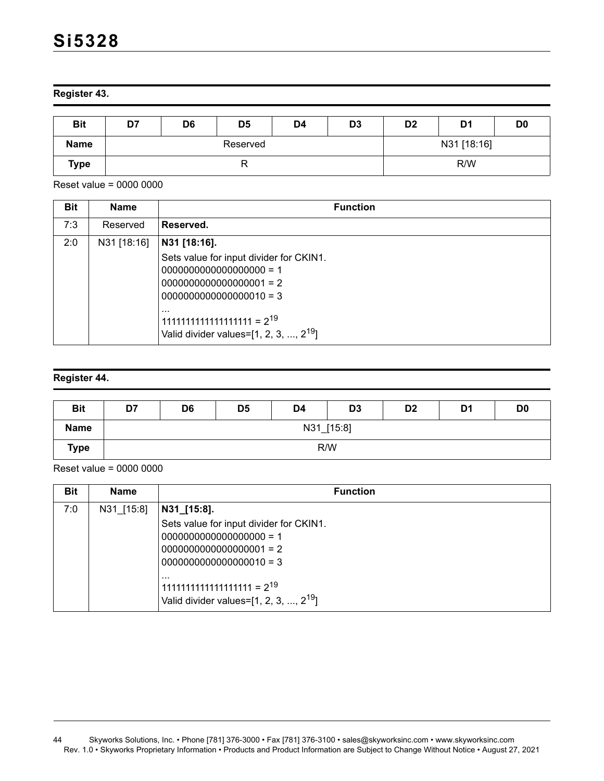**Register 43.** 

| <b>Bit</b>  | D7 | D <sub>6</sub> | D <sub>5</sub> | D4          | D <sub>3</sub> | D <sub>2</sub> | D1 | D <sub>0</sub> |
|-------------|----|----------------|----------------|-------------|----------------|----------------|----|----------------|
| <b>Name</b> |    |                | Reserved       | N31 [18:16] |                |                |    |                |
| Type        |    |                | R              |             | R/W            |                |    |                |

Reset value = 0000 0000

| <b>Bit</b> | <b>Name</b> | <b>Function</b>                                                                                                                                                                              |
|------------|-------------|----------------------------------------------------------------------------------------------------------------------------------------------------------------------------------------------|
| 7:3        | Reserved    | Reserved.                                                                                                                                                                                    |
| 2:0        | N31 [18:16] | N31 [18:16].                                                                                                                                                                                 |
|            |             | Sets value for input divider for CKIN1.<br>$0000000000000000001 = 2$<br>$0000000000000000010 = 3$<br>$\cdots$<br>$11111111111111111111 = 219$<br>Valid divider values= $[1, 2, 3, , 2^{19}]$ |

#### **Register 44.**

| <b>Bit</b>  | D7 | D <sub>6</sub> | D <sub>5</sub> | D <sub>4</sub> | D <sub>3</sub> | D <sub>2</sub> | D <sub>1</sub> | D <sub>0</sub> |  |
|-------------|----|----------------|----------------|----------------|----------------|----------------|----------------|----------------|--|
| Name        |    | N31_[15:8]     |                |                |                |                |                |                |  |
| <b>Type</b> |    | R/W            |                |                |                |                |                |                |  |

| <b>Bit</b> | <b>Name</b> | <b>Function</b>                                                                                |
|------------|-------------|------------------------------------------------------------------------------------------------|
| 7:0        | N31_[15:8]  | $ N31_{13:8}.$                                                                                 |
|            |             | Sets value for input divider for CKIN1.                                                        |
|            |             |                                                                                                |
|            |             |                                                                                                |
|            |             | $ 0000000000000000010 = 3$                                                                     |
|            |             | $\cdots$<br>$11111111111111111111 = 219$<br>Valid divider values=[1, 2, 3, , 2 <sup>19</sup> ] |

<sup>44</sup> Skyworks Solutions, Inc. • Phone [781] 376-3000 • Fax [781] 376-3100 • sales@skyworksinc.com • www.skyworksinc.com Rev. 1.0 • Skyworks Proprietary Information • Products and Product Information are Subject to Change Without Notice • August 27, 2021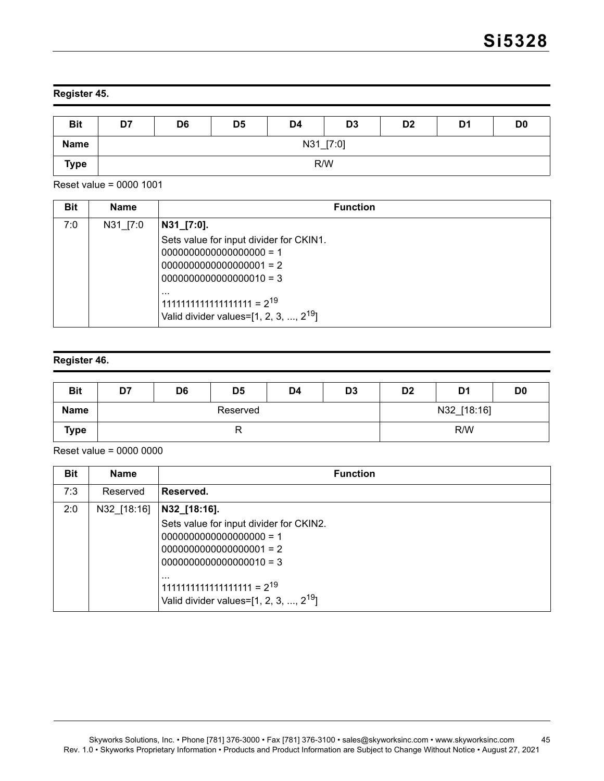# **Register 45.**

| <b>Bit</b>  | D7 | D6        | D <sub>5</sub> | D <sub>4</sub> | D <sub>3</sub> | D <sub>2</sub> | D <sub>1</sub> | D <sub>0</sub> |  |
|-------------|----|-----------|----------------|----------------|----------------|----------------|----------------|----------------|--|
| <b>Name</b> |    | N31_[7:0] |                |                |                |                |                |                |  |
| <b>Type</b> |    | R/W       |                |                |                |                |                |                |  |

Reset value = 0000 1001

| <b>Bit</b> | <b>Name</b> | <b>Function</b>                                                                                                                                                                                               |
|------------|-------------|---------------------------------------------------------------------------------------------------------------------------------------------------------------------------------------------------------------|
| 7:0        | N31 [7:0]   | N31_[7:0].<br>Sets value for input divider for CKIN1.<br>$0000000000000000001 = 2$<br>$0000000000000000010 = 3$<br>$\cdots$<br>$11111111111111111111 = 2^{19}$<br>Valid divider values= $[1, 2, 3, , 2^{19}]$ |

### **Register 46.**

| <b>Bit</b>  | D7 | D <sub>6</sub> | D <sub>5</sub> | D <sub>4</sub> | D <sub>3</sub> | D <sub>2</sub> | D <sub>1</sub> | D <sub>0</sub> |
|-------------|----|----------------|----------------|----------------|----------------|----------------|----------------|----------------|
| <b>Name</b> |    |                | Reserved       |                | N32_[18:16]    |                |                |                |
| <b>Type</b> |    |                | י י            |                | R/W            |                |                |                |

| <b>Bit</b> | <b>Name</b> | <b>Function</b>                                                                                                                                                                                 |
|------------|-------------|-------------------------------------------------------------------------------------------------------------------------------------------------------------------------------------------------|
| 7:3        | Reserved    | Reserved.                                                                                                                                                                                       |
| 2:0        | N32 [18:16] | N32_[18:16].                                                                                                                                                                                    |
|            |             | Sets value for input divider for CKIN2.<br>$0000000000000000001 = 2$<br>$0000000000000000010 = 3$<br>$\cdots$<br>$11111111111111111111 = 2^{19}$<br>Valid divider values= $[1, 2, 3, , 2^{19}]$ |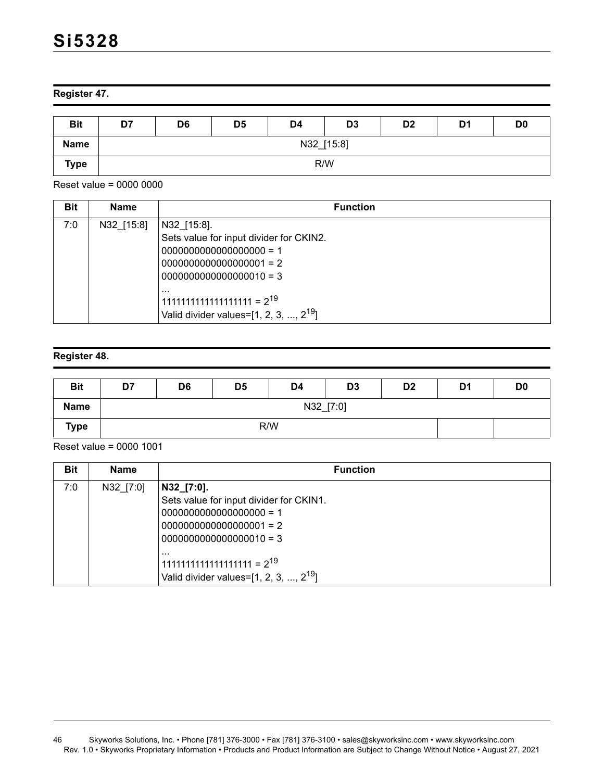### **Register 47.**

| <b>Bit</b>  | D7 | D <sub>6</sub> | D <sub>5</sub> | D <sub>4</sub> | D <sub>3</sub> | D <sub>2</sub> | D <sub>1</sub> | D <sub>0</sub> |  |
|-------------|----|----------------|----------------|----------------|----------------|----------------|----------------|----------------|--|
| <b>Name</b> |    | N32_[15:8]     |                |                |                |                |                |                |  |
| <b>Type</b> |    | R/W            |                |                |                |                |                |                |  |

Reset value = 0000 0000

| <b>Bit</b> | <b>Name</b> | <b>Function</b>                                                                                                                                                                                                |
|------------|-------------|----------------------------------------------------------------------------------------------------------------------------------------------------------------------------------------------------------------|
| 7:0        | N32 [15:8]  | N32 [15:8].<br>Sets value for input divider for CKIN2.<br>$0000000000000000001 = 2$<br>$0000000000000000010 = 3$<br>$\cdots$<br>$11111111111111111111 = 2^{19}$<br>Valid divider values= $[1, 2, 3, , 2^{19}]$ |

# **Register 48.**

| <b>Bit</b>  | D7  | D <sub>6</sub> | D <sub>5</sub> | D <sub>4</sub> | D <sub>3</sub> | D <sub>2</sub> | D <sub>1</sub> | D <sub>0</sub> |  |
|-------------|-----|----------------|----------------|----------------|----------------|----------------|----------------|----------------|--|
| <b>Name</b> |     | N32_[7:0]      |                |                |                |                |                |                |  |
| <b>Type</b> | R/W |                |                |                |                |                |                |                |  |

| <b>Bit</b> | <b>Name</b> | <b>Function</b>                                                                                                                                                                                               |
|------------|-------------|---------------------------------------------------------------------------------------------------------------------------------------------------------------------------------------------------------------|
| 7:0        | N32 [7:0]   | N32_[7:0].<br>Sets value for input divider for CKIN1.<br>$0000000000000000001 = 2$<br>$0000000000000000010 = 3$<br>$\cdots$<br>$11111111111111111111 = 2^{19}$<br>Valid divider values= $[1, 2, 3, , 2^{19}]$ |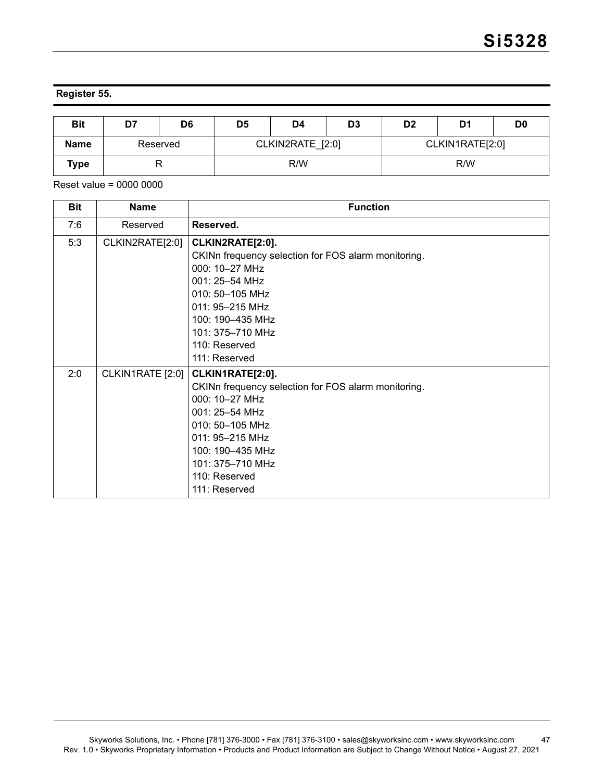# **Register 55.**

| <b>Bit</b>  | D7       | D6 | D <sub>5</sub>   | D4 | D <sub>3</sub> | D <sub>2</sub>  | D1  | D <sub>0</sub> |
|-------------|----------|----|------------------|----|----------------|-----------------|-----|----------------|
| <b>Name</b> | Reserved |    | CLKIN2RATE [2:0] |    |                | CLKIN1RATE[2:0] |     |                |
| Type        |          |    | R/W              |    |                |                 | R/W |                |

| <b>Bit</b> | <b>Name</b>      | <b>Function</b>                                                                                                                                                                                                                              |
|------------|------------------|----------------------------------------------------------------------------------------------------------------------------------------------------------------------------------------------------------------------------------------------|
| 7:6        | Reserved         | Reserved.                                                                                                                                                                                                                                    |
| 5:3        | CLKIN2RATE[2:0]  | CLKIN2RATE[2:0].<br>CKINn frequency selection for FOS alarm monitoring.<br>000: 10-27 MHz<br>001: 25-54 MHz<br>010: 50-105 MHz<br>011: 95-215 MHz<br>100: 190-435 MHz<br>101: 375-710 MHz<br>110: Reserved                                   |
| 2:0        | CLKIN1RATE [2:0] | 111: Reserved<br>CLKIN1RATE[2:0].<br>CKINn frequency selection for FOS alarm monitoring.<br>000: 10-27 MHz<br>001: 25-54 MHz<br>010: 50-105 MHz<br>011: 95-215 MHz<br>100: 190-435 MHz<br>101: 375-710 MHz<br>110: Reserved<br>111: Reserved |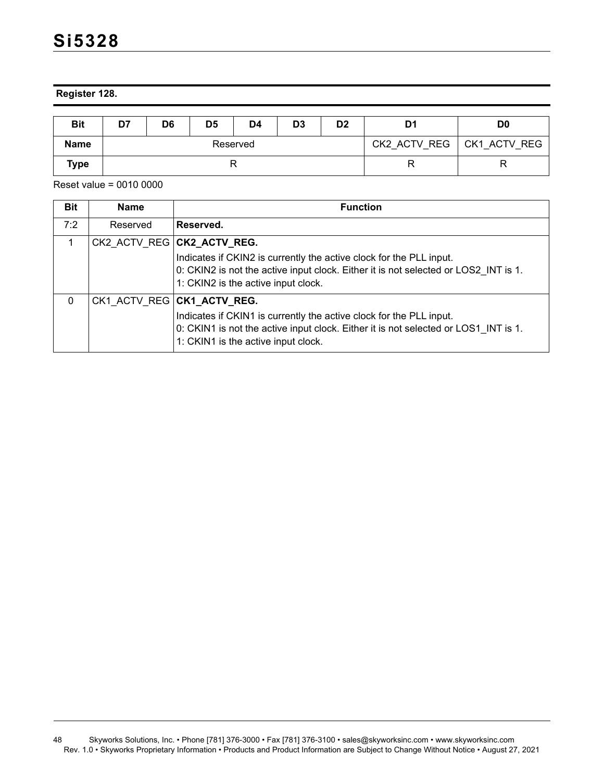**Register 128.**

| <b>Bit</b>  | D <sub>5</sub><br>D7<br>D4<br>D6 |  | D <sub>3</sub> | D2 | D1 | D <sub>0</sub> |              |              |
|-------------|----------------------------------|--|----------------|----|----|----------------|--------------|--------------|
| <b>Name</b> | Reserved                         |  |                |    |    |                | CK2 ACTV REG | CK1 ACTV REG |
| Type        |                                  |  |                |    |    |                |              | R            |

| <b>Bit</b>   | <b>Name</b> | <b>Function</b>                                                                                                                                                                                                                 |
|--------------|-------------|---------------------------------------------------------------------------------------------------------------------------------------------------------------------------------------------------------------------------------|
| 7:2          | Reserved    | Reserved.                                                                                                                                                                                                                       |
|              |             | CK2_ACTV_REG   CK2_ACTV_REG.                                                                                                                                                                                                    |
|              |             | Indicates if CKIN2 is currently the active clock for the PLL input.<br>0: CKIN2 is not the active input clock. Either it is not selected or LOS2 INT is 1.<br>1: CKIN2 is the active input clock.                               |
| $\mathbf{0}$ |             | CK1 ACTV REG CK1_ACTV_REG.<br>Indicates if CKIN1 is currently the active clock for the PLL input.<br>0: CKIN1 is not the active input clock. Either it is not selected or LOS1 INT is 1.<br>1: CKIN1 is the active input clock. |

<sup>48</sup> Skyworks Solutions, Inc. • Phone [781] 376-3000 • Fax [781] 376-3100 • sales@skyworksinc.com • www.skyworksinc.com Rev. 1.0 • Skyworks Proprietary Information • Products and Product Information are Subject to Change Without Notice • August 27, 2021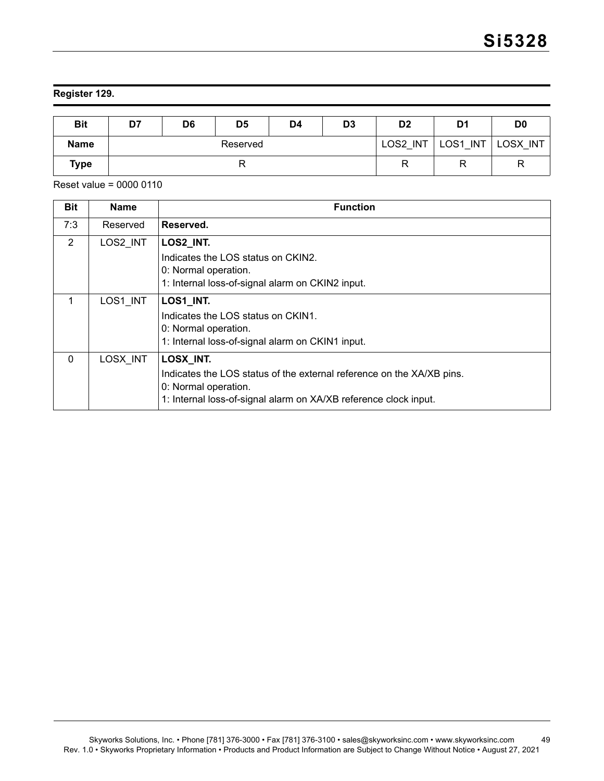# **Register 129.**

| <b>Bit</b>  | D7       | D <sub>6</sub> | D <sub>5</sub> | D <sub>4</sub> | D <sub>3</sub> | D <sub>2</sub> | D1                             | D <sub>0</sub> |
|-------------|----------|----------------|----------------|----------------|----------------|----------------|--------------------------------|----------------|
| <b>Name</b> | Reserved |                |                |                |                | LOS2 INT       | LOS <sub>1</sub><br><b>INT</b> | LOSX INT       |
| <b>Type</b> | n        |                |                |                |                |                |                                | R              |

| <b>Bit</b> | <b>Name</b> | <b>Function</b>                                                       |
|------------|-------------|-----------------------------------------------------------------------|
| 7:3        | Reserved    | Reserved.                                                             |
| 2          | LOS2 INT    | LOS2_INT.                                                             |
|            |             | Indicates the LOS status on CKIN2.                                    |
|            |             | 0: Normal operation.                                                  |
|            |             | 1: Internal loss-of-signal alarm on CKIN2 input.                      |
|            | LOS1 INT    | LOS1_INT.                                                             |
|            |             | Indicates the LOS status on CKIN1.                                    |
|            |             | 0: Normal operation.                                                  |
|            |             | 1: Internal loss-of-signal alarm on CKIN1 input.                      |
| $\Omega$   | LOSX INT    | LOSX_INT.                                                             |
|            |             | Indicates the LOS status of the external reference on the XA/XB pins. |
|            |             | 0: Normal operation.                                                  |
|            |             | 1: Internal loss-of-signal alarm on XA/XB reference clock input.      |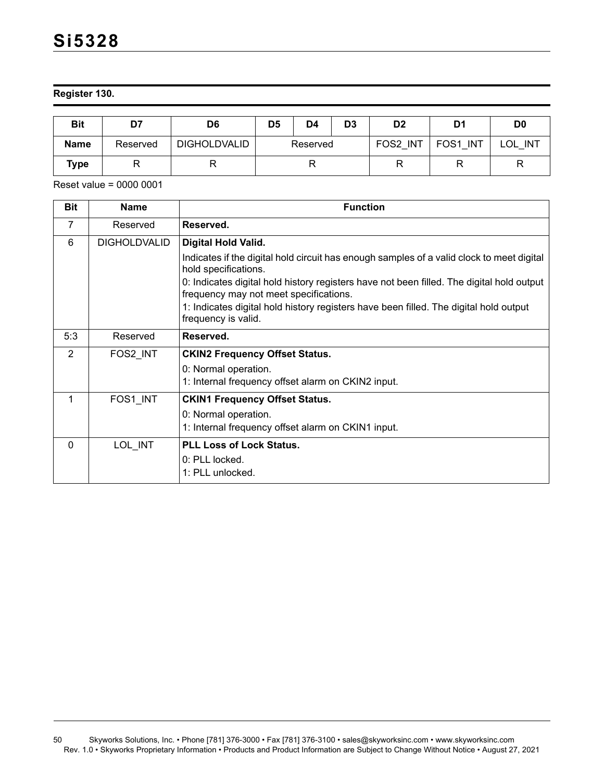### **Register 130.**

| <b>Bit</b>  | D7       | D5<br>D6            |          | D4 | D3       | D <sub>2</sub>          | D1                | D <sub>0</sub> |
|-------------|----------|---------------------|----------|----|----------|-------------------------|-------------------|----------------|
| <b>Name</b> | Reserved | <b>DIGHOLDVALID</b> | Reserved |    | FOS2 INT | FOS <sub>1</sub><br>INT | <b>INT</b><br>LOL |                |
| <b>Type</b> |          |                     |          |    | R        |                         |                   |                |

| <b>Bit</b>     | <b>Name</b>         | <b>Function</b>                                                                                                                     |
|----------------|---------------------|-------------------------------------------------------------------------------------------------------------------------------------|
| 7              | Reserved            | Reserved.                                                                                                                           |
| 6              | <b>DIGHOLDVALID</b> | Digital Hold Valid.                                                                                                                 |
|                |                     | Indicates if the digital hold circuit has enough samples of a valid clock to meet digital<br>hold specifications.                   |
|                |                     | 0: Indicates digital hold history registers have not been filled. The digital hold output<br>frequency may not meet specifications. |
|                |                     | 1: Indicates digital hold history registers have been filled. The digital hold output<br>frequency is valid.                        |
| 5:3            | Reserved            | Reserved.                                                                                                                           |
| $\overline{2}$ | FOS2 INT            | <b>CKIN2 Frequency Offset Status.</b>                                                                                               |
|                |                     | 0: Normal operation.                                                                                                                |
|                |                     | 1: Internal frequency offset alarm on CKIN2 input.                                                                                  |
| 1              | FOS1 INT            | <b>CKIN1 Frequency Offset Status.</b>                                                                                               |
|                |                     | 0: Normal operation.                                                                                                                |
|                |                     | 1: Internal frequency offset alarm on CKIN1 input.                                                                                  |
| $\Omega$       | LOL INT             | <b>PLL Loss of Lock Status.</b>                                                                                                     |
|                |                     | 0: PLL locked.                                                                                                                      |
|                |                     | 1: PLL unlocked.                                                                                                                    |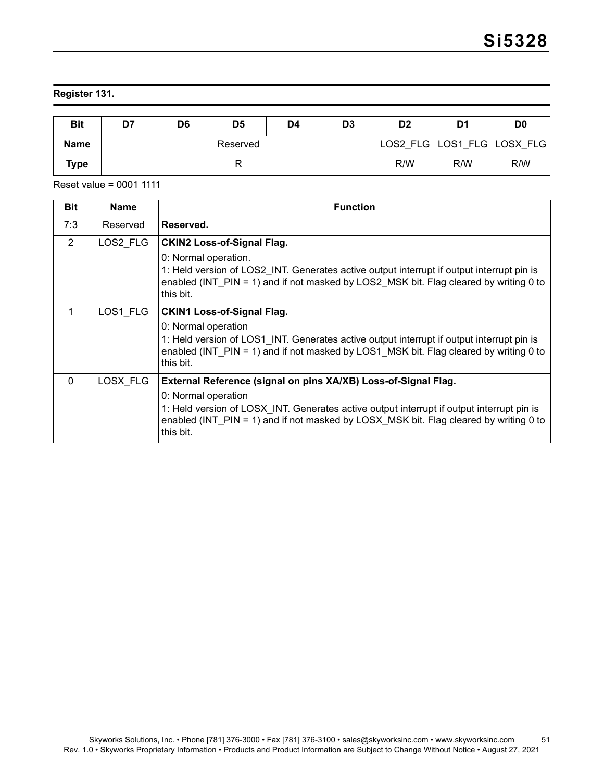# **Register 131.**

| <b>Bit</b>  | D7       | D6 | D <sub>5</sub> | D4 | D <sub>3</sub> | D <sub>2</sub> | D1  | D <sub>0</sub>             |
|-------------|----------|----|----------------|----|----------------|----------------|-----|----------------------------|
| <b>Name</b> | Reserved |    |                |    |                |                |     | LOS2 FLG LOS1 FLG LOSX FLG |
| Type        |          |    |                |    |                | R/W            | R/W | R/W                        |

| <b>Bit</b> | <b>Name</b> | <b>Function</b>                                                                                                                                                                                                                                                                          |
|------------|-------------|------------------------------------------------------------------------------------------------------------------------------------------------------------------------------------------------------------------------------------------------------------------------------------------|
| 7:3        | Reserved    | Reserved.                                                                                                                                                                                                                                                                                |
| 2          | LOS2 FLG    | <b>CKIN2 Loss-of-Signal Flag.</b><br>0: Normal operation.<br>1: Held version of LOS2 INT. Generates active output interrupt if output interrupt pin is<br>enabled (INT PIN = 1) and if not masked by LOS2 MSK bit. Flag cleared by writing 0 to<br>this bit.                             |
| 1          | LOS1 FLG    | <b>CKIN1 Loss-of-Signal Flag.</b><br>0: Normal operation<br>1: Held version of LOS1_INT. Generates active output interrupt if output interrupt pin is<br>enabled (INT PIN = 1) and if not masked by LOS1 MSK bit. Flag cleared by writing 0 to<br>this bit.                              |
| $\Omega$   | LOSX FLG    | External Reference (signal on pins XA/XB) Loss-of-Signal Flag.<br>0: Normal operation<br>1: Held version of LOSX_INT. Generates active output interrupt if output interrupt pin is<br>enabled (INT PIN = 1) and if not masked by LOSX MSK bit. Flag cleared by writing 0 to<br>this bit. |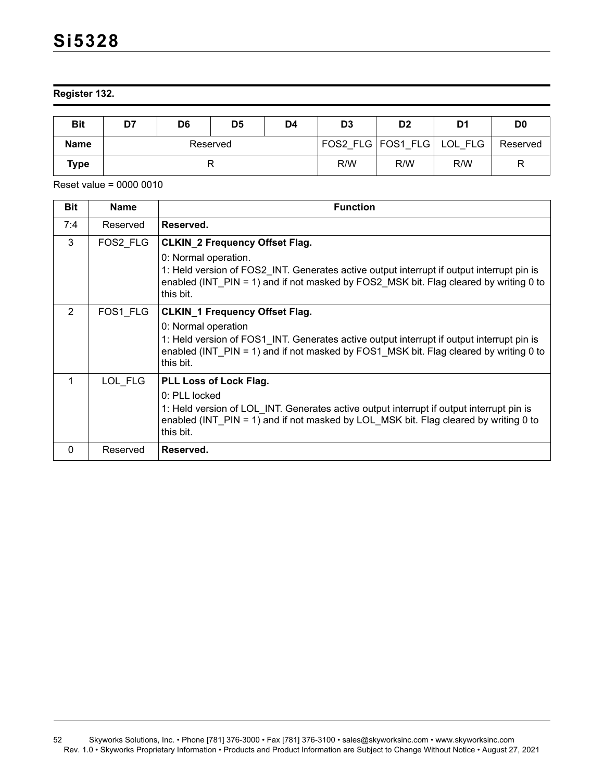### **Register 132.**

| <b>Bit</b>  | D7       | D6 | D <sub>5</sub> | D4 | D <sub>3</sub> | D <sub>2</sub>                | D1  | D <sub>0</sub> |
|-------------|----------|----|----------------|----|----------------|-------------------------------|-----|----------------|
| <b>Name</b> | Reserved |    |                |    |                | FOS2 FLG   FOS1 FLG   LOL FLG |     | Reserved       |
| Type        |          |    |                |    | R/W            | R/W                           | R/W | R              |

| <b>Bit</b> | <b>Name</b> | <b>Function</b>                                                                                                                                                                                                         |
|------------|-------------|-------------------------------------------------------------------------------------------------------------------------------------------------------------------------------------------------------------------------|
| 7:4        | Reserved    | Reserved.                                                                                                                                                                                                               |
| 3          | FOS2_FLG    | <b>CLKIN_2 Frequency Offset Flag.</b>                                                                                                                                                                                   |
|            |             | 0: Normal operation.<br>1: Held version of FOS2 INT. Generates active output interrupt if output interrupt pin is<br>enabled (INT PIN = 1) and if not masked by FOS2 MSK bit. Flag cleared by writing 0 to<br>this bit. |
| 2          | FOS1 FLG    | <b>CLKIN_1 Frequency Offset Flag.</b>                                                                                                                                                                                   |
|            |             | 0: Normal operation<br>1: Held version of FOS1_INT. Generates active output interrupt if output interrupt pin is<br>enabled (INT PIN = 1) and if not masked by FOS1 MSK bit. Flag cleared by writing 0 to<br>this bit.  |
|            | LOL FLG     | <b>PLL Loss of Lock Flag.</b>                                                                                                                                                                                           |
|            |             | 0: PLL locked                                                                                                                                                                                                           |
|            |             | 1: Held version of LOL INT. Generates active output interrupt if output interrupt pin is<br>enabled (INT PIN = 1) and if not masked by LOL MSK bit. Flag cleared by writing 0 to<br>this bit.                           |
| $\Omega$   | Reserved    | Reserved.                                                                                                                                                                                                               |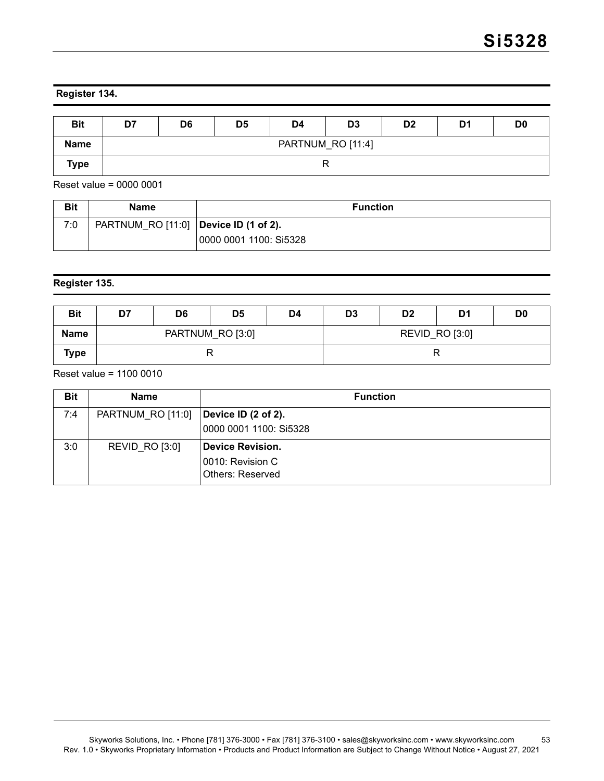### **Register 134.**

| <b>Bit</b>  | D7 | D <sub>6</sub>    | D <sub>5</sub> | D4 | D <sub>3</sub> | D <sub>2</sub> | D1 | D <sub>0</sub> |  |
|-------------|----|-------------------|----------------|----|----------------|----------------|----|----------------|--|
| <b>Name</b> |    | PARTNUM_RO [11:4] |                |    |                |                |    |                |  |
| <b>Type</b> |    |                   |                |    |                |                |    |                |  |

Reset value = 0000 0001

| <b>Bit</b> | Name                                    | <b>Function</b>        |
|------------|-----------------------------------------|------------------------|
| 7:0        | PARTNUM_RO [11:0]   Device ID (1 of 2). |                        |
|            |                                         | 0000 0001 1100: Si5328 |

# **Register 135.**

| <b>Bit</b>  | D7 | D <sub>6</sub> | D <sub>5</sub>   | D4 | D <sub>3</sub> | D <sub>2</sub> | D <sub>1</sub> | D <sub>0</sub> |
|-------------|----|----------------|------------------|----|----------------|----------------|----------------|----------------|
| <b>Name</b> |    |                | PARTNUM_RO [3:0] |    | REVID_RO [3:0] |                |                |                |
| <b>Type</b> |    |                |                  |    |                |                |                |                |

Reset value = 1100 0010

| <b>Bit</b> | <b>Name</b>           | <b>Function</b>                                                        |
|------------|-----------------------|------------------------------------------------------------------------|
| 7:4        | PARTNUM RO [11:0]     | Device ID (2 of 2).<br>0000 0001 1100: Si5328                          |
| 3:0        | <b>REVID RO [3:0]</b> | <b>Device Revision.</b><br>0010: Revision C<br><b>Others: Reserved</b> |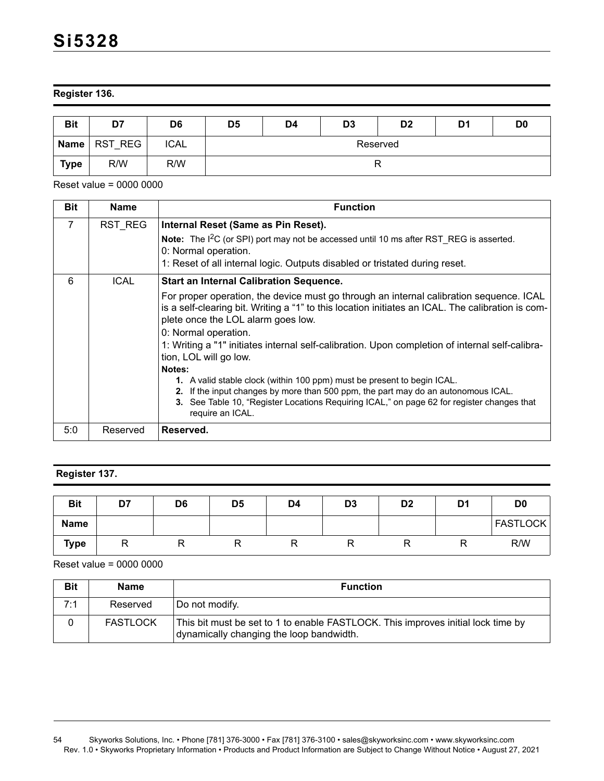### **Register 136.**

| <b>Bit</b> | D7             | D <sub>6</sub> | D <sub>5</sub> | D4 | D <sub>3</sub> | D <sub>2</sub> | D1 | D <sub>0</sub> |
|------------|----------------|----------------|----------------|----|----------------|----------------|----|----------------|
|            | Name   RST REG | <b>ICAL</b>    | Reserved       |    |                |                |    |                |
| Type       | R/W            | R/W            |                |    | R              |                |    |                |

Reset value = 0000 0000

| <b>Bit</b>     | <b>Name</b> | <b>Function</b>                                                                                                                                                                                                                                                                                                                                                                         |
|----------------|-------------|-----------------------------------------------------------------------------------------------------------------------------------------------------------------------------------------------------------------------------------------------------------------------------------------------------------------------------------------------------------------------------------------|
| $\overline{7}$ | RST REG     | Internal Reset (Same as Pin Reset).                                                                                                                                                                                                                                                                                                                                                     |
|                |             | Note: The I <sup>2</sup> C (or SPI) port may not be accessed until 10 ms after RST_REG is asserted.<br>0: Normal operation.                                                                                                                                                                                                                                                             |
|                |             | 1: Reset of all internal logic. Outputs disabled or tristated during reset.                                                                                                                                                                                                                                                                                                             |
| 6              | <b>ICAL</b> | <b>Start an Internal Calibration Sequence.</b>                                                                                                                                                                                                                                                                                                                                          |
|                |             | For proper operation, the device must go through an internal calibration sequence. ICAL<br>is a self-clearing bit. Writing a "1" to this location initiates an ICAL. The calibration is com-<br>plete once the LOL alarm goes low.<br>0: Normal operation.<br>1: Writing a "1" initiates internal self-calibration. Upon completion of internal self-calibra-<br>tion, LOL will go low. |
|                |             | Notes:                                                                                                                                                                                                                                                                                                                                                                                  |
|                |             | 1. A valid stable clock (within 100 ppm) must be present to begin ICAL.<br>If the input changes by more than 500 ppm, the part may do an autonomous ICAL.<br>2.<br>3. See Table 10, "Register Locations Requiring ICAL," on page 62 for register changes that<br>require an ICAL.                                                                                                       |
| 5:0            | Reserved    | Reserved.                                                                                                                                                                                                                                                                                                                                                                               |

# **Register 137.**

| <b>Bit</b>  | D7 | D <sub>6</sub> | D <sub>5</sub> | D <sub>4</sub> | D <sub>3</sub> | D <sub>2</sub> | D1 | D <sub>0</sub>  |
|-------------|----|----------------|----------------|----------------|----------------|----------------|----|-----------------|
| <b>Name</b> |    |                |                |                |                |                |    | <b>FASTLOCK</b> |
| <b>Type</b> |    |                |                |                |                |                | R  | R/W             |

| <b>Bit</b> | <b>Name</b>     | <b>Function</b>                                                                                                              |
|------------|-----------------|------------------------------------------------------------------------------------------------------------------------------|
| 7:1        | Reserved        | Do not modify.                                                                                                               |
|            | <b>FASTLOCK</b> | This bit must be set to 1 to enable FASTLOCK. This improves initial lock time by<br>dynamically changing the loop bandwidth. |

<sup>54</sup> Skyworks Solutions, Inc. • Phone [781] 376-3000 • Fax [781] 376-3100 • sales@skyworksinc.com • www.skyworksinc.com Rev. 1.0 • Skyworks Proprietary Information • Products and Product Information are Subject to Change Without Notice • August 27, 2021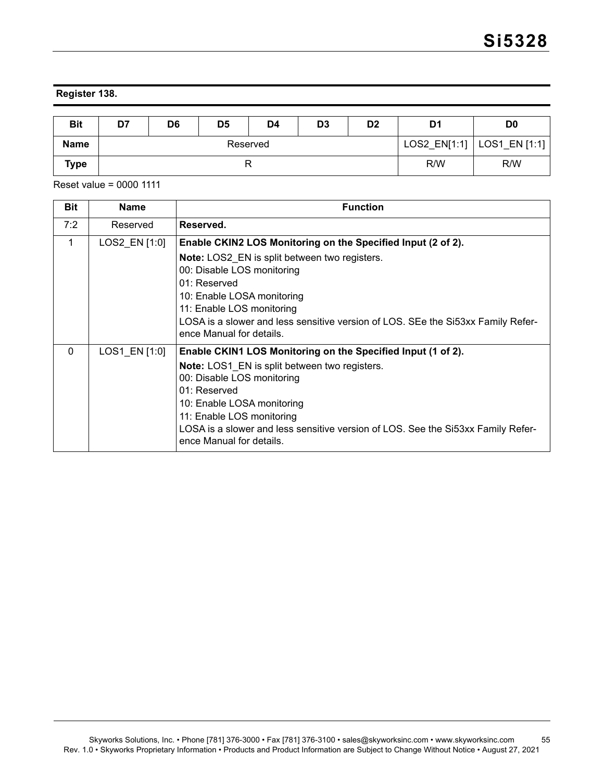### **Register 138.**

| <b>Bit</b>  | D7 | D6       | D5 | D4 | D <sub>3</sub> | D <sub>2</sub> | D1  | D <sub>0</sub>               |
|-------------|----|----------|----|----|----------------|----------------|-----|------------------------------|
| <b>Name</b> |    | Reserved |    |    |                |                |     | LOS2_EN[1:1]   LOS1_EN [1:1] |
| <b>Type</b> | r  |          |    |    |                |                | R/W | R/W                          |

| <b>Bit</b> | <b>Name</b>   | <b>Function</b>                                                                                                                                                                                                                                                                                                                                 |
|------------|---------------|-------------------------------------------------------------------------------------------------------------------------------------------------------------------------------------------------------------------------------------------------------------------------------------------------------------------------------------------------|
| 7:2        | Reserved      | Reserved.                                                                                                                                                                                                                                                                                                                                       |
| 1          | LOS2_EN [1:0] | Enable CKIN2 LOS Monitoring on the Specified Input (2 of 2).<br><b>Note:</b> LOS2 EN is split between two registers.<br>00: Disable LOS monitoring<br>$01:$ Reserved<br>10: Enable LOSA monitoring<br>11: Enable LOS monitoring<br>LOSA is a slower and less sensitive version of LOS. SEe the Si53xx Family Refer-<br>ence Manual for details. |
| $\Omega$   | LOS1 EN [1:0] | Enable CKIN1 LOS Monitoring on the Specified Input (1 of 2).<br><b>Note:</b> LOS1 EN is split between two registers.<br>00: Disable LOS monitoring<br>$01:$ Reserved<br>10: Enable LOSA monitoring<br>11: Enable LOS monitoring<br>LOSA is a slower and less sensitive version of LOS. See the Si53xx Family Refer-<br>ence Manual for details. |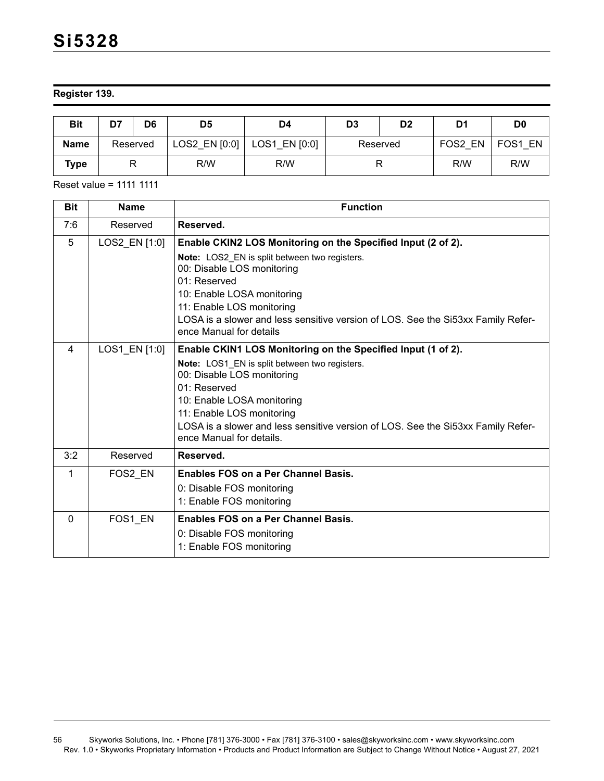### **Register 139.**

| <b>Bit</b>  | D7 | D6       | D5              | D4            | D3       | D <sub>2</sub> | D1      | D <sub>0</sub> |
|-------------|----|----------|-----------------|---------------|----------|----------------|---------|----------------|
| <b>Name</b> |    | Reserved | LOS2 EN $[0:0]$ | LOS1 EN [0:0] | Reserved |                | FOS2 EN | FOS1 EN        |
| Туре        |    |          | R/W             | R/W           |          |                | R/W     | R/W            |

Reset value = 1111 1111

| <b>Bit</b>     | <b>Name</b>   | <b>Function</b>                                                                                                                                                                                                                                                                                                                          |
|----------------|---------------|------------------------------------------------------------------------------------------------------------------------------------------------------------------------------------------------------------------------------------------------------------------------------------------------------------------------------------------|
| 7:6            | Reserved      | Reserved.                                                                                                                                                                                                                                                                                                                                |
| 5              | LOS2_EN [1:0] | Enable CKIN2 LOS Monitoring on the Specified Input (2 of 2).<br>Note: LOS2 EN is split between two registers.<br>00: Disable LOS monitoring<br>01: Reserved<br>10: Enable LOSA monitoring<br>11: Enable LOS monitoring<br>LOSA is a slower and less sensitive version of LOS. See the Si53xx Family Refer-<br>ence Manual for details    |
| $\overline{4}$ | LOS1_EN [1:0] | Enable CKIN1 LOS Monitoring on the Specified Input (1 of 2).<br>Note: LOS1 EN is split between two registers.<br>00: Disable LOS monitoring<br>$01:$ Reserved<br>10: Enable LOSA monitoring<br>11: Enable LOS monitoring<br>LOSA is a slower and less sensitive version of LOS. See the Si53xx Family Refer-<br>ence Manual for details. |
| 3:2            | Reserved      | Reserved.                                                                                                                                                                                                                                                                                                                                |
| 1              | FOS2 EN       | Enables FOS on a Per Channel Basis.<br>0: Disable FOS monitoring<br>1: Enable FOS monitoring                                                                                                                                                                                                                                             |
| $\Omega$       | FOS1_EN       | <b>Enables FOS on a Per Channel Basis.</b><br>0: Disable FOS monitoring<br>1: Enable FOS monitoring                                                                                                                                                                                                                                      |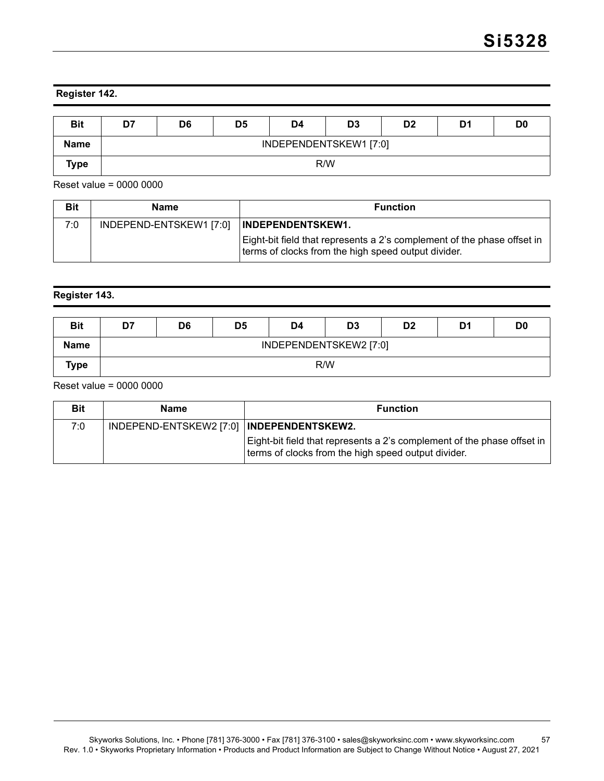### **Register 142.**

| <b>Bit</b>  | D7 | D <sub>6</sub>         | D <sub>5</sub> | D4 | D3 | D <sub>2</sub> | D1 | D <sub>0</sub> |  |
|-------------|----|------------------------|----------------|----|----|----------------|----|----------------|--|
| <b>Name</b> |    | INDEPENDENTSKEW1 [7:0] |                |    |    |                |    |                |  |
| <b>Type</b> |    | R/W                    |                |    |    |                |    |                |  |

Reset value = 0000 0000

| <b>Bit</b> | Name                    | <b>Function</b>                                                                                                                                            |
|------------|-------------------------|------------------------------------------------------------------------------------------------------------------------------------------------------------|
| 7:0        | INDEPEND-ENTSKEW1 [7:0] | <b>INDEPENDENTSKEW1.</b><br>Eight-bit field that represents a 2's complement of the phase offset in<br>terms of clocks from the high speed output divider. |

#### **Register 143.**

| <b>Bit</b>  | D7 | D6                     | D <sub>5</sub> | D4 | D <sub>3</sub> | D <sub>2</sub> | D1 | D <sub>0</sub> |  |
|-------------|----|------------------------|----------------|----|----------------|----------------|----|----------------|--|
| <b>Name</b> |    | INDEPENDENTSKEW2 [7:0] |                |    |                |                |    |                |  |
| Type        |    | R/W                    |                |    |                |                |    |                |  |

| <b>Bit</b> | Name                                        | <b>Function</b>                                                                                                                |
|------------|---------------------------------------------|--------------------------------------------------------------------------------------------------------------------------------|
| 7:0        | INDEPEND-ENTSKEW2 [7:0]   INDEPENDENTSKEW2. |                                                                                                                                |
|            |                                             | Eight-bit field that represents a 2's complement of the phase offset in<br>terms of clocks from the high speed output divider. |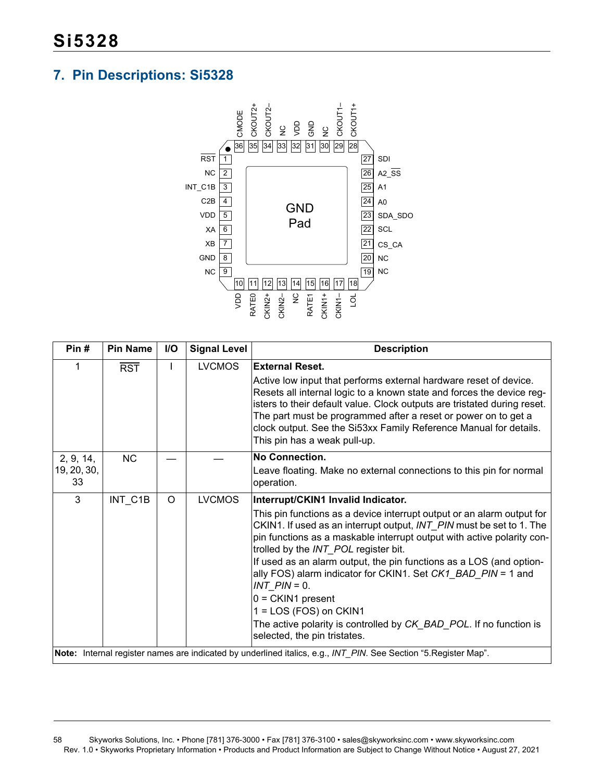# <span id="page-57-0"></span>**7. Pin Descriptions: Si5328**



| Pin#                           | <b>Pin Name</b>  | I/O | <b>Signal Level</b> | <b>Description</b>                                                                                                                                                                                                                                                                                                                                                                                                                                                                                                                                                                                                            |
|--------------------------------|------------------|-----|---------------------|-------------------------------------------------------------------------------------------------------------------------------------------------------------------------------------------------------------------------------------------------------------------------------------------------------------------------------------------------------------------------------------------------------------------------------------------------------------------------------------------------------------------------------------------------------------------------------------------------------------------------------|
|                                | $\overline{RST}$ |     | <b>LVCMOS</b>       | <b>External Reset.</b><br>Active low input that performs external hardware reset of device.<br>Resets all internal logic to a known state and forces the device reg-<br>isters to their default value. Clock outputs are tristated during reset.<br>The part must be programmed after a reset or power on to get a<br>clock output. See the Si53xx Family Reference Manual for details.<br>This pin has a weak pull-up.                                                                                                                                                                                                       |
| 2, 9, 14,<br>19, 20, 30,<br>33 | <b>NC</b>        |     |                     | No Connection.<br>Leave floating. Make no external connections to this pin for normal<br>operation.                                                                                                                                                                                                                                                                                                                                                                                                                                                                                                                           |
| 3                              | INT C1B          | O   | <b>LVCMOS</b>       | Interrupt/CKIN1 Invalid Indicator.<br>This pin functions as a device interrupt output or an alarm output for<br>CKIN1. If used as an interrupt output, INT PIN must be set to 1. The<br>pin functions as a maskable interrupt output with active polarity con-<br>trolled by the INT_POL register bit.<br>If used as an alarm output, the pin functions as a LOS (and option-<br>ally FOS) alarm indicator for CKIN1. Set CK1_BAD_PIN = 1 and<br>$INT$ $PIN = 0$ .<br>$0 = CKIN1$ present<br>$1 = LOS (FOS)$ on $CKIN1$<br>The active polarity is controlled by CK_BAD_POL. If no function is<br>selected, the pin tristates. |
|                                |                  |     |                     | Note: Internal register names are indicated by underlined italics, e.g., INT_PIN. See Section "5. Register Map".                                                                                                                                                                                                                                                                                                                                                                                                                                                                                                              |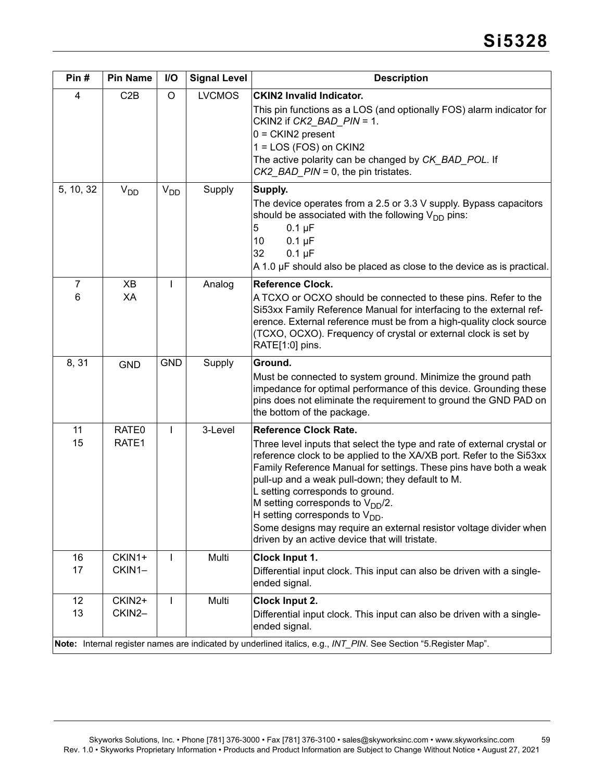| Pin#                                                                                                             | <b>Pin Name</b>       | I/O             | <b>Signal Level</b> | <b>Description</b>                                                                                                                                                                                                                                                                                                                                                                                                                                                                                                                                   |  |  |
|------------------------------------------------------------------------------------------------------------------|-----------------------|-----------------|---------------------|------------------------------------------------------------------------------------------------------------------------------------------------------------------------------------------------------------------------------------------------------------------------------------------------------------------------------------------------------------------------------------------------------------------------------------------------------------------------------------------------------------------------------------------------------|--|--|
| $\overline{4}$                                                                                                   | C2B                   | $\circ$         | <b>LVCMOS</b>       | <b>CKIN2 Invalid Indicator.</b><br>This pin functions as a LOS (and optionally FOS) alarm indicator for<br>CKIN2 if CK2_BAD_PIN = 1.<br>$0 = CKIN2$ present<br>1 = LOS (FOS) on CKIN2<br>The active polarity can be changed by CK_BAD_POL. If<br>$CK2$ _BAD_PIN = 0, the pin tristates.                                                                                                                                                                                                                                                              |  |  |
| 5, 10, 32                                                                                                        | <b>V<sub>DD</sub></b> | V <sub>DD</sub> | Supply              | Supply.<br>The device operates from a 2.5 or 3.3 V supply. Bypass capacitors<br>should be associated with the following $V_{DD}$ pins:<br>5<br>$0.1 \mu F$<br>10<br>$0.1 \mu F$<br>$0.1 \mu F$<br>32<br>A 1.0 µF should also be placed as close to the device as is practical.                                                                                                                                                                                                                                                                       |  |  |
| $\overline{7}$<br>6                                                                                              | XB<br>XA              | L               | Analog              | <b>Reference Clock.</b><br>A TCXO or OCXO should be connected to these pins. Refer to the<br>Si53xx Family Reference Manual for interfacing to the external ref-<br>erence. External reference must be from a high-quality clock source<br>(TCXO, OCXO). Frequency of crystal or external clock is set by<br>RATE[1:0] pins.                                                                                                                                                                                                                         |  |  |
| 8,31                                                                                                             | <b>GND</b>            | <b>GND</b>      | Supply              | Ground.<br>Must be connected to system ground. Minimize the ground path<br>impedance for optimal performance of this device. Grounding these<br>pins does not eliminate the requirement to ground the GND PAD on<br>the bottom of the package.                                                                                                                                                                                                                                                                                                       |  |  |
| 11<br>15                                                                                                         | RATE0<br>RATE1        | L               | 3-Level             | <b>Reference Clock Rate.</b><br>Three level inputs that select the type and rate of external crystal or<br>reference clock to be applied to the XA/XB port. Refer to the Si53xx<br>Family Reference Manual for settings. These pins have both a weak<br>pull-up and a weak pull-down; they default to M.<br>L setting corresponds to ground.<br>M setting corresponds to $V_{DD}/2$ .<br>H setting corresponds to $V_{DD}$ .<br>Some designs may require an external resistor voltage divider when<br>driven by an active device that will tristate. |  |  |
| 16<br>17                                                                                                         | CKIN1+<br>CKIN1-      | L               | Multi               | Clock Input 1.<br>Differential input clock. This input can also be driven with a single-<br>ended signal.                                                                                                                                                                                                                                                                                                                                                                                                                                            |  |  |
| 12<br>13                                                                                                         | CKIN2+<br>CKIN2-      |                 | Multi               | Clock Input 2.<br>Differential input clock. This input can also be driven with a single-<br>ended signal.                                                                                                                                                                                                                                                                                                                                                                                                                                            |  |  |
| Note: Internal register names are indicated by underlined italics, e.g., INT_PIN. See Section "5. Register Map". |                       |                 |                     |                                                                                                                                                                                                                                                                                                                                                                                                                                                                                                                                                      |  |  |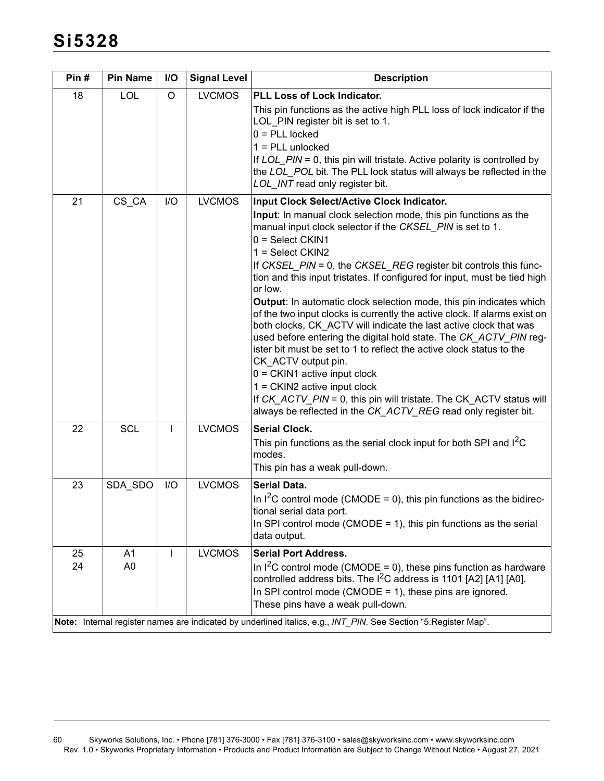| Pin#     | <b>Pin Name</b>                  | I/O          | <b>Signal Level</b> | <b>Description</b>                                                                                                                                                                                                                                                                                                                                                                                                                                                                                                                                                                                                                                                                                                                                                                                                                                                                                                                                                                        |
|----------|----------------------------------|--------------|---------------------|-------------------------------------------------------------------------------------------------------------------------------------------------------------------------------------------------------------------------------------------------------------------------------------------------------------------------------------------------------------------------------------------------------------------------------------------------------------------------------------------------------------------------------------------------------------------------------------------------------------------------------------------------------------------------------------------------------------------------------------------------------------------------------------------------------------------------------------------------------------------------------------------------------------------------------------------------------------------------------------------|
| 18       | LOL                              | $\circ$      | <b>LVCMOS</b>       | PLL Loss of Lock Indicator.<br>This pin functions as the active high PLL loss of lock indicator if the<br>LOL_PIN register bit is set to 1.<br>$0 = PLL$ locked<br>$1 = PLL$ unlocked<br>If $LOL$ $PIN = 0$ , this pin will tristate. Active polarity is controlled by<br>the LOL_POL bit. The PLL lock status will always be reflected in the<br>LOL_INT read only register bit.                                                                                                                                                                                                                                                                                                                                                                                                                                                                                                                                                                                                         |
| 21       | CS_CA                            | I/O          | <b>LVCMOS</b>       | Input Clock Select/Active Clock Indicator.<br>Input: In manual clock selection mode, this pin functions as the<br>manual input clock selector if the CKSEL_PIN is set to 1.<br>$0 = Select CKIN1$<br>1 = Select CKIN2<br>If CKSEL_PIN = 0, the CKSEL_REG register bit controls this func-<br>tion and this input tristates. If configured for input, must be tied high<br>or low.<br>Output: In automatic clock selection mode, this pin indicates which<br>of the two input clocks is currently the active clock. If alarms exist on<br>both clocks, CK_ACTV will indicate the last active clock that was<br>used before entering the digital hold state. The CK_ACTV_PIN reg-<br>ister bit must be set to 1 to reflect the active clock status to the<br>CK_ACTV output pin.<br>$0 = CKIN1$ active input clock<br>1 = CKIN2 active input clock<br>If CK_ACTV_PIN = 0, this pin will tristate. The CK_ACTV status will<br>always be reflected in the CK_ACTV_REG read only register bit. |
| 22       | <b>SCL</b>                       | $\mathbf{I}$ | <b>LVCMOS</b>       | <b>Serial Clock.</b><br>This pin functions as the serial clock input for both SPI and I <sup>2</sup> C<br>modes.<br>This pin has a weak pull-down.                                                                                                                                                                                                                                                                                                                                                                                                                                                                                                                                                                                                                                                                                                                                                                                                                                        |
| 23       | SDA_SDO                          | I/O          | <b>LVCMOS</b>       | <b>Serial Data.</b><br>In $1^2$ C control mode (CMODE = 0), this pin functions as the bidirec-<br>tional serial data port.<br>In SPI control mode (CMODE = 1), this pin functions as the serial<br>data output.                                                                                                                                                                                                                                                                                                                                                                                                                                                                                                                                                                                                                                                                                                                                                                           |
| 25<br>24 | A <sub>1</sub><br>A <sub>0</sub> | $\mathbf{I}$ | <b>LVCMOS</b>       | <b>Serial Port Address.</b><br>In $1^2C$ control mode (CMODE = 0), these pins function as hardware<br>controlled address bits. The $I^2C$ address is 1101 [A2] [A1] [A0].<br>In SPI control mode (CMODE = 1), these pins are ignored.<br>These pins have a weak pull-down.<br>Note: Internal register names are indicated by underlined italics, e.g., INT_PIN. See Section "5. Register Map".                                                                                                                                                                                                                                                                                                                                                                                                                                                                                                                                                                                            |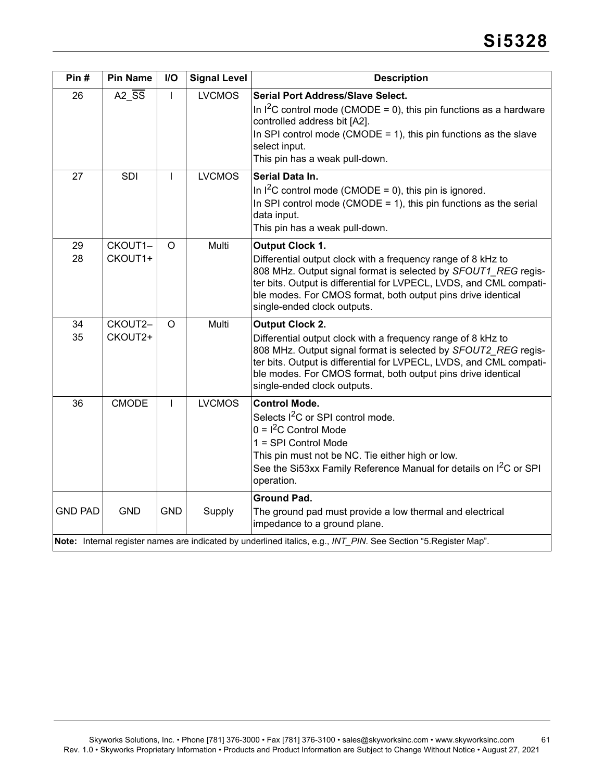| Pin#           | <b>Pin Name</b>    | I/O          | <b>Signal Level</b> | <b>Description</b>                                                                                                                                                                                                                                                                                                             |
|----------------|--------------------|--------------|---------------------|--------------------------------------------------------------------------------------------------------------------------------------------------------------------------------------------------------------------------------------------------------------------------------------------------------------------------------|
| 26             | A2_SS              | L            | <b>LVCMOS</b>       | <b>Serial Port Address/Slave Select.</b><br>In $I^2C$ control mode (CMODE = 0), this pin functions as a hardware<br>controlled address bit [A2].<br>In SPI control mode (CMODE = 1), this pin functions as the slave<br>select input.<br>This pin has a weak pull-down.                                                        |
| 27             | <b>SDI</b>         | $\mathbf{I}$ | <b>LVCMOS</b>       | Serial Data In.<br>In $1^2$ C control mode (CMODE = 0), this pin is ignored.<br>In SPI control mode (CMODE = 1), this pin functions as the serial<br>data input.<br>This pin has a weak pull-down.                                                                                                                             |
| 29<br>28       | CKOUT1-<br>CKOUT1+ | $\Omega$     | Multi               | <b>Output Clock 1.</b><br>Differential output clock with a frequency range of 8 kHz to<br>808 MHz. Output signal format is selected by SFOUT1_REG regis-<br>ter bits. Output is differential for LVPECL, LVDS, and CML compati-<br>ble modes. For CMOS format, both output pins drive identical<br>single-ended clock outputs. |
| 34<br>35       | CKOUT2-<br>CKOUT2+ | $\Omega$     | Multi               | <b>Output Clock 2.</b><br>Differential output clock with a frequency range of 8 kHz to<br>808 MHz. Output signal format is selected by SFOUT2 REG regis-<br>ter bits. Output is differential for LVPECL, LVDS, and CML compati-<br>ble modes. For CMOS format, both output pins drive identical<br>single-ended clock outputs. |
| 36             | <b>CMODE</b>       | L            | <b>LVCMOS</b>       | <b>Control Mode.</b><br>Selects I <sup>2</sup> C or SPI control mode.<br>$0 = I2C$ Control Mode<br>1 = SPI Control Mode<br>This pin must not be NC. Tie either high or low.<br>See the Si53xx Family Reference Manual for details on I <sup>2</sup> C or SPI<br>operation.                                                     |
| <b>GND PAD</b> | <b>GND</b>         | <b>GND</b>   | Supply              | <b>Ground Pad.</b><br>The ground pad must provide a low thermal and electrical<br>impedance to a ground plane.<br>Note: Internal register names are indicated by underlined italics, e.g., INT_PIN. See Section "5. Register Map".                                                                                             |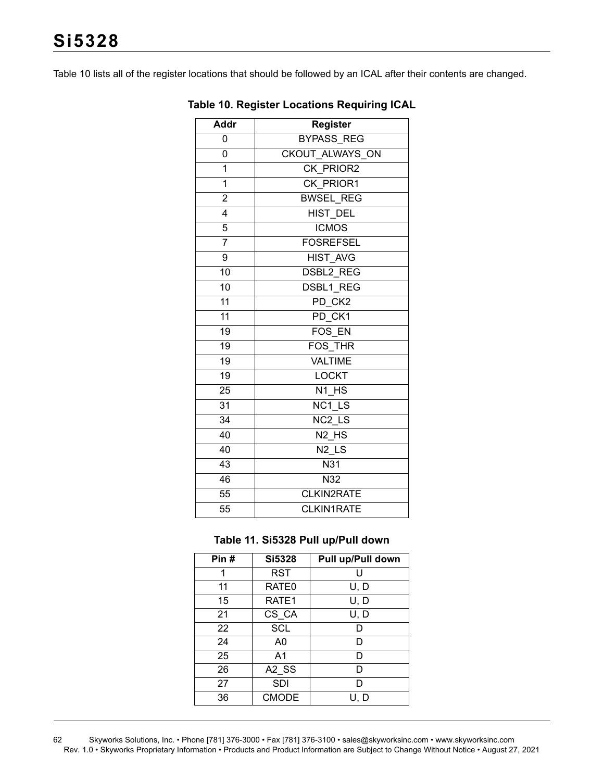<span id="page-61-0"></span>[Table 10](#page-61-0) lists all of the register locations that should be followed by an ICAL after their contents are changed.

| <b>Addr</b>             | <b>Register</b>               |
|-------------------------|-------------------------------|
| 0                       | <b>BYPASS REG</b>             |
| 0                       | CKOUT ALWAYS ON               |
| 1                       | CK PRIOR2                     |
| $\overline{1}$          | CK PRIOR1                     |
| $\overline{2}$          | <b>BWSEL REG</b>              |
| $\overline{\mathbf{4}}$ | <b>HIST DEL</b>               |
| $\overline{5}$          | <b>ICMOS</b>                  |
| $\overline{7}$          | <b>FOSREFSEL</b>              |
| 9                       | HIST AVG                      |
| 10                      | <b>DSBL2 REG</b>              |
| 10                      | DSBL1 REG                     |
| 11                      | PD CK2                        |
| 11                      | PD CK1                        |
| 19                      | FOS EN                        |
| 19                      | FOS THR                       |
| 19                      | <b>VALTIME</b>                |
| 19                      | <b>LOCKT</b>                  |
| 25                      | N1 HS                         |
| 31                      | NC1 LS                        |
| 34                      | NC <sub>2</sub> LS            |
| 40                      | N <sub>2</sub> H <sub>S</sub> |
| 40                      | $N2$ LS                       |
| 43                      | N31                           |
| 46                      | N32                           |
| 55                      | CLKIN2RATE                    |
| 55                      | <b>CLKIN1RATE</b>             |

#### **Table 10. Register Locations Requiring ICAL**

#### **Table 11. Si5328 Pull up/Pull down**

| Pin# | <b>Si5328</b>     | Pull up/Pull down |
|------|-------------------|-------------------|
| 1    | <b>RST</b>        | U                 |
| 11   | RATE <sub>0</sub> | U, D              |
| 15   | RATE <sub>1</sub> | U, D              |
| 21   | CS_CA             | U, D              |
| 22   | <b>SCL</b>        | D                 |
| 24   | A0                | D                 |
| 25   | A <sub>1</sub>    | D                 |
| 26   | A2 SS             | D                 |
| 27   | <b>SDI</b>        | n                 |
| 36   | <b>CMODE</b>      | U, D              |

62 Skyworks Solutions, Inc. • Phone [781] 376-3000 • Fax [781] 376-3100 • sales@skyworksinc.com • www.skyworksinc.com Rev. 1.0 • Skyworks Proprietary Information • Products and Product Information are Subject to Change Without Notice • August 27, 2021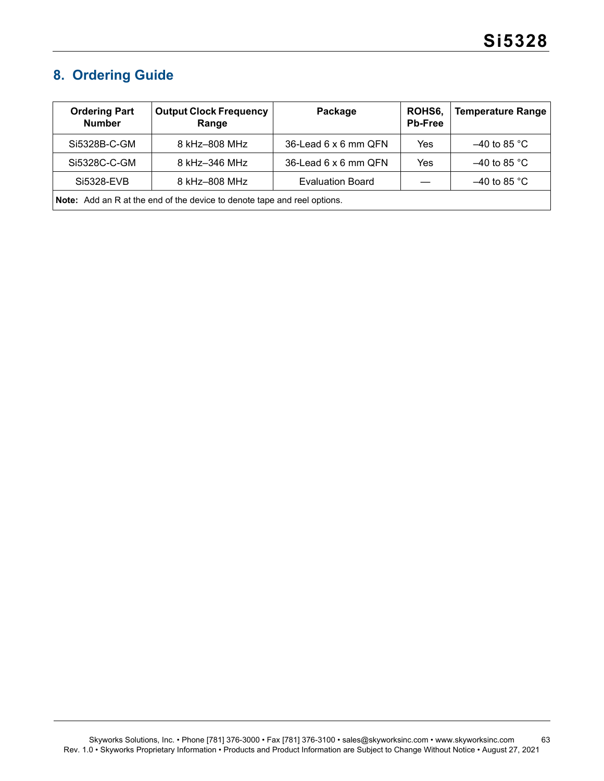# <span id="page-62-0"></span>**8. Ordering Guide**

| <b>Ordering Part</b><br><b>Number</b>                                           | <b>Output Clock Frequency</b><br>Range | Package                 | ROHS6.<br><b>Pb-Free</b> | <b>Temperature Range</b> |  |
|---------------------------------------------------------------------------------|----------------------------------------|-------------------------|--------------------------|--------------------------|--|
| Si5328B-C-GM                                                                    | 8 kHz-808 MHz                          | 36-Lead 6 x 6 mm QFN    | Yes                      | $-40$ to 85 °C           |  |
| Si5328C-C-GM                                                                    | 8 kHz-346 MHz                          | 36-Lead 6 x 6 mm QFN    | Yes                      | $-40$ to 85 °C           |  |
| Si5328-EVB                                                                      | 8 kHz-808 MHz                          | <b>Evaluation Board</b> |                          | $-40$ to 85 °C           |  |
| <b>Note:</b> Add an R at the end of the device to denote tape and reel options. |                                        |                         |                          |                          |  |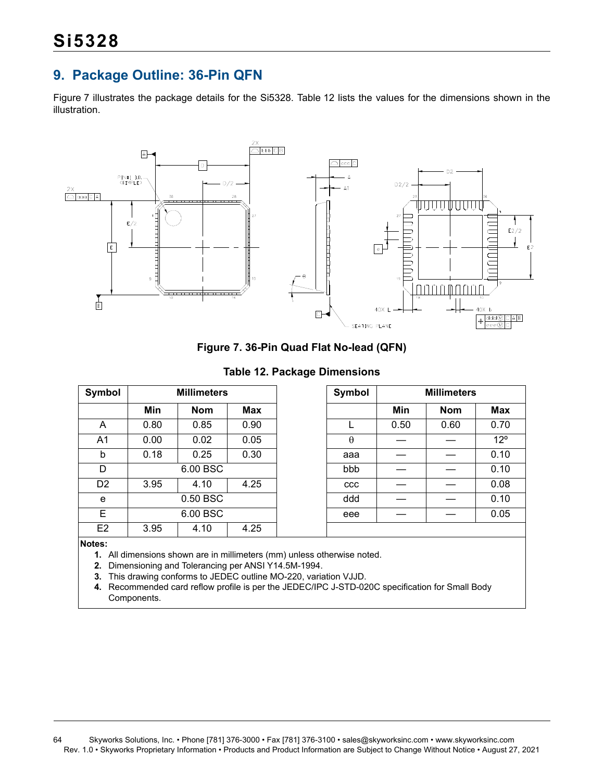# <span id="page-63-0"></span>**9. Package Outline: 36-Pin QFN**

[Figure 7](#page-63-1) illustrates the package details for the Si5328. [Table 12](#page-63-2) lists the values for the dimensions shown in the illustration.



**Figure 7. 36-Pin Quad Flat No-lead (QFN)**

**Table 12. Package Dimensions**

<span id="page-63-2"></span><span id="page-63-1"></span>

| Symbol         | <b>Millimeters</b> |            |      |
|----------------|--------------------|------------|------|
|                | Min                | <b>Nom</b> | Max  |
| A              | 0.80               | 0.85       | 0.90 |
| A <sub>1</sub> | 0.00               | 0.02       | 0.05 |
| b              | 0.18               | 0.25       | 0.30 |
| D              |                    | 6.00 BSC   |      |
| D <sub>2</sub> | 3.95               | 4.10       | 4.25 |
| e              |                    | 0.50 BSC   |      |
| E              |                    | 6.00 BSC   |      |
| E <sub>2</sub> | 3.95               | 4.10       | 4.25 |

**Notes:**

- **1.** All dimensions shown are in millimeters (mm) unless otherwise noted.
- **2.** Dimensioning and Tolerancing per ANSI Y14.5M-1994.
- **3.** This drawing conforms to JEDEC outline MO-220, variation VJJD.

**4.** Recommended card reflow profile is per the JEDEC/IPC J-STD-020C specification for Small Body Components.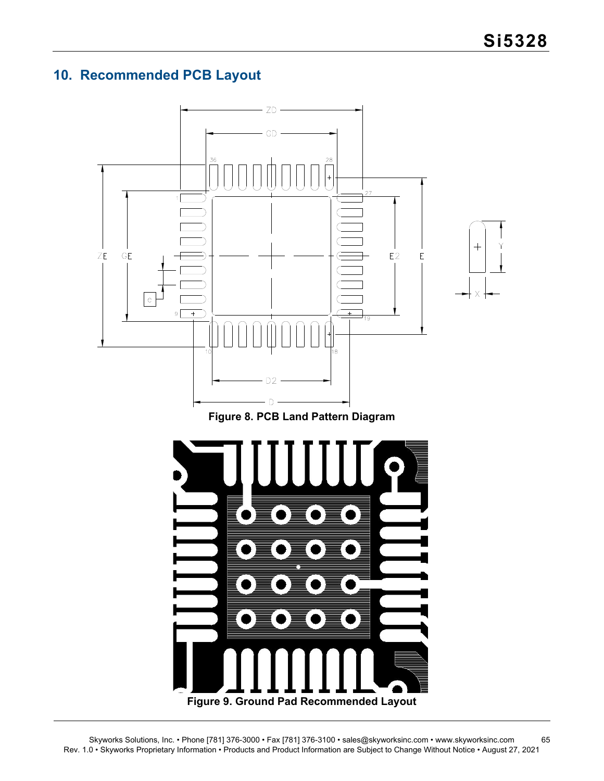# <span id="page-64-0"></span>**10. Recommended PCB Layout**



# **Figure 8. PCB Land Pattern Diagram**

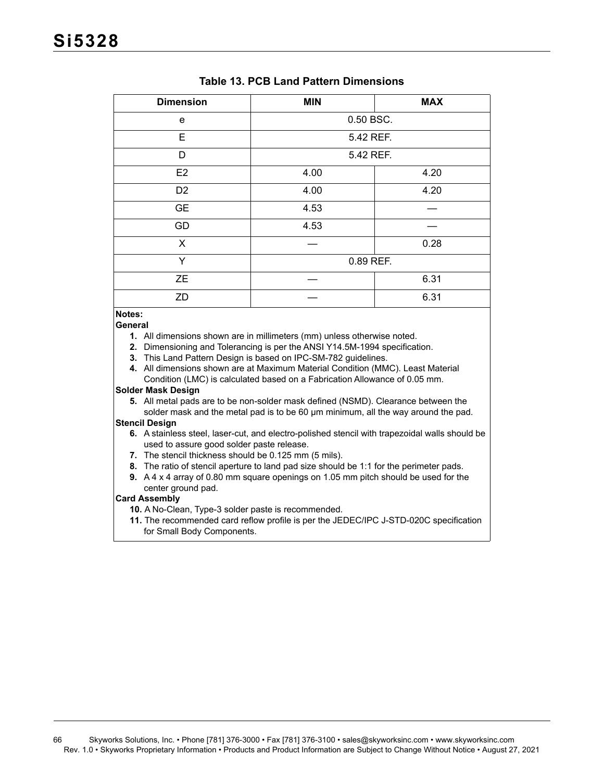| <b>Dimension</b> | <b>MIN</b>   | <b>MAX</b> |  |
|------------------|--------------|------------|--|
| е                | 0.50 BSC.    |            |  |
| Е                | 5.42 REF.    |            |  |
| D                | 5.42 REF.    |            |  |
| E <sub>2</sub>   | 4.00         | 4.20       |  |
| D <sub>2</sub>   | 4.00<br>4.20 |            |  |
| <b>GE</b>        | 4.53         |            |  |
| GD               | 4.53         |            |  |
| X                |              | 0.28       |  |
| Y                | 0.89 REF.    |            |  |
| <b>ZE</b>        |              | 6.31       |  |
| ZD               |              | 6.31       |  |

# **Table 13. PCB Land Pattern Dimensions**

#### **Notes:**

**General**

- **1.** All dimensions shown are in millimeters (mm) unless otherwise noted.
- **2.** Dimensioning and Tolerancing is per the ANSI Y14.5M-1994 specification.
- **3.** This Land Pattern Design is based on IPC-SM-782 guidelines.
- **4.** All dimensions shown are at Maximum Material Condition (MMC). Least Material Condition (LMC) is calculated based on a Fabrication Allowance of 0.05 mm.

#### **Solder Mask Design**

**5.** All metal pads are to be non-solder mask defined (NSMD). Clearance between the solder mask and the metal pad is to be 60 µm minimum, all the way around the pad.

#### **Stencil Design**

- **6.** A stainless steel, laser-cut, and electro-polished stencil with trapezoidal walls should be used to assure good solder paste release.
- **7.** The stencil thickness should be 0.125 mm (5 mils).
- **8.** The ratio of stencil aperture to land pad size should be 1:1 for the perimeter pads.
- **9.** A 4 x 4 array of 0.80 mm square openings on 1.05 mm pitch should be used for the center ground pad.

#### **Card Assembly**

- **10.** A No-Clean, Type-3 solder paste is recommended.
- **11.** The recommended card reflow profile is per the JEDEC/IPC J-STD-020C specification for Small Body Components.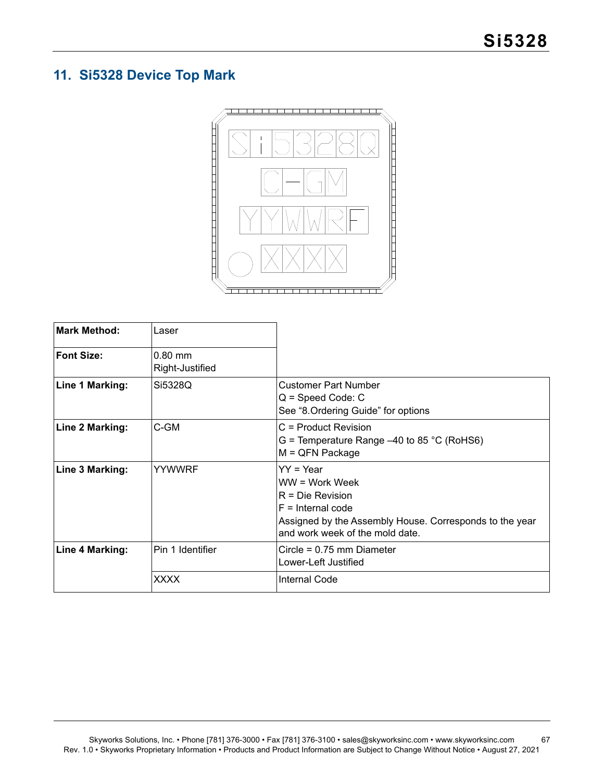# <span id="page-66-0"></span>**11. Si5328 Device Top Mark**



| <b>Mark Method:</b> | Laser                        |                                                                                                                                                                          |
|---------------------|------------------------------|--------------------------------------------------------------------------------------------------------------------------------------------------------------------------|
| <b>Font Size:</b>   | $0.80$ mm<br>Right-Justified |                                                                                                                                                                          |
| Line 1 Marking:     | Si5328Q                      | <b>Customer Part Number</b><br>$Q = Speed Code: C$<br>See "8. Ordering Guide" for options                                                                                |
| Line 2 Marking:     | C-GM                         | C = Product Revision<br>G = Temperature Range $-40$ to 85 °C (RoHS6)<br>$M = QFN$ Package                                                                                |
| Line 3 Marking:     | <b>YYWWRF</b>                | $YY = Year$<br>WW = Work Week<br>$R = Die Revision$<br>$F =$ Internal code<br>Assigned by the Assembly House. Corresponds to the year<br>and work week of the mold date. |
| Line 4 Marking:     | Pin 1 Identifier             | Circle = $0.75$ mm Diameter<br>Lower-Left Justified                                                                                                                      |
|                     | <b>XXXX</b>                  | Internal Code                                                                                                                                                            |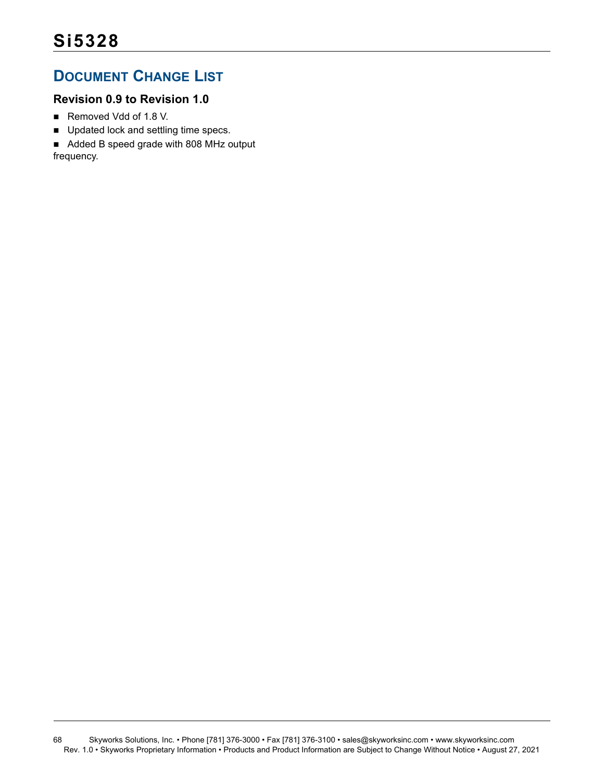# <span id="page-67-0"></span>**DOCUMENT CHANGE LIST**

# **Revision 0.9 to Revision 1.0**

- Removed Vdd of 1.8 V.
- Updated lock and settling time specs.
- Added B speed grade with 808 MHz output

frequency.

68 Skyworks Solutions, Inc. • Phone [781] 376-3000 • Fax [781] 376-3100 • sales@skyworksinc.com • www.skyworksinc.com Rev. 1.0 • Skyworks Proprietary Information • Products and Product Information are Subject to Change Without Notice • August 27, 2021